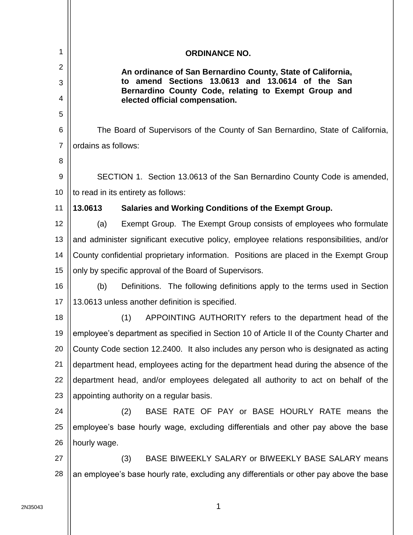| 1              |                     | <b>ORDINANCE NO.</b>                                                                                        |
|----------------|---------------------|-------------------------------------------------------------------------------------------------------------|
| $\overline{2}$ |                     | An ordinance of San Bernardino County, State of California,                                                 |
| 3              |                     | amend Sections 13.0613 and 13.0614 of the San<br>to<br>Bernardino County Code, relating to Exempt Group and |
| 4              |                     | elected official compensation.                                                                              |
| 5              |                     |                                                                                                             |
| 6              |                     | The Board of Supervisors of the County of San Bernardino, State of California,                              |
| 7              | ordains as follows: |                                                                                                             |
| 8              |                     |                                                                                                             |
| 9              |                     | SECTION 1. Section 13.0613 of the San Bernardino County Code is amended,                                    |
| 10<br>11       | 13.0613             | to read in its entirety as follows:                                                                         |
| 12             |                     | Salaries and Working Conditions of the Exempt Group.                                                        |
|                | (a)                 | Exempt Group. The Exempt Group consists of employees who formulate                                          |
| 13             |                     | and administer significant executive policy, employee relations responsibilities, and/or                    |
| 14             |                     | County confidential proprietary information. Positions are placed in the Exempt Group                       |
| 15             |                     | only by specific approval of the Board of Supervisors.                                                      |
| 16             | (b)                 | Definitions. The following definitions apply to the terms used in Section                                   |
| 17             |                     | 13.0613 unless another definition is specified.                                                             |
| 18             |                     | APPOINTING AUTHORITY refers to the department head of the<br>(1)                                            |
| 19             |                     | employee's department as specified in Section 10 of Article II of the County Charter and                    |
| 20             |                     | County Code section 12.2400. It also includes any person who is designated as acting                        |
| 21             |                     | department head, employees acting for the department head during the absence of the                         |
| 22             |                     | department head, and/or employees delegated all authority to act on behalf of the                           |
| 23             |                     | appointing authority on a regular basis.                                                                    |
| 24             |                     | BASE RATE OF PAY or BASE HOURLY RATE means the<br>(2)                                                       |
| 25             |                     | employee's base hourly wage, excluding differentials and other pay above the base                           |
| 26             | hourly wage.        |                                                                                                             |
| 27             |                     | BASE BIWEEKLY SALARY or BIWEEKLY BASE SALARY means<br>(3)                                                   |
| 28             |                     | an employee's base hourly rate, excluding any differentials or other pay above the base                     |
|                |                     |                                                                                                             |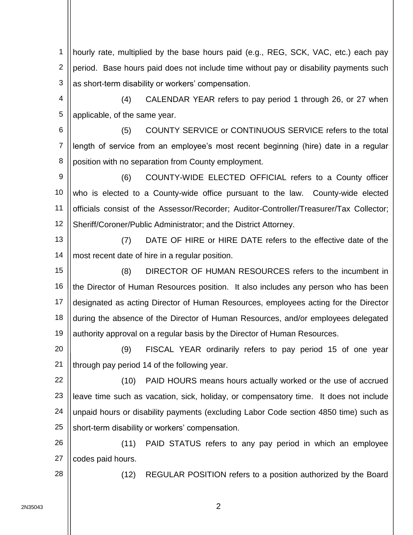1 2 3 hourly rate, multiplied by the base hours paid (e.g., REG, SCK, VAC, etc.) each pay period. Base hours paid does not include time without pay or disability payments such as short-term disability or workers' compensation.

4 5 (4) CALENDAR YEAR refers to pay period 1 through 26, or 27 when applicable, of the same year.

6 7 8 (5) COUNTY SERVICE or CONTINUOUS SERVICE refers to the total length of service from an employee's most recent beginning (hire) date in a regular position with no separation from County employment.

9 10 11 12 (6) COUNTY-WIDE ELECTED OFFICIAL refers to a County officer who is elected to a County-wide office pursuant to the law. County-wide elected officials consist of the Assessor/Recorder; Auditor-Controller/Treasurer/Tax Collector; Sheriff/Coroner/Public Administrator; and the District Attorney.

13 14 (7) DATE OF HIRE or HIRE DATE refers to the effective date of the most recent date of hire in a regular position.

15 16 17 18 19 (8) DIRECTOR OF HUMAN RESOURCES refers to the incumbent in the Director of Human Resources position. It also includes any person who has been designated as acting Director of Human Resources, employees acting for the Director during the absence of the Director of Human Resources, and/or employees delegated authority approval on a regular basis by the Director of Human Resources.

20 21 (9) FISCAL YEAR ordinarily refers to pay period 15 of one year through pay period 14 of the following year.

22 23 24 25 (10) PAID HOURS means hours actually worked or the use of accrued leave time such as vacation, sick, holiday, or compensatory time. It does not include unpaid hours or disability payments (excluding Labor Code section 4850 time) such as short-term disability or workers' compensation.

26 27 (11) PAID STATUS refers to any pay period in which an employee codes paid hours.

(12) REGULAR POSITION refers to a position authorized by the Board

28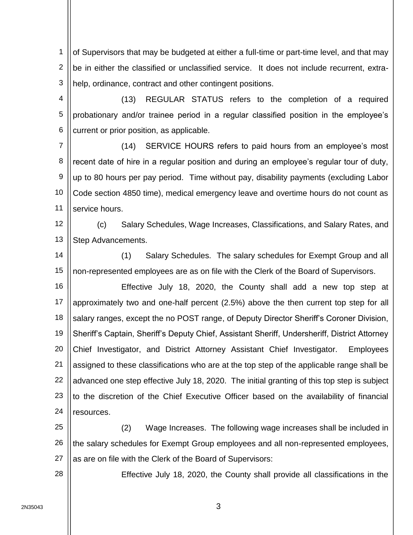1 2 3 of Supervisors that may be budgeted at either a full-time or part-time level, and that may be in either the classified or unclassified service. It does not include recurrent, extrahelp, ordinance, contract and other contingent positions.

4 5 6 (13) REGULAR STATUS refers to the completion of a required probationary and/or trainee period in a regular classified position in the employee's current or prior position, as applicable.

7 8 9 10 11 (14) SERVICE HOURS refers to paid hours from an employee's most recent date of hire in a regular position and during an employee's regular tour of duty, up to 80 hours per pay period. Time without pay, disability payments (excluding Labor Code section 4850 time), medical emergency leave and overtime hours do not count as service hours.

12 13 (c) Salary Schedules, Wage Increases, Classifications, and Salary Rates, and Step Advancements.

14 15 (1) Salary Schedules. The salary schedules for Exempt Group and all non-represented employees are as on file with the Clerk of the Board of Supervisors.

16 17 18 19 20 21 22 23 24 Effective July 18, 2020, the County shall add a new top step at approximately two and one-half percent (2.5%) above the then current top step for all salary ranges, except the no POST range, of Deputy Director Sheriff's Coroner Division, Sheriff's Captain, Sheriff's Deputy Chief, Assistant Sheriff, Undersheriff, District Attorney Chief Investigator, and District Attorney Assistant Chief Investigator. Employees assigned to these classifications who are at the top step of the applicable range shall be advanced one step effective July 18, 2020. The initial granting of this top step is subject to the discretion of the Chief Executive Officer based on the availability of financial resources.

25 26 27 (2) Wage Increases. The following wage increases shall be included in the salary schedules for Exempt Group employees and all non-represented employees, as are on file with the Clerk of the Board of Supervisors:

Effective July 18, 2020, the County shall provide all classifications in the

28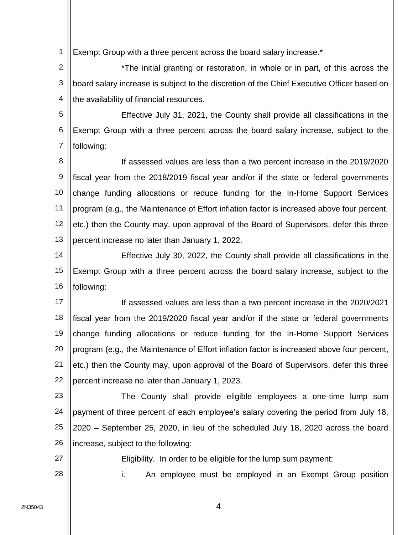1 Exempt Group with a three percent across the board salary increase.\*

2 3 4 \*The initial granting or restoration, in whole or in part, of this across the board salary increase is subject to the discretion of the Chief Executive Officer based on the availability of financial resources.

5 6 7 Effective July 31, 2021, the County shall provide all classifications in the Exempt Group with a three percent across the board salary increase, subject to the following:

8 9 10 11 12 13 If assessed values are less than a two percent increase in the 2019/2020 fiscal year from the 2018/2019 fiscal year and/or if the state or federal governments change funding allocations or reduce funding for the In-Home Support Services program (e.g., the Maintenance of Effort inflation factor is increased above four percent, etc.) then the County may, upon approval of the Board of Supervisors, defer this three percent increase no later than January 1, 2022.

14 15 16 Effective July 30, 2022, the County shall provide all classifications in the Exempt Group with a three percent across the board salary increase, subject to the following:

17 18 19 20 21 22 If assessed values are less than a two percent increase in the 2020/2021 fiscal year from the 2019/2020 fiscal year and/or if the state or federal governments change funding allocations or reduce funding for the In-Home Support Services program (e.g., the Maintenance of Effort inflation factor is increased above four percent, etc.) then the County may, upon approval of the Board of Supervisors, defer this three percent increase no later than January 1, 2023.

23 24 25 26 The County shall provide eligible employees a one-time lump sum payment of three percent of each employee's salary covering the period from July 18, 2020 – September 25, 2020, in lieu of the scheduled July 18, 2020 across the board increase, subject to the following:

27 28 Eligibility. In order to be eligible for the lump sum payment: i. An employee must be employed in an Exempt Group position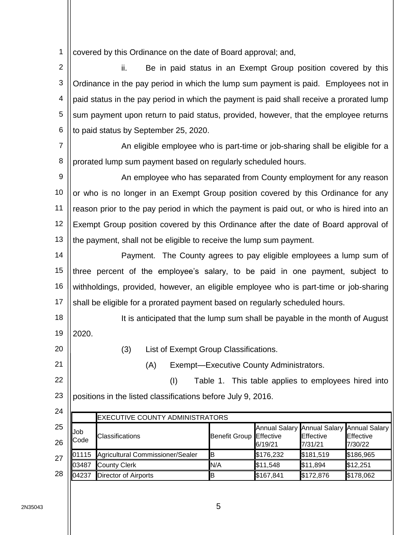1 covered by this Ordinance on the date of Board approval; and,

2 3 4 5 6 ii. Be in paid status in an Exempt Group position covered by this Ordinance in the pay period in which the lump sum payment is paid. Employees not in paid status in the pay period in which the payment is paid shall receive a prorated lump sum payment upon return to paid status, provided, however, that the employee returns to paid status by September 25, 2020.

7 8 An eligible employee who is part-time or job-sharing shall be eligible for a prorated lump sum payment based on regularly scheduled hours.

9 10 11 12 13 An employee who has separated from County employment for any reason or who is no longer in an Exempt Group position covered by this Ordinance for any reason prior to the pay period in which the payment is paid out, or who is hired into an Exempt Group position covered by this Ordinance after the date of Board approval of the payment, shall not be eligible to receive the lump sum payment.

14 15 16 17 Payment. The County agrees to pay eligible employees a lump sum of three percent of the employee's salary, to be paid in one payment, subject to withholdings, provided, however, an eligible employee who is part-time or job-sharing shall be eligible for a prorated payment based on regularly scheduled hours.

- 18 19 It is anticipated that the lump sum shall be payable in the month of August 2020.
	- (3) List of Exempt Group Classifications.

(A) Exempt—Executive County Administrators.

22 23 (I) Table 1. This table applies to employees hired into positions in the listed classifications before July 9, 2016.

| 24.      |                           | <b>EXECUTIVE COUNTY ADMINISTRATORS</b> |                         |           |                              |                                                                   |
|----------|---------------------------|----------------------------------------|-------------------------|-----------|------------------------------|-------------------------------------------------------------------|
| 25<br>26 | <b>Job</b><br><b>Code</b> | <b>Classifications</b>                 | Benefit Group Effective | 6/19/21   | <b>E</b> ffective<br>7/31/21 | Annual Salary Annual Salary Annual Salary<br>Effective<br>7/30/22 |
| 27       | 01115                     | Agricultural Commissioner/Sealer       | IΒ                      | \$176,232 | \$181,519                    | \$186,965                                                         |
|          | 03487                     | <b>County Clerk</b>                    | N/A                     | \$11,548  | \$11,894                     | \$12,251                                                          |
| 28       | 104237                    | <b>Director of Airports</b>            | IB                      | \$167,841 | \$172,876                    | \$178,062                                                         |

20

21

 $\sim$   $\lambda$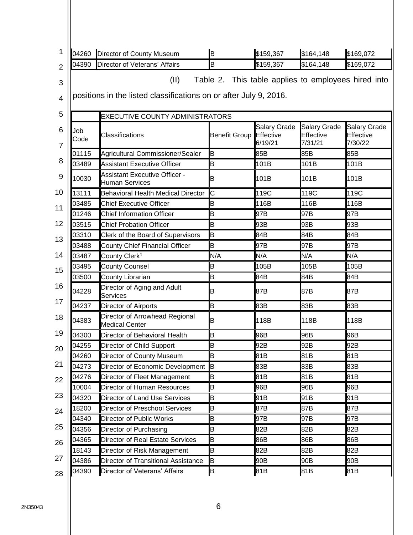| 04260       | Director of County Museum                                                 | B                    | \$159,367                                   | \$164,148                                           | \$169,072                                   |
|-------------|---------------------------------------------------------------------------|----------------------|---------------------------------------------|-----------------------------------------------------|---------------------------------------------|
| 04390       | Director of Veterans' Affairs                                             | B                    | \$159,367                                   | \$164,148                                           | \$169,072                                   |
|             | (II)<br>positions in the listed classifications on or after July 9, 2016. |                      |                                             | Table 2. This table applies to employees hired into |                                             |
|             | EXECUTIVE COUNTY ADMINISTRATORS                                           |                      |                                             |                                                     |                                             |
| Job<br>Code | Classifications                                                           | <b>Benefit Group</b> | <b>Salary Grade</b><br>Effective<br>6/19/21 | <b>Salary Grade</b><br>Effective<br>7/31/21         | <b>Salary Grade</b><br>Effective<br>7/30/22 |
| 01115       | Agricultural Commissioner/Sealer                                          | B                    | 85B                                         | 85B                                                 | 85B                                         |
| 03489       | <b>Assistant Executive Officer</b>                                        | B                    | 101B                                        | 101B                                                | 101B                                        |
| 10030       | <b>Assistant Executive Officer -</b><br><b>Human Services</b>             | В                    | 101B                                        | 101B                                                | 101B                                        |
| 13111       | <b>Behavioral Health Medical Director</b>                                 | Ć                    | 119C                                        | 119C                                                | 119C                                        |
| 03485       | <b>Chief Executive Officer</b>                                            | B                    | 116B                                        | 116B                                                | 116B                                        |
| 01246       | <b>Chief Information Officer</b>                                          | B                    | 97B                                         | 97B                                                 | 97B                                         |
| 03515       | <b>Chief Probation Officer</b>                                            | B                    | 93B                                         | 93B                                                 | 93B                                         |
| 03310       | Clerk of the Board of Supervisors                                         | B                    | 84B                                         | 84B                                                 | 84B                                         |
| 03488       | <b>County Chief Financial Officer</b>                                     | B                    | 97B                                         | 97B                                                 | 97B                                         |
| 03487       | County Clerk <sup>1</sup>                                                 | N/A                  | N/A                                         | N/A                                                 | N/A                                         |
| 03495       | <b>County Counsel</b>                                                     | B                    | 105B                                        | 105B                                                | 105B                                        |
| 03500       | County Librarian                                                          | B                    | 84B                                         | 84B                                                 | 84B                                         |
| 04228       | Director of Aging and Adult<br>Services                                   | B                    | 87B                                         | 87B                                                 | 87B                                         |
| 04237       | Director of Airports                                                      | B                    | 83B                                         | 83B                                                 | 83B                                         |
| 04383       | Director of Arrowhead Regional<br><b>Medical Center</b>                   | B                    | 118B                                        | 118B                                                | 118B                                        |
| 04300       | Director of Behavioral Health                                             | B                    | 96B                                         | 96B                                                 | 96B                                         |
| 04255       | Director of Child Support                                                 | B                    | 92B                                         | 92B                                                 | 92B                                         |
| 04260       | Director of County Museum                                                 | B                    | 81B                                         | 81B                                                 | 81B                                         |
| 04273       | Director of Economic Development                                          | B                    | 83B                                         | 83B                                                 | 83B                                         |
| 04276       | Director of Fleet Management                                              | B                    | 81B                                         | 81B                                                 | 81B                                         |
| 10004       | Director of Human Resources                                               | B                    | 96B                                         | 96B                                                 | 96B                                         |
| 04320       | <b>Director of Land Use Services</b>                                      | B                    | 91B                                         | 91B                                                 | 91B                                         |
| 18200       | Director of Preschool Services                                            | B                    | 87B                                         | 87B                                                 | 87B                                         |
| 04340       | Director of Public Works                                                  | B                    | 97B                                         | 97B                                                 | 97B                                         |
| 04356       | Director of Purchasing                                                    | B                    | 82B                                         | 82B                                                 | 82B                                         |
| 04365       | Director of Real Estate Services                                          | B                    | 86B                                         | 86B                                                 | 86B                                         |
| 18143       | Director of Risk Management                                               | B                    | 82B                                         | 82B                                                 | 82B                                         |
| 04386       | Director of Transitional Assistance                                       | B                    | 90B                                         | 90B                                                 | 90B                                         |
| 04390       | Director of Veterans' Affairs                                             | В                    | 81B                                         | 81B                                                 | 81B                                         |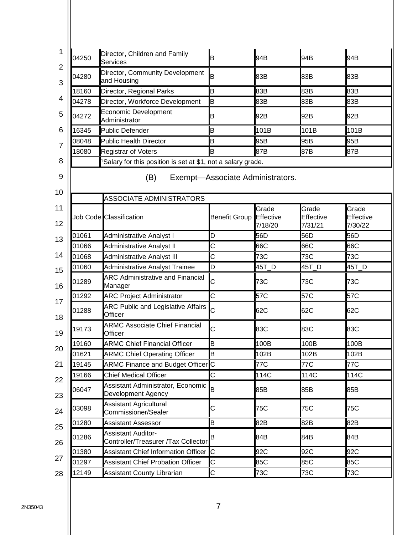| 04250                            | Director, Children and Family<br>Services                        | B                                | 94B                  | 94B                  | 94B                  |
|----------------------------------|------------------------------------------------------------------|----------------------------------|----------------------|----------------------|----------------------|
| 04280                            | Director, Community Development<br>and Housing                   | B                                | 83B                  | 83B                  | 83B                  |
| 18160                            | Director, Regional Parks                                         | B                                | 83B                  | 83B                  | 83B                  |
| 04278                            | Director, Workforce Development                                  | B                                | 83B                  | 83B                  | 83B                  |
| 04272                            | Economic Development<br>Administrator                            | B                                | 92B                  | 92B                  | 92B                  |
| 16345                            | <b>Public Defender</b>                                           | B                                | 101B                 | 101B                 | 101B                 |
| 08048                            | <b>Public Health Director</b>                                    | B                                | 95B                  | 95B                  | 95B                  |
| 18080                            | <b>Registrar of Voters</b>                                       | B                                | 87B                  | 87B                  | 87B                  |
|                                  | Salary for this position is set at \$1, not a salary grade.      |                                  |                      |                      |                      |
|                                  | (B)<br>ASSOCIATE ADMINISTRATORS                                  | Exempt-Associate Administrators. | Grade                | Grade                | Grade                |
|                                  | Job Code Classification                                          | <b>Benefit Group</b>             | Effective<br>7/18/20 | Effective<br>7/31/21 | Effective<br>7/30/22 |
| 01061                            | <b>Administrative Analyst I</b>                                  | D                                | 56D                  | 56D                  | 56D                  |
| 01066                            | Administrative Analyst II                                        | C                                | 66C                  | 66C                  | 66C                  |
| 01068                            | <b>Administrative Analyst III</b>                                | C                                | 73C                  | 73C                  | 73C                  |
| 01060                            | Administrative Analyst Trainee                                   | D                                | 45T_D                | 45T_D                | 45T_D                |
| 01289                            | <b>ARC Administrative and Financial</b><br>Manager               | C                                | 73C                  | 73C                  | 73C                  |
| 01292                            | <b>ARC Project Administrator</b>                                 | C                                | 57C                  | 57C                  | 57C                  |
| 01288                            | <b>ARC Public and Legislative Affairs</b><br>Officer             | C                                | 62C                  | 62C                  | 62C                  |
| 19173                            | <b>ARMC Associate Chief Financial</b><br>Officer                 | Ć                                | 83C                  | 83C                  | 83C                  |
| 19160                            | <b>ARMC Chief Financial Officer</b>                              | B                                | 100B                 | 100B                 | 100B                 |
| 01621                            | <b>ARMC Chief Operating Officer</b>                              | B                                | 102B                 | 102B                 | 102B                 |
| 19145                            | <b>ARMC Finance and Budget Officer</b> C                         |                                  | 77C                  | 77C                  | 77C                  |
| 19166                            | <b>Chief Medical Officer</b>                                     | C                                | 114C                 | 114C                 | 114C                 |
| 06047                            | Assistant Administrator, Economic<br>Development Agency          | B                                | 85B                  | 85B                  | 85B                  |
|                                  | <b>Assistant Agricultural</b>                                    | С                                | 75C                  | 75C                  | 75C                  |
|                                  | Commissioner/Sealer                                              |                                  |                      |                      |                      |
|                                  | <b>Assistant Assessor</b>                                        | B                                | 82B                  | 82B                  | 82B                  |
|                                  | <b>Assistant Auditor-</b><br>Controller/Treasurer /Tax Collector | В                                | 84B                  | 84B                  | 84B                  |
| 03098<br>01280<br>01286<br>01380 | Assistant Chief Information Officer                              | C                                | 92C                  | 92C                  | 92C                  |
| 01297                            | <b>Assistant Chief Probation Officer</b>                         | C                                | 85C                  | 85C                  | 85C                  |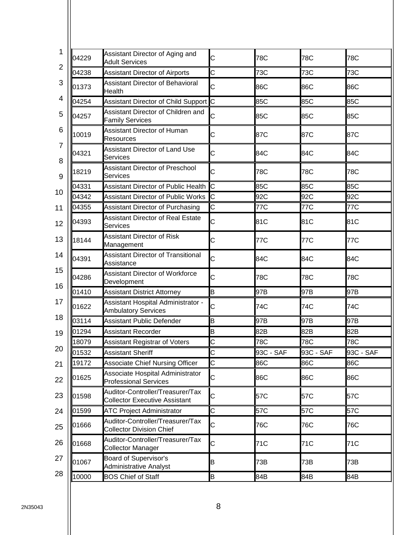| 04229 | Assistant Director of Aging and<br><b>Adult Services</b>                 | C                     | 78C       | 78C       | 78C       |
|-------|--------------------------------------------------------------------------|-----------------------|-----------|-----------|-----------|
| 04238 | <b>Assistant Director of Airports</b>                                    | $\overline{\text{c}}$ | 73C       | 73C       | 73C       |
| 01373 | <b>Assistant Director of Behavioral</b><br>Health                        | C                     | 86C       | 86C       | 86C       |
| 04254 | Assistant Director of Child Support C                                    |                       | 85C       | 85C       | 85C       |
| 04257 | Assistant Director of Children and<br><b>Family Services</b>             | C                     | 85C       | 85C       | 85C       |
| 10019 | <b>Assistant Director of Human</b><br><b>Resources</b>                   | C                     | 87C       | 87C       | 87C       |
| 04321 | Assistant Director of Land Use<br><b>Services</b>                        | C                     | 84C       | 84C       | 84C       |
| 18219 | <b>Assistant Director of Preschool</b><br><b>Services</b>                | C                     | 78C       | 78C       | 78C       |
| 04331 | Assistant Director of Public Health                                      | Ċ                     | 85C       | 85C       | 85C       |
| 04342 | <b>Assistant Director of Public Works</b>                                | C                     | 92C       | 92C       | 92C       |
| 04355 | Assistant Director of Purchasing                                         | C                     | 77C       | 77C       | 77C       |
| 04393 | <b>Assistant Director of Real Estate</b><br>Services                     | Ċ                     | 81C       | 81C       | 81C       |
| 18144 | <b>Assistant Director of Risk</b><br>Management                          | C                     | 77C       | 77C       | 77C       |
| 04391 | <b>Assistant Director of Transitional</b><br>Assistance                  | $\overline{C}$        | 84C       | 84C       | 84C       |
| 04286 | <b>Assistant Director of Workforce</b><br>Development                    | C                     | 78C       | 78C       | 78C       |
| 01410 | <b>Assistant District Attorney</b>                                       | B                     | 97B       | 97B       | 97B       |
| 01622 | Assistant Hospital Administrator -<br><b>Ambulatory Services</b>         | C                     | 74C       | 74C       | 74C       |
| 03114 | <b>Assistant Public Defender</b>                                         | B                     | 97B       | 97B       | 97B       |
| 01294 | <b>Assistant Recorder</b>                                                | B                     | 82B       | 82B       | 82B       |
| 18079 | <b>Assistant Registrar of Voters</b>                                     | C                     | 78C       | 78C       | 78C       |
| 01532 | <b>Assistant Sheriff</b>                                                 | C                     | 93C - SAF | 93C - SAF | 93C - SAF |
| 19172 | <b>Associate Chief Nursing Officer</b>                                   | C                     | 86C       | 86C       | 86C       |
| 01625 | Associate Hospital Administrator<br><b>Professional Services</b>         | C                     | 86C       | 86C       | 86C       |
| 01598 | Auditor-Controller/Treasurer/Tax<br><b>Collector Executive Assistant</b> | C                     | 57C       | 57C       | 57C       |
| 01599 | <b>ATC Project Administrator</b>                                         | C                     | 57C       | 57C       | 57C       |
| 01666 | Auditor-Controller/Treasurer/Tax<br><b>Collector Division Chief</b>      | C                     | 76C       | 76C       | 76C       |
| 01668 | Auditor-Controller/Treasurer/Tax<br>Collector Manager                    | C                     | 71C       | 71C       | 71C       |
| 01067 | <b>Board of Supervisor's</b><br>Administrative Analyst                   | B                     | 73B       | 73B       | 73B       |
| 10000 | <b>BOS Chief of Staff</b>                                                | B                     | 84B       | 84B       | 84B       |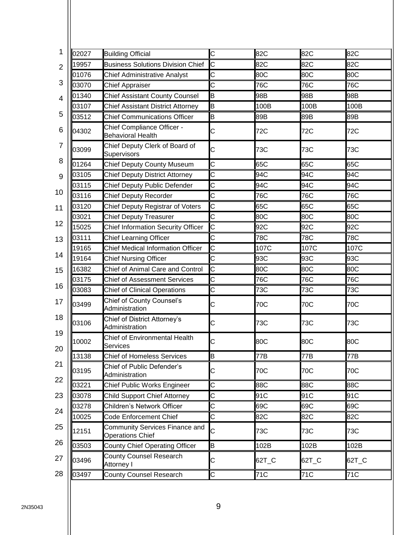| 02027          | <b>Building Official</b>                               | C  | 82C     | 82C     | 82C     |
|----------------|--------------------------------------------------------|----|---------|---------|---------|
| 19957          | <b>Business Solutions Division Chief</b>               | Iс | 82C     | 82C     | 82C     |
| 01076          | <b>Chief Administrative Analyst</b>                    | C  | 80C     | 80C     | 80C     |
| 03070          | <b>Chief Appraiser</b>                                 | C  | 76C     | 76C     | 76C     |
| 01340          | <b>Chief Assistant County Counsel</b>                  | B  | 98B     | 98B     | 98B     |
| 03107          | <b>Chief Assistant District Attorney</b>               | B  | 100B    | 100B    | 100B    |
| 03512          | <b>Chief Communications Officer</b>                    | B  | 89B     | 89B     | 89B     |
| 04302          | Chief Compliance Officer -<br><b>Behavioral Health</b> | С  | 72C     | 72C     | 72C     |
| 03099          | Chief Deputy Clerk of Board of<br>Supervisors          | C  | 73C     | 73C     | 73C     |
| 01264          | <b>Chief Deputy County Museum</b>                      | C  | 65C     | 65C     | 65C     |
| 03105          | <b>Chief Deputy District Attorney</b>                  | С  | 94C     | 94C     | 94C     |
| 03115          | Chief Deputy Public Defender                           | C  | 94C     | 94C     | 94C     |
| 03116          | <b>Chief Deputy Recorder</b>                           | C  | 76C     | 76C     | 76C     |
| 03120          | Chief Deputy Registrar of Voters                       | C  | 65C     | 65C     | 65C     |
| 03021          | <b>Chief Deputy Treasurer</b>                          | C  | 80C     | 80C     | 80C     |
| 15025          | <b>Chief Information Security Officer</b>              | C  | 92C     | 92C     | 92C     |
| 03111          | <b>Chief Learning Officer</b>                          | C  | 78C     | 78C     | 78C     |
| 19165          | <b>Chief Medical Information Officer</b>               | C  | 107C    | 107C    | 107C    |
| 19164          | <b>Chief Nursing Officer</b>                           | C  | 93C     | 93C     | 93C     |
| 16382          | Chief of Animal Care and Control                       | C  | 80C     | 80C     | 80C     |
| 03175          | <b>Chief of Assessment Services</b>                    | C  | 76C     | 76C     | 76C     |
| 03083          | <b>Chief of Clinical Operations</b>                    | C  | 73C     | 73C     | 73C     |
| 03499          | Chief of County Counsel's<br>Administration            | С  | 70C     | 70C     | 70C     |
| 03106          | Chief of District Attorney's<br>Administration         | С  | 73C     | 73C     | 73C     |
| 10002          | Chief of Environmental Health<br><b>Services</b>       | С  | 80C     | 80C     | 80C     |
| 13138          | <b>Chief of Homeless Services</b>                      | B  | 77B     | 77B     | 77B     |
| 03195          | Chief of Public Defender's<br>Administration           | C  | 70C     | 70C     | 70C     |
| 03221          | Chief Public Works Engineer                            | C  | 88C     | 88C     | 88C     |
| 03078          | <b>Child Support Chief Attorney</b>                    | C  | 91C     | 91C     | 91C     |
| 03278          | Children's Network Officer                             | C  | 69C     | 69C     | 69C     |
| 10025          | <b>Code Enforcement Chief</b>                          | C  | 82C     | 82C     | 82C     |
|                | Community Services Finance and                         | С  | 73C     | 73C     | 73C     |
|                | <b>Operations Chief</b>                                |    |         |         |         |
| 12151<br>03503 | <b>County Chief Operating Officer</b>                  | B  | 102B    | 102B    | 102B    |
| 03496          | County Counsel Research<br>Attorney I                  | C  | $62T_C$ | $62T_C$ | $62T_C$ |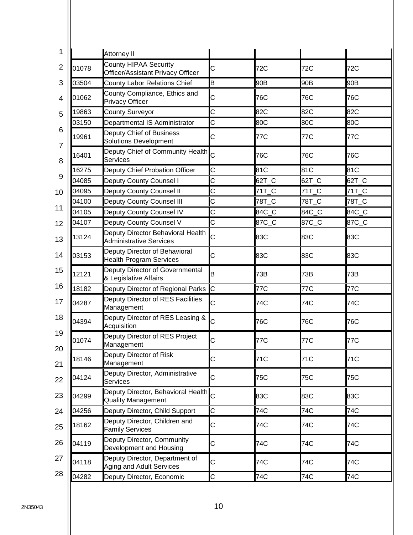| 1                       | Attorney II                                                                  |   |       |       |         |
|-------------------------|------------------------------------------------------------------------------|---|-------|-------|---------|
| $\overline{2}$<br>01078 | County HIPAA Security<br>Officer/Assistant Privacy Officer                   | С | 72C   | 72C   | 72C     |
| 3<br>03504              | <b>County Labor Relations Chief</b>                                          | B | 90B   | 90B   | 90B     |
| 01062<br>4              | County Compliance, Ethics and<br><b>Privacy Officer</b>                      | C | 76C   | 76C   | 76C     |
| 19863<br>5              | <b>County Surveyor</b>                                                       | Ċ | 82C   | 82C   | 82C     |
| 03150<br>6              | Departmental IS Administrator                                                | C | 80C   | 80C   | 80C     |
| 19961                   | Deputy Chief of Business<br><b>Solutions Development</b>                     | С | 77C   | 77C   | 77C     |
| 16401                   | Deputy Chief of Community Health C<br><b>Services</b>                        |   | 76C   | 76C   | 76C     |
| 16275                   | Deputy Chief Probation Officer                                               | C | 81C   | 81C   | 81C     |
| 04085                   | Deputy County Counsel I                                                      | C | 62T_C | 62T_C | $62T_C$ |
| 04095                   | Deputy County Counsel II                                                     | C | 71T_C | 71T_C | 71T_C   |
| 04100                   | Deputy County Counsel III                                                    | C | 78T_C | 78T_C | 78T C   |
| 04105                   | Deputy County Counsel IV                                                     | C | 84C_C | 84C_C | 84C_C   |
| 04107<br>12             | Deputy County Counsel V                                                      | C | 87C C | 87C_C | 87C_C   |
| 13124<br>13             | Deputy Director Behavioral Health<br><b>Administrative Services</b>          | Ć | 83C   | 83C   | 83C     |
| 14<br>03153             | Deputy Director of Behavioral<br><b>Health Program Services</b>              | С | 83C   | 83C   | 83C     |
| 12121                   | Deputy Director of Governmental<br>& Legislative Affairs                     | B | 73B   | 73B   | 73B     |
| 18182                   | Deputy Director of Regional Parks                                            | C | 77C   | 77C   | 77C     |
| 04287                   | Deputy Director of RES Facilities<br>Management                              | С | 74C   | 74C   | 74C     |
| 04394                   | Deputy Director of RES Leasing &<br>Acquisition                              | Ċ | 76C   | 76C   | 76C     |
| 01074                   | Deputy Director of RES Project<br>Management                                 | C | 77C   | 77C   | 77C     |
| 20<br>18146             | Deputy Director of Risk<br>Management                                        | С | 71C   | 71C   | 71C     |
| 04124<br>22             | Deputy Director, Administrative<br><b>Services</b>                           | C | 75C   | 75C   | 75C     |
| 23<br>04299             | Deputy Director, Behavioral Health <sub>C</sub><br><b>Quality Management</b> |   | 83C   | 83C   | 83C     |
| 04256<br>24             | Deputy Director, Child Support                                               | C | 74C   | 74C   | 74C     |
| 18162<br>25             | Deputy Director, Children and<br><b>Family Services</b>                      | С | 74C   | 74C   | 74C     |
| 26<br>04119             | Deputy Director, Community<br>Development and Housing                        | С | 74C   | 74C   | 74C     |
| 27<br>04118<br>28       | Deputy Director, Department of<br>Aging and Adult Services                   | C | 74C   | 74C   | 74C     |
| 04282                   | Deputy Director, Economic                                                    | C | 74C   | 74C   | 74C     |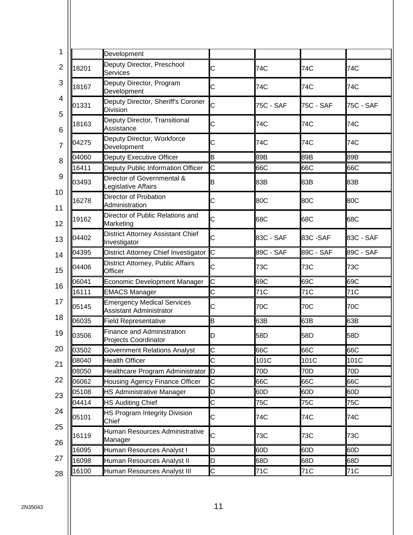|       | Development                                                         |   |           |                  |           |
|-------|---------------------------------------------------------------------|---|-----------|------------------|-----------|
| 18201 | Deputy Director, Preschool<br>Services                              | С | 74C       | 74C              | 74C       |
| 18167 | Deputy Director, Program<br>Development                             | C | 74C       | 74C              | 74C       |
| 01331 | Deputy Director, Sheriff's Coroner<br><b>Division</b>               | Ċ | 75C - SAF | <b>75C - SAF</b> | 75C - SAF |
| 18163 | Deputy Director, Transitional<br>Assistance                         | С | 74C       | 74C              | 74C       |
| 04275 | Deputy Director, Workforce<br>Development                           | С | 74C       | 74C              | 74C       |
| 04060 | Deputy Executive Officer                                            | B | 89B       | 89B              | 89B       |
| 16411 | Deputy Public Information Officer                                   | C | 66C       | 66C              | 66C       |
| 03493 | Director of Governmental &<br>Legislative Affairs                   | B | 83B       | 83B              | 83B       |
| 16278 | Director of Probation<br>Administration                             | С | 80C       | 80C              | 80C       |
| 19162 | Director of Public Relations and<br>Marketing                       | C | 68C       | 68C              | 68C       |
| 04402 | District Attorney Assistant Chief<br>Investigator                   | C | 83C - SAF | 83C-SAF          | 83C - SAF |
| 04395 | District Attorney Chief Investigator C                              |   | 89C - SAF | 89C - SAF        | 89C - SAF |
| 04406 | District Attorney, Public Affairs<br>Officer                        | С | 73C       | 73C              | 73C       |
| 06041 | Economic Development Manager                                        | C | 69C       | 69C              | 69C       |
| 16111 | <b>EMACS Manager</b>                                                | C | 71C       | 71C              | 71C       |
| 05145 | <b>Emergency Medical Services</b><br><b>Assistant Administrator</b> | C | 70C       | 70C              | 70C       |
| 06035 | <b>Field Representative</b>                                         | B | 63B       | 63B              | 63B       |
| 03506 | <b>Finance and Administration</b><br>Projects Coordinator           | D | 58D       | 58D              | 58D       |
| 03502 | <b>Government Relations Analyst</b>                                 | C | 66C       | 66C              | 66C       |
| 08040 | <b>Health Officer</b>                                               | C | 101C      | 101C             | 101C      |
| 08050 | Healthcare Program Administrator D                                  |   | 70D       | 70D              | 70D       |
| 06062 | Housing Agency Finance Officer                                      | C | 66C       | 66C              | 66C       |
| 05108 | <b>HS Administrative Manager</b>                                    | D | 60D       | 60D              | 60D       |
| 04414 | <b>HS Auditing Chief</b>                                            | C | 75C       | 75C              | 75C       |
| 05101 | HS Program Integrity Division<br>Chief                              | C | 74C       | 74C              | 74C       |
| 16119 | Human Resources Administrative<br>Manager                           | C | 73C       | 73C              | 73C       |
| 16095 | Human Resources Analyst I                                           | D | 60D       | 60D              | 60D       |
| 16098 | Human Resources Analyst II                                          | D | 68D       | 68D              | 68D       |
| 16100 | Human Resources Analyst III                                         | C | 71C       | 71C              | 71C       |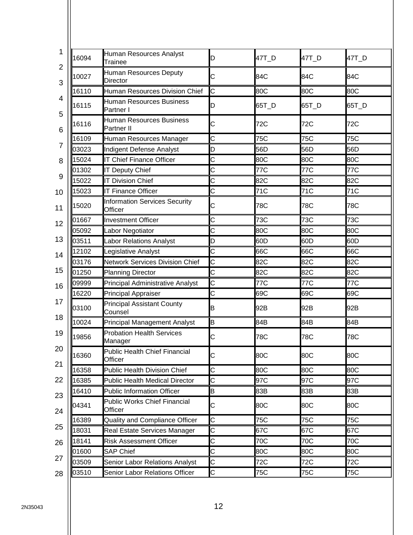| 16094<br>$\overline{2}$ | Human Resources Analyst<br>Trainee                   | D | $47T_D$ | 47T_D | $47T_D$ |
|-------------------------|------------------------------------------------------|---|---------|-------|---------|
| 10027<br>3              | Human Resources Deputy<br>Director                   | C | 84C     | 84C   | 84C     |
| 16110                   | Human Resources Division Chief                       | С | 80C     | 80C   | 80C     |
| 16115                   | Human Resources Business<br>Partner I                | D | 65T_D   | 65T_D | 65T_D   |
| 5<br>16116<br>6         | <b>Human Resources Business</b><br><b>Partner II</b> | C | 72C     | 72C   | 72C     |
| 16109                   | Human Resources Manager                              | C | 75C     | 75C   | 75C     |
| 03023                   | <b>Indigent Defense Analyst</b>                      | D | 56D     | 56D   | 56D     |
| 15024                   | <b>IT Chief Finance Officer</b>                      | C | 80C     | 80C   | 80C     |
| 01302                   | <b>IT Deputy Chief</b>                               | C | 77C     | 77C   | 77C     |
| 15022                   | <b>IT Division Chief</b>                             | C | 82C     | 82C   | 82C     |
| 15023                   | <b>IT Finance Officer</b>                            | C | 71C     | 71C   | 71C     |
| 15020                   | <b>Information Services Security</b><br>Officer      | C | 78C     | 78C   | 78C     |
| 01667                   | <b>Investment Officer</b>                            | C | 73C     | 73C   | 73C     |
| 05092                   | Labor Negotiator                                     | C | 80C     | 80C   | 80C     |
| 03511                   | <b>Labor Relations Analyst</b>                       | D | 60D     | 60D   | 60D     |
| 12102                   | Legislative Analyst                                  | C | 66C     | 66C   | 66C     |
| 03176                   | <b>Network Services Division Chief</b>               | C | 82C     | 82C   | 82C     |
| 01250                   | <b>Planning Director</b>                             | C | 82C     | 82C   | 82C     |
| 09999                   | <b>Principal Administrative Analyst</b>              | C | 77C     | 77C   | 77C     |
| 16220                   | <b>Principal Appraiser</b>                           | C | 69C     | 69C   | 69C     |
| 03100                   | <b>Principal Assistant County</b><br>Counsel         | B | 92B     | 92B   | 92B     |
| 10024                   | <b>Principal Management Analyst</b>                  | B | 84B     | 84B   | 84B     |
| 19856                   | <b>Probation Health Services</b><br>Manager          | С | 78C     | 78C   | 78C     |
| 16360                   | <b>Public Health Chief Financial</b><br>Officer      | С | 80C     | 80C   | 80C     |
| 16358                   | Public Health Division Chief                         | C | 80C     | 80C   | 80C     |
| 16385                   | <b>Public Health Medical Director</b>                | С | 97C     | 97C   | 97C     |
| 16410                   | <b>Public Information Officer</b>                    | B | 83B     | 83B   | 83B     |
| 04341                   | <b>Public Works Chief Financial</b><br>Officer       | C | 80C     | 80C   | 80C     |
| 16389                   | Quality and Compliance Officer                       | С | 75C     | 75C   | 75C     |
| 18031                   | Real Estate Services Manager                         | С | 67C     | 67C   | 67C     |
| 18141                   | <b>Risk Assessment Officer</b>                       | C | 70C     | 70C   | 70C     |
| 01600                   | <b>SAP Chief</b>                                     | С | 80C     | 80C   | 80C     |
| 03509                   | Senior Labor Relations Analyst                       | C | 72C     | 72C   | 72C     |
| 03510                   | Senior Labor Relations Officer                       | C | 75C     | 75C   | 75C     |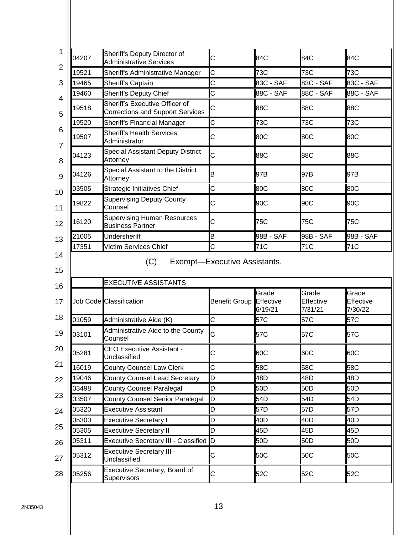| 04207          | Sheriff's Deputy Director of<br><b>Administrative Services</b>            | C                              | 84C              | 84C                           | 84C                           |
|----------------|---------------------------------------------------------------------------|--------------------------------|------------------|-------------------------------|-------------------------------|
| 19521          | Sheriff's Administrative Manager                                          | C                              | 73C              | 73C                           | 73C                           |
| 19465          | Sheriff's Captain                                                         | Ć                              | 83C - SAF        | 83C - SAF                     | 83C - SAF                     |
| 19460          | <b>Sheriff's Deputy Chief</b>                                             | Ć                              | 88C - SAF        | 88C - SAF                     | 88C - SAF                     |
| 19518          | Sheriff's Executive Officer of<br><b>Corrections and Support Services</b> | С                              | 88C              | 88C                           | 88C                           |
| 19520          | <b>Sheriff's Financial Manager</b>                                        | C                              | 73C              | 73C                           | 73C                           |
| 19507          | <b>Sheriff's Health Services</b><br>Administrator                         | С                              | 80C              | 80C                           | 80C                           |
| 04123          | <b>Special Assistant Deputy District</b><br>Attorney                      | Ć                              | 88C              | 88C                           | 88C                           |
| 04126          | Special Assistant to the District<br>Attorney                             | B                              | 97B              | 97B                           | 97B                           |
| 03505          | <b>Strategic Initiatives Chief</b>                                        | Ć                              | 80C              | 80C                           | 80C                           |
| 19822          | <b>Supervising Deputy County</b><br>Counsel                               | С                              | 90C              | 90C                           | 90C                           |
| 16120          | <b>Supervising Human Resources</b><br><b>Business Partner</b>             | C                              | 75C              | 75C                           | 75C                           |
| 21005          | Undersheriff                                                              | B                              | 98B - SAF        | 98B - SAF                     | 98B - SAF                     |
| 17351          | Victim Services Chief                                                     | Iс                             | 71C              | 71C                           | 71C                           |
|                | (C)                                                                       | Exempt-Executive Assistants.   |                  |                               |                               |
|                | <b>EXECUTIVE ASSISTANTS</b>                                               |                                |                  |                               |                               |
|                | Job Code Classification                                                   | <b>Benefit Group Effective</b> | Grade<br>6/19/21 | Grade<br>Effective<br>7/31/21 | Grade<br>Effective<br>7/30/22 |
| 01059          | Administrative Aide (K)                                                   | C                              | 57C              | 57C                           | 57C                           |
|                | Administrative Aide to the County<br>Counsel                              | С                              | 57C              | 57C                           | 57C                           |
| 03101<br>05281 | <b>CEO Executive Assistant -</b><br>Unclassified                          | C                              | 60C              | 60C                           | 60C                           |
| 16019          | <b>County Counsel Law Clerk</b>                                           | C                              | 58C              | 58C                           | 58C                           |
| 19046          | <b>County Counsel Lead Secretary</b>                                      | D                              | 48D              | 48D                           | 48D                           |
| 03498          | <b>County Counsel Paralegal</b>                                           | D                              | 50 <sub>D</sub>  | 50 <sub>D</sub>               | 50 <sub>D</sub>               |
| 03507          | <b>County Counsel Senior Paralegal</b>                                    | D                              | 54D              | 54D                           | 54D                           |
| 05320          | <b>Executive Assistant</b>                                                | D                              | 57D              | 57D                           | 57D                           |
| 05300          | <b>Executive Secretary I</b>                                              | D                              | 40D              | 40D                           | 40D                           |
| 05305          | <b>Executive Secretary II</b>                                             | D                              | 45D              | 45D                           | 45D                           |
| 05311          | Executive Secretary III - Classified D                                    |                                | 50 <sub>D</sub>  | 50 <sub>D</sub>               | 50 <sub>D</sub>               |
| 05312          | <b>Executive Secretary III -</b><br>Unclassified                          | C                              | 50C              | 50C                           | 50C                           |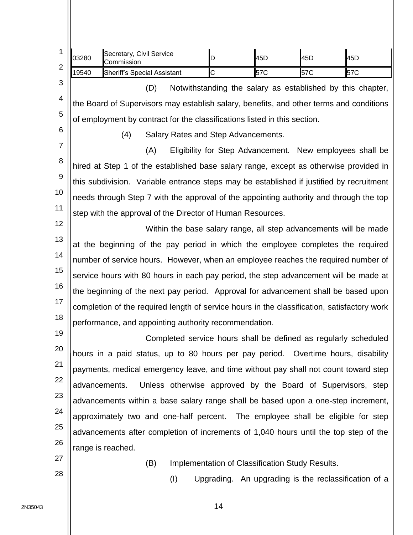| 1              | 03280         | Secretary, Civil Service<br>Commission                                                      | D                                                                | 45D | 45D | 45D |
|----------------|---------------|---------------------------------------------------------------------------------------------|------------------------------------------------------------------|-----|-----|-----|
| $\overline{2}$ | 19540         | <b>Sheriff's Special Assistant</b>                                                          | Ċ                                                                | 57C | 57C | 57C |
| 3              |               | (D)                                                                                         | Notwithstanding the salary as established by this chapter,       |     |     |     |
| 4              |               | the Board of Supervisors may establish salary, benefits, and other terms and conditions     |                                                                  |     |     |     |
| 5              |               | of employment by contract for the classifications listed in this section.                   |                                                                  |     |     |     |
| 6              |               | (4)                                                                                         | Salary Rates and Step Advancements.                              |     |     |     |
| $\overline{7}$ |               | (A)                                                                                         | Eligibility for Step Advancement. New employees shall be         |     |     |     |
| 8              |               | hired at Step 1 of the established base salary range, except as otherwise provided in       |                                                                  |     |     |     |
| 9              |               | this subdivision. Variable entrance steps may be established if justified by recruitment    |                                                                  |     |     |     |
| 10             |               | needs through Step 7 with the approval of the appointing authority and through the top      |                                                                  |     |     |     |
| 11             |               | step with the approval of the Director of Human Resources.                                  |                                                                  |     |     |     |
| 12             |               |                                                                                             | Within the base salary range, all step advancements will be made |     |     |     |
| 13             |               | at the beginning of the pay period in which the employee completes the required             |                                                                  |     |     |     |
| 14             |               | number of service hours. However, when an employee reaches the required number of           |                                                                  |     |     |     |
| 15             |               | service hours with 80 hours in each pay period, the step advancement will be made at        |                                                                  |     |     |     |
| 16             |               | the beginning of the next pay period. Approval for advancement shall be based upon          |                                                                  |     |     |     |
| 17             |               | completion of the required length of service hours in the classification, satisfactory work |                                                                  |     |     |     |
| 18             |               | performance, and appointing authority recommendation.                                       |                                                                  |     |     |     |
| 19             |               |                                                                                             | Completed service hours shall be defined as regularly scheduled  |     |     |     |
| 20             |               | hours in a paid status, up to 80 hours per pay period. Overtime hours, disability           |                                                                  |     |     |     |
| 21             |               | payments, medical emergency leave, and time without pay shall not count toward step         |                                                                  |     |     |     |
| 22             | advancements. |                                                                                             | Unless otherwise approved by the Board of Supervisors, step      |     |     |     |
| 23             |               | advancements within a base salary range shall be based upon a one-step increment,           |                                                                  |     |     |     |
| 24             |               | approximately two and one-half percent. The employee shall be eligible for step             |                                                                  |     |     |     |
| 25             |               | advancements after completion of increments of 1,040 hours until the top step of the        |                                                                  |     |     |     |
| 26             |               | range is reached.                                                                           |                                                                  |     |     |     |
| 27             |               | (B)                                                                                         | Implementation of Classification Study Results.                  |     |     |     |
| 28             |               | (I)                                                                                         | Upgrading. An upgrading is the reclassification of a             |     |     |     |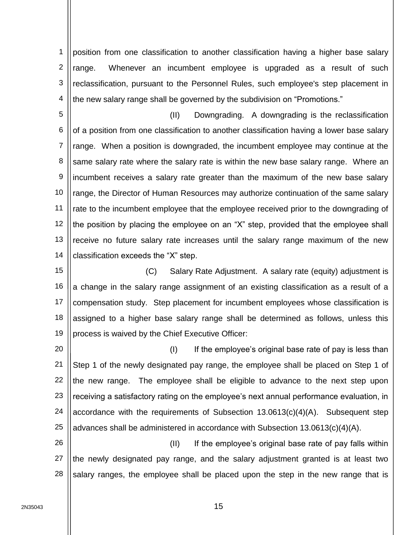1 2 3 4 position from one classification to another classification having a higher base salary range. Whenever an incumbent employee is upgraded as a result of such reclassification, pursuant to the Personnel Rules, such employee's step placement in the new salary range shall be governed by the subdivision on "Promotions."

5 6 7 8 9 10 11 12 13 14 (II) Downgrading. A downgrading is the reclassification of a position from one classification to another classification having a lower base salary range. When a position is downgraded, the incumbent employee may continue at the same salary rate where the salary rate is within the new base salary range. Where an incumbent receives a salary rate greater than the maximum of the new base salary range, the Director of Human Resources may authorize continuation of the same salary rate to the incumbent employee that the employee received prior to the downgrading of the position by placing the employee on an "X" step, provided that the employee shall receive no future salary rate increases until the salary range maximum of the new classification exceeds the "X" step.

15 16 17 18 19 (C) Salary Rate Adjustment. A salary rate (equity) adjustment is a change in the salary range assignment of an existing classification as a result of a compensation study. Step placement for incumbent employees whose classification is assigned to a higher base salary range shall be determined as follows, unless this process is waived by the Chief Executive Officer:

20 21 22 23 24 25  $(1)$  If the employee's original base rate of pay is less than Step 1 of the newly designated pay range, the employee shall be placed on Step 1 of the new range. The employee shall be eligible to advance to the next step upon receiving a satisfactory rating on the employee's next annual performance evaluation, in accordance with the requirements of Subsection 13.0613(c)(4)(A). Subsequent step advances shall be administered in accordance with Subsection 13.0613(c)(4)(A).

26 27 28 (II) If the employee's original base rate of pay falls within the newly designated pay range, and the salary adjustment granted is at least two salary ranges, the employee shall be placed upon the step in the new range that is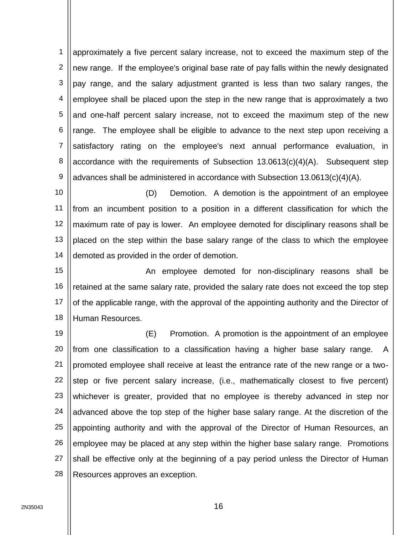1 2 3 4 5 6 7 8 9 approximately a five percent salary increase, not to exceed the maximum step of the new range. If the employee's original base rate of pay falls within the newly designated pay range, and the salary adjustment granted is less than two salary ranges, the employee shall be placed upon the step in the new range that is approximately a two and one-half percent salary increase, not to exceed the maximum step of the new range. The employee shall be eligible to advance to the next step upon receiving a satisfactory rating on the employee's next annual performance evaluation, in accordance with the requirements of Subsection 13.0613(c)(4)(A). Subsequent step advances shall be administered in accordance with Subsection 13.0613(c)(4)(A).

10 11 12 13 14 (D) Demotion. A demotion is the appointment of an employee from an incumbent position to a position in a different classification for which the maximum rate of pay is lower. An employee demoted for disciplinary reasons shall be placed on the step within the base salary range of the class to which the employee demoted as provided in the order of demotion.

15 16 17 18 An employee demoted for non-disciplinary reasons shall be retained at the same salary rate, provided the salary rate does not exceed the top step of the applicable range, with the approval of the appointing authority and the Director of Human Resources.

19 20 21 22 23 24 25 26 27 28 (E) Promotion. A promotion is the appointment of an employee from one classification to a classification having a higher base salary range. A promoted employee shall receive at least the entrance rate of the new range or a twostep or five percent salary increase, (i.e., mathematically closest to five percent) whichever is greater, provided that no employee is thereby advanced in step nor advanced above the top step of the higher base salary range. At the discretion of the appointing authority and with the approval of the Director of Human Resources, an employee may be placed at any step within the higher base salary range. Promotions shall be effective only at the beginning of a pay period unless the Director of Human Resources approves an exception.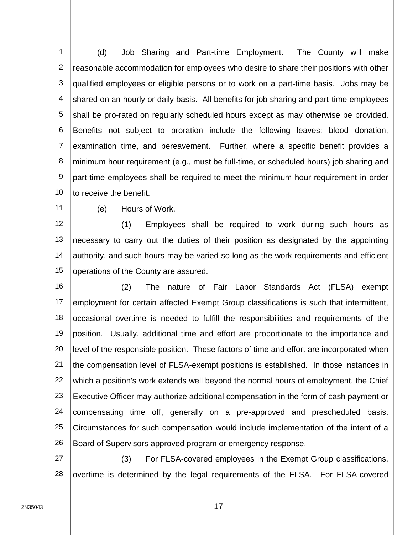1 2 3 4 5 6 7 8 9 10 (d) Job Sharing and Part-time Employment. The County will make reasonable accommodation for employees who desire to share their positions with other qualified employees or eligible persons or to work on a part-time basis. Jobs may be shared on an hourly or daily basis. All benefits for job sharing and part-time employees shall be pro-rated on regularly scheduled hours except as may otherwise be provided. Benefits not subject to proration include the following leaves: blood donation, examination time, and bereavement. Further, where a specific benefit provides a minimum hour requirement (e.g., must be full-time, or scheduled hours) job sharing and part-time employees shall be required to meet the minimum hour requirement in order to receive the benefit.

11

(e) Hours of Work.

12 13 14 15 (1) Employees shall be required to work during such hours as necessary to carry out the duties of their position as designated by the appointing authority, and such hours may be varied so long as the work requirements and efficient operations of the County are assured.

16 17 18 19 20 21 22 23 24 25 26 (2) The nature of Fair Labor Standards Act (FLSA) exempt employment for certain affected Exempt Group classifications is such that intermittent, occasional overtime is needed to fulfill the responsibilities and requirements of the position. Usually, additional time and effort are proportionate to the importance and level of the responsible position. These factors of time and effort are incorporated when the compensation level of FLSA-exempt positions is established. In those instances in which a position's work extends well beyond the normal hours of employment, the Chief Executive Officer may authorize additional compensation in the form of cash payment or compensating time off, generally on a pre-approved and prescheduled basis. Circumstances for such compensation would include implementation of the intent of a Board of Supervisors approved program or emergency response.

27 28 (3) For FLSA-covered employees in the Exempt Group classifications, overtime is determined by the legal requirements of the FLSA. For FLSA-covered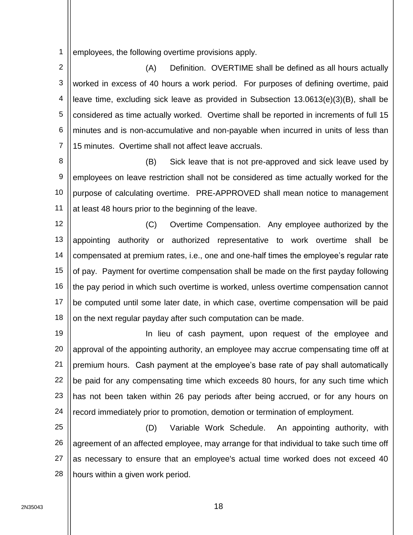1 employees, the following overtime provisions apply.

2 3 4 5 6 7 (A) Definition. OVERTIME shall be defined as all hours actually worked in excess of 40 hours a work period. For purposes of defining overtime, paid leave time, excluding sick leave as provided in Subsection 13.0613(e)(3)(B), shall be considered as time actually worked. Overtime shall be reported in increments of full 15 minutes and is non-accumulative and non-payable when incurred in units of less than 15 minutes. Overtime shall not affect leave accruals.

8 9 10 11 (B) Sick leave that is not pre-approved and sick leave used by employees on leave restriction shall not be considered as time actually worked for the purpose of calculating overtime. PRE-APPROVED shall mean notice to management at least 48 hours prior to the beginning of the leave.

12 13 14 15 16 17 18 (C) Overtime Compensation. Any employee authorized by the appointing authority or authorized representative to work overtime shall be compensated at premium rates, i.e., one and one-half times the employee's regular rate of pay. Payment for overtime compensation shall be made on the first payday following the pay period in which such overtime is worked, unless overtime compensation cannot be computed until some later date, in which case, overtime compensation will be paid on the next regular payday after such computation can be made.

19 20 21 22 23 24 In lieu of cash payment, upon request of the employee and approval of the appointing authority, an employee may accrue compensating time off at premium hours. Cash payment at the employee's base rate of pay shall automatically be paid for any compensating time which exceeds 80 hours, for any such time which has not been taken within 26 pay periods after being accrued, or for any hours on record immediately prior to promotion, demotion or termination of employment.

25 26 27 28 (D) Variable Work Schedule. An appointing authority, with agreement of an affected employee, may arrange for that individual to take such time off as necessary to ensure that an employee's actual time worked does not exceed 40 hours within a given work period.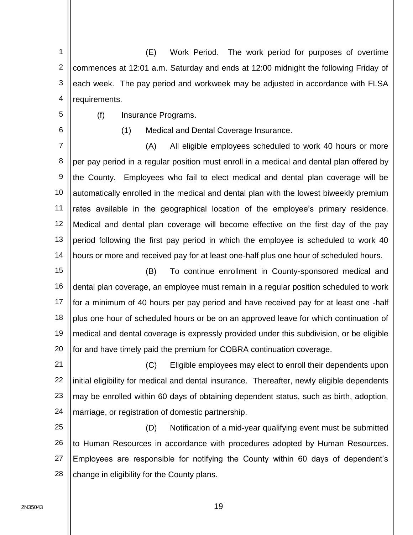1 2 3 4 (E) Work Period. The work period for purposes of overtime commences at 12:01 a.m. Saturday and ends at 12:00 midnight the following Friday of each week. The pay period and workweek may be adjusted in accordance with FLSA requirements.

5

6

(f) Insurance Programs.

(1) Medical and Dental Coverage Insurance.

7 8 9 10 11 12 13 14 (A) All eligible employees scheduled to work 40 hours or more per pay period in a regular position must enroll in a medical and dental plan offered by the County. Employees who fail to elect medical and dental plan coverage will be automatically enrolled in the medical and dental plan with the lowest biweekly premium rates available in the geographical location of the employee's primary residence. Medical and dental plan coverage will become effective on the first day of the pay period following the first pay period in which the employee is scheduled to work 40 hours or more and received pay for at least one-half plus one hour of scheduled hours.

15 16 17 18 19 20 (B) To continue enrollment in County-sponsored medical and dental plan coverage, an employee must remain in a regular position scheduled to work for a minimum of 40 hours per pay period and have received pay for at least one -half plus one hour of scheduled hours or be on an approved leave for which continuation of medical and dental coverage is expressly provided under this subdivision, or be eligible for and have timely paid the premium for COBRA continuation coverage.

21 22 23 24 (C) Eligible employees may elect to enroll their dependents upon initial eligibility for medical and dental insurance. Thereafter, newly eligible dependents may be enrolled within 60 days of obtaining dependent status, such as birth, adoption, marriage, or registration of domestic partnership.

25 26 27 28 (D) Notification of a mid-year qualifying event must be submitted to Human Resources in accordance with procedures adopted by Human Resources. Employees are responsible for notifying the County within 60 days of dependent's change in eligibility for the County plans.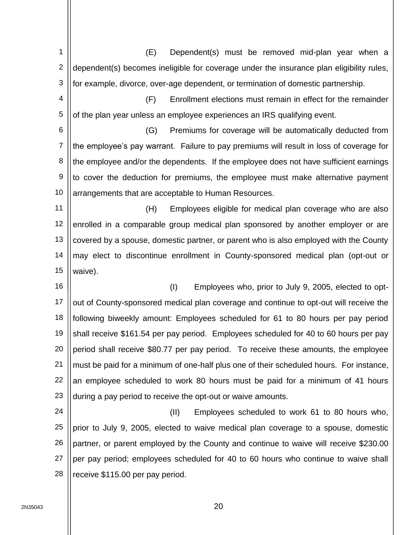1 2 3 4 5 6 7 8 9 10 11 12 13 14 15 16 17 18 19 20 21 22 23 24 25 26 27 28 (E) Dependent(s) must be removed mid-plan year when a dependent(s) becomes ineligible for coverage under the insurance plan eligibility rules, for example, divorce, over-age dependent, or termination of domestic partnership. (F) Enrollment elections must remain in effect for the remainder of the plan year unless an employee experiences an IRS qualifying event. (G) Premiums for coverage will be automatically deducted from the employee's pay warrant. Failure to pay premiums will result in loss of coverage for the employee and/or the dependents. If the employee does not have sufficient earnings to cover the deduction for premiums, the employee must make alternative payment arrangements that are acceptable to Human Resources. (H) Employees eligible for medical plan coverage who are also enrolled in a comparable group medical plan sponsored by another employer or are covered by a spouse, domestic partner, or parent who is also employed with the County may elect to discontinue enrollment in County-sponsored medical plan (opt-out or waive). (I) Employees who, prior to July 9, 2005, elected to optout of County-sponsored medical plan coverage and continue to opt-out will receive the following biweekly amount: Employees scheduled for 61 to 80 hours per pay period shall receive \$161.54 per pay period. Employees scheduled for 40 to 60 hours per pay period shall receive \$80.77 per pay period. To receive these amounts, the employee must be paid for a minimum of one-half plus one of their scheduled hours. For instance, an employee scheduled to work 80 hours must be paid for a minimum of 41 hours during a pay period to receive the opt-out or waive amounts. (II) Employees scheduled to work 61 to 80 hours who, prior to July 9, 2005, elected to waive medical plan coverage to a spouse, domestic partner, or parent employed by the County and continue to waive will receive \$230.00 per pay period; employees scheduled for 40 to 60 hours who continue to waive shall receive \$115.00 per pay period.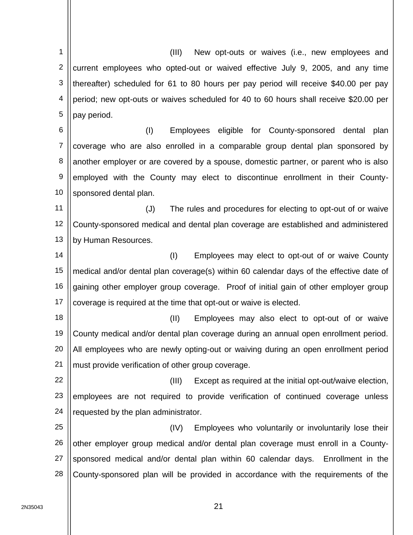1 2 3 4 5 6 7 8 9 10 11 12 13 14 15 16 17 18 19 20 21 22 23 24 25 26 27 28 (III) New opt-outs or waives (i.e., new employees and current employees who opted-out or waived effective July 9, 2005, and any time thereafter) scheduled for 61 to 80 hours per pay period will receive \$40.00 per pay period; new opt-outs or waives scheduled for 40 to 60 hours shall receive \$20.00 per pay period. (I) Employees eligible for County-sponsored dental plan coverage who are also enrolled in a comparable group dental plan sponsored by another employer or are covered by a spouse, domestic partner, or parent who is also employed with the County may elect to discontinue enrollment in their Countysponsored dental plan. (J) The rules and procedures for electing to opt-out of or waive County-sponsored medical and dental plan coverage are established and administered by Human Resources. (I) Employees may elect to opt-out of or waive County medical and/or dental plan coverage(s) within 60 calendar days of the effective date of gaining other employer group coverage. Proof of initial gain of other employer group coverage is required at the time that opt-out or waive is elected. (II) Employees may also elect to opt-out of or waive County medical and/or dental plan coverage during an annual open enrollment period. All employees who are newly opting-out or waiving during an open enrollment period must provide verification of other group coverage. (III) Except as required at the initial opt-out/waive election, employees are not required to provide verification of continued coverage unless requested by the plan administrator. (IV) Employees who voluntarily or involuntarily lose their other employer group medical and/or dental plan coverage must enroll in a Countysponsored medical and/or dental plan within 60 calendar days. Enrollment in the County-sponsored plan will be provided in accordance with the requirements of the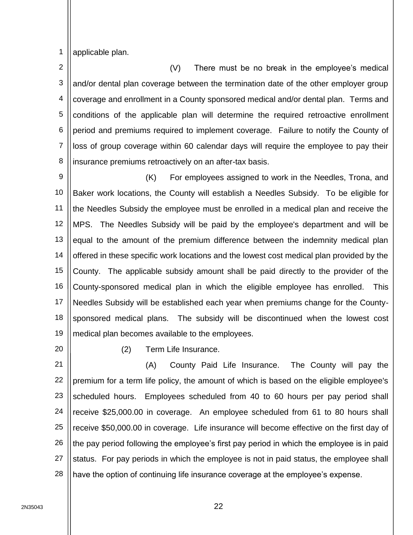1 applicable plan.

2 3 4 5 6 7 8 (V) There must be no break in the employee's medical and/or dental plan coverage between the termination date of the other employer group coverage and enrollment in a County sponsored medical and/or dental plan. Terms and conditions of the applicable plan will determine the required retroactive enrollment period and premiums required to implement coverage. Failure to notify the County of loss of group coverage within 60 calendar days will require the employee to pay their insurance premiums retroactively on an after-tax basis.

9 10 11 12 13 14 15 16 17 18 19 (K) For employees assigned to work in the Needles, Trona, and Baker work locations, the County will establish a Needles Subsidy. To be eligible for the Needles Subsidy the employee must be enrolled in a medical plan and receive the MPS. The Needles Subsidy will be paid by the employee's department and will be equal to the amount of the premium difference between the indemnity medical plan offered in these specific work locations and the lowest cost medical plan provided by the County. The applicable subsidy amount shall be paid directly to the provider of the County-sponsored medical plan in which the eligible employee has enrolled. This Needles Subsidy will be established each year when premiums change for the Countysponsored medical plans. The subsidy will be discontinued when the lowest cost medical plan becomes available to the employees.

20

(2) Term Life Insurance.

21 22 23 24 25 26 27 28 (A) County Paid Life Insurance. The County will pay the premium for a term life policy, the amount of which is based on the eligible employee's scheduled hours. Employees scheduled from 40 to 60 hours per pay period shall receive \$25,000.00 in coverage. An employee scheduled from 61 to 80 hours shall receive \$50,000.00 in coverage. Life insurance will become effective on the first day of the pay period following the employee's first pay period in which the employee is in paid status. For pay periods in which the employee is not in paid status, the employee shall have the option of continuing life insurance coverage at the employee's expense.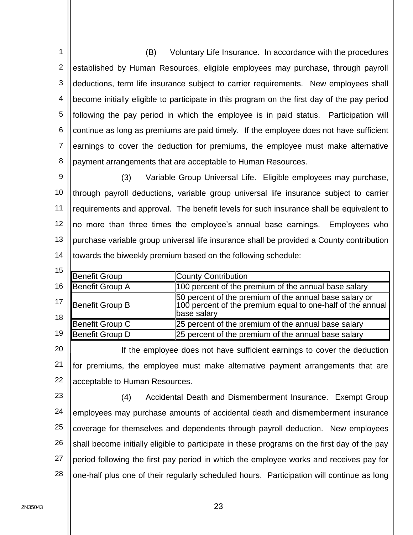1 2 3 4 5 6 7 8 (B) Voluntary Life Insurance. In accordance with the procedures established by Human Resources, eligible employees may purchase, through payroll deductions, term life insurance subject to carrier requirements. New employees shall become initially eligible to participate in this program on the first day of the pay period following the pay period in which the employee is in paid status. Participation will continue as long as premiums are paid timely. If the employee does not have sufficient earnings to cover the deduction for premiums, the employee must make alternative payment arrangements that are acceptable to Human Resources.

9 10 11 12 13 14 (3) Variable Group Universal Life. Eligible employees may purchase, through payroll deductions, variable group universal life insurance subject to carrier requirements and approval. The benefit levels for such insurance shall be equivalent to no more than three times the employee's annual base earnings. Employees who purchase variable group universal life insurance shall be provided a County contribution towards the biweekly premium based on the following schedule:

| 15 |                      |                                                                                                                                     |
|----|----------------------|-------------------------------------------------------------------------------------------------------------------------------------|
|    | <b>Benefit Group</b> | <b>County Contribution</b>                                                                                                          |
| 16 | Benefit Group A      | 100 percent of the premium of the annual base salary                                                                                |
| 18 | Benefit Group B      | 50 percent of the premium of the annual base salary or<br>100 percent of the premium equal to one-half of the annual<br>base salary |
|    | Benefit Group C      | 25 percent of the premium of the annual base salary                                                                                 |
| 19 | Benefit Group D      | 25 percent of the premium of the annual base salary                                                                                 |
|    |                      |                                                                                                                                     |

20 21 22 If the employee does not have sufficient earnings to cover the deduction for premiums, the employee must make alternative payment arrangements that are acceptable to Human Resources.

23 24 25 26 27 28 (4) Accidental Death and Dismemberment Insurance. Exempt Group employees may purchase amounts of accidental death and dismemberment insurance coverage for themselves and dependents through payroll deduction. New employees shall become initially eligible to participate in these programs on the first day of the pay period following the first pay period in which the employee works and receives pay for one-half plus one of their regularly scheduled hours. Participation will continue as long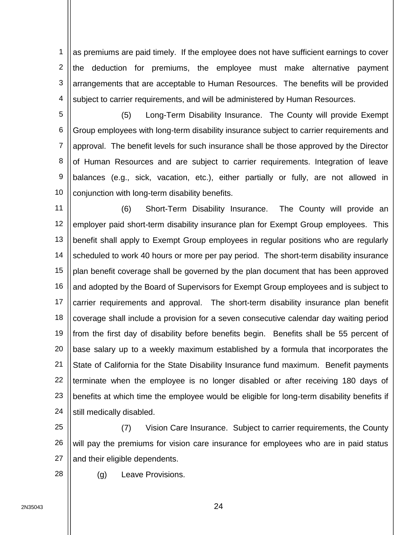1 2 3 4 as premiums are paid timely. If the employee does not have sufficient earnings to cover the deduction for premiums, the employee must make alternative payment arrangements that are acceptable to Human Resources. The benefits will be provided subject to carrier requirements, and will be administered by Human Resources.

5 6 7 8 9 10 (5) Long-Term Disability Insurance. The County will provide Exempt Group employees with long-term disability insurance subject to carrier requirements and approval. The benefit levels for such insurance shall be those approved by the Director of Human Resources and are subject to carrier requirements. Integration of leave balances (e.g., sick, vacation, etc.), either partially or fully, are not allowed in conjunction with long-term disability benefits.

11 12 13 14 15 16 17 18 19 20 21 22 23 24 (6) Short-Term Disability Insurance. The County will provide an employer paid short-term disability insurance plan for Exempt Group employees. This benefit shall apply to Exempt Group employees in regular positions who are regularly scheduled to work 40 hours or more per pay period. The short-term disability insurance plan benefit coverage shall be governed by the plan document that has been approved and adopted by the Board of Supervisors for Exempt Group employees and is subject to carrier requirements and approval. The short-term disability insurance plan benefit coverage shall include a provision for a seven consecutive calendar day waiting period from the first day of disability before benefits begin. Benefits shall be 55 percent of base salary up to a weekly maximum established by a formula that incorporates the State of California for the State Disability Insurance fund maximum. Benefit payments terminate when the employee is no longer disabled or after receiving 180 days of benefits at which time the employee would be eligible for long-term disability benefits if still medically disabled.

25 26 27 (7) Vision Care Insurance. Subject to carrier requirements, the County will pay the premiums for vision care insurance for employees who are in paid status and their eligible dependents.

28 (g) Leave Provisions.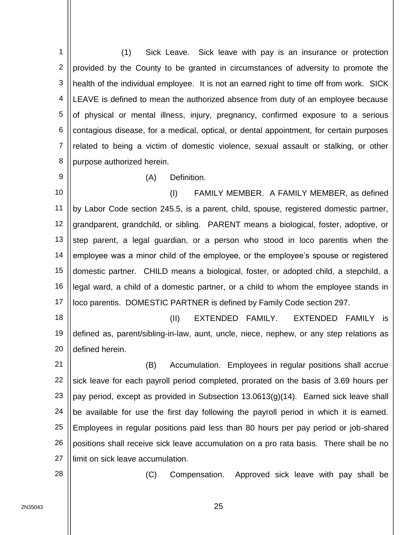1 2 3 4 5 6 7 8 (1) Sick Leave. Sick leave with pay is an insurance or protection provided by the County to be granted in circumstances of adversity to promote the health of the individual employee. It is not an earned right to time off from work. SICK LEAVE is defined to mean the authorized absence from duty of an employee because of physical or mental illness, injury, pregnancy, confirmed exposure to a serious contagious disease, for a medical, optical, or dental appointment, for certain purposes related to being a victim of domestic violence, sexual assault or stalking, or other purpose authorized herein.

9

## (A) Definition.

10 11 12 13 14 15 16 17 (I) FAMILY MEMBER. A FAMILY MEMBER, as defined by Labor Code section 245.5, is a parent, child, spouse, registered domestic partner, grandparent, grandchild, or sibling. PARENT means a biological, foster, adoptive, or step parent, a legal guardian, or a person who stood in loco parentis when the employee was a minor child of the employee, or the employee's spouse or registered domestic partner. CHILD means a biological, foster, or adopted child, a stepchild, a legal ward, a child of a domestic partner, or a child to whom the employee stands in loco parentis. DOMESTIC PARTNER is defined by Family Code section 297.

18 19 20 (II) EXTENDED FAMILY. EXTENDED FAMILY is defined as, parent/sibling-in-law, aunt, uncle, niece, nephew, or any step relations as defined herein.

21 22 23 24 25 26 27 (B) Accumulation. Employees in regular positions shall accrue sick leave for each payroll period completed, prorated on the basis of 3.69 hours per pay period, except as provided in Subsection 13.0613(g)(14). Earned sick leave shall be available for use the first day following the payroll period in which it is earned. Employees in regular positions paid less than 80 hours per pay period or job-shared positions shall receive sick leave accumulation on a pro rata basis. There shall be no limit on sick leave accumulation.

28

(C) Compensation. Approved sick leave with pay shall be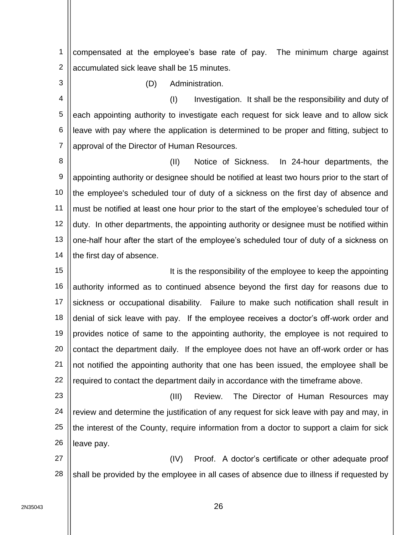1 2 compensated at the employee's base rate of pay. The minimum charge against accumulated sick leave shall be 15 minutes.

3

(D) Administration.

4 5 6 7 (I) Investigation. It shall be the responsibility and duty of each appointing authority to investigate each request for sick leave and to allow sick leave with pay where the application is determined to be proper and fitting, subject to approval of the Director of Human Resources.

8 9 10 11 12 13 14 (II) Notice of Sickness. In 24-hour departments, the appointing authority or designee should be notified at least two hours prior to the start of the employee's scheduled tour of duty of a sickness on the first day of absence and must be notified at least one hour prior to the start of the employee's scheduled tour of duty. In other departments, the appointing authority or designee must be notified within one-half hour after the start of the employee's scheduled tour of duty of a sickness on the first day of absence.

15 16 17 18 19 20 21 22 It is the responsibility of the employee to keep the appointing authority informed as to continued absence beyond the first day for reasons due to sickness or occupational disability. Failure to make such notification shall result in denial of sick leave with pay. If the employee receives a doctor's off-work order and provides notice of same to the appointing authority, the employee is not required to contact the department daily. If the employee does not have an off-work order or has not notified the appointing authority that one has been issued, the employee shall be required to contact the department daily in accordance with the timeframe above.

23 24 25 26 (III) Review. The Director of Human Resources may review and determine the justification of any request for sick leave with pay and may, in the interest of the County, require information from a doctor to support a claim for sick leave pay.

27 28 (IV) Proof. A doctor's certificate or other adequate proof shall be provided by the employee in all cases of absence due to illness if requested by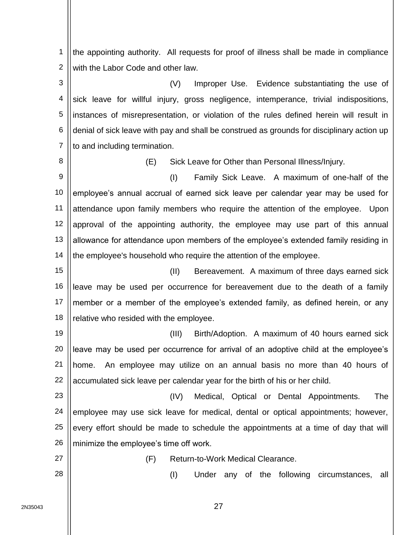1 2 the appointing authority. All requests for proof of illness shall be made in compliance with the Labor Code and other law.

3 4 5 6 7 (V) Improper Use. Evidence substantiating the use of sick leave for willful injury, gross negligence, intemperance, trivial indispositions, instances of misrepresentation, or violation of the rules defined herein will result in denial of sick leave with pay and shall be construed as grounds for disciplinary action up to and including termination.

8

(E) Sick Leave for Other than Personal Illness/Injury.

9 10 11 12 13 14 (I) Family Sick Leave. A maximum of one-half of the employee's annual accrual of earned sick leave per calendar year may be used for attendance upon family members who require the attention of the employee. Upon approval of the appointing authority, the employee may use part of this annual allowance for attendance upon members of the employee's extended family residing in the employee's household who require the attention of the employee.

15 16 17 18 (II) Bereavement. A maximum of three days earned sick leave may be used per occurrence for bereavement due to the death of a family member or a member of the employee's extended family, as defined herein, or any relative who resided with the employee.

19 20 21 22 (III) Birth/Adoption. A maximum of 40 hours earned sick leave may be used per occurrence for arrival of an adoptive child at the employee's home. An employee may utilize on an annual basis no more than 40 hours of accumulated sick leave per calendar year for the birth of his or her child.

23 24 25 26 (IV) Medical, Optical or Dental Appointments. The employee may use sick leave for medical, dental or optical appointments; however, every effort should be made to schedule the appointments at a time of day that will minimize the employee's time off work.

27

(F) Return-to-Work Medical Clearance.

28

(I) Under any of the following circumstances, all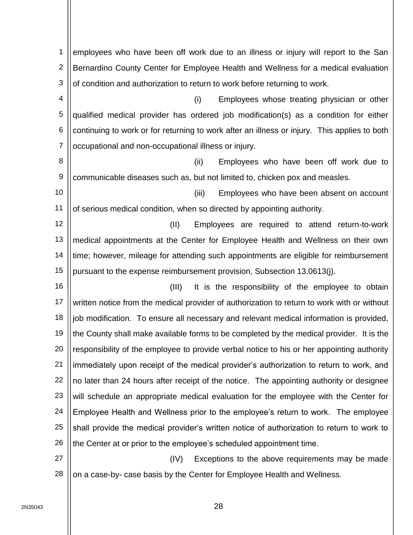1 2 3 employees who have been off work due to an illness or injury will report to the San Bernardino County Center for Employee Health and Wellness for a medical evaluation of condition and authorization to return to work before returning to work.

4 5 6 7 (i) Employees whose treating physician or other qualified medical provider has ordered job modification(s) as a condition for either continuing to work or for returning to work after an illness or injury. This applies to both occupational and non-occupational illness or injury.

8 9 (ii) Employees who have been off work due to communicable diseases such as, but not limited to, chicken pox and measles.

10 11 (iii) Employees who have been absent on account of serious medical condition, when so directed by appointing authority.

12 13 14 15 (II) Employees are required to attend return-to-work medical appointments at the Center for Employee Health and Wellness on their own time; however, mileage for attending such appointments are eligible for reimbursement pursuant to the expense reimbursement provision, Subsection 13.0613(j).

16 17 18 19 20 21 22 23 24 25 26 (III) It is the responsibility of the employee to obtain written notice from the medical provider of authorization to return to work with or without job modification. To ensure all necessary and relevant medical information is provided, the County shall make available forms to be completed by the medical provider. It is the responsibility of the employee to provide verbal notice to his or her appointing authority immediately upon receipt of the medical provider's authorization to return to work, and no later than 24 hours after receipt of the notice. The appointing authority or designee will schedule an appropriate medical evaluation for the employee with the Center for Employee Health and Wellness prior to the employee's return to work. The employee shall provide the medical provider's written notice of authorization to return to work to the Center at or prior to the employee's scheduled appointment time.

27 28 (IV) Exceptions to the above requirements may be made on a case-by- case basis by the Center for Employee Health and Wellness.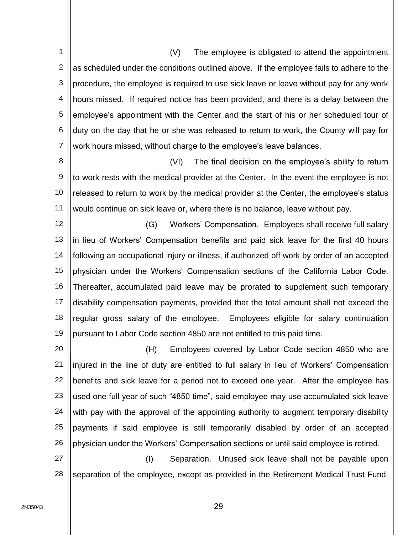1 2 3 4 5 6 7 (V) The employee is obligated to attend the appointment as scheduled under the conditions outlined above. If the employee fails to adhere to the procedure, the employee is required to use sick leave or leave without pay for any work hours missed. If required notice has been provided, and there is a delay between the employee's appointment with the Center and the start of his or her scheduled tour of duty on the day that he or she was released to return to work, the County will pay for work hours missed, without charge to the employee's leave balances.

8 9 10 11 (VI) The final decision on the employee's ability to return to work rests with the medical provider at the Center. In the event the employee is not released to return to work by the medical provider at the Center, the employee's status would continue on sick leave or, where there is no balance, leave without pay.

12 13 14 15 16 17 18 19 (G) Workers' Compensation. Employees shall receive full salary in lieu of Workers' Compensation benefits and paid sick leave for the first 40 hours following an occupational injury or illness, if authorized off work by order of an accepted physician under the Workers' Compensation sections of the California Labor Code. Thereafter, accumulated paid leave may be prorated to supplement such temporary disability compensation payments, provided that the total amount shall not exceed the regular gross salary of the employee. Employees eligible for salary continuation pursuant to Labor Code section 4850 are not entitled to this paid time.

20 21 22 23 24 25 26 (H) Employees covered by Labor Code section 4850 who are injured in the line of duty are entitled to full salary in lieu of Workers' Compensation benefits and sick leave for a period not to exceed one year. After the employee has used one full year of such "4850 time", said employee may use accumulated sick leave with pay with the approval of the appointing authority to augment temporary disability payments if said employee is still temporarily disabled by order of an accepted physician under the Workers' Compensation sections or until said employee is retired.

27 28 (I) Separation. Unused sick leave shall not be payable upon separation of the employee, except as provided in the Retirement Medical Trust Fund,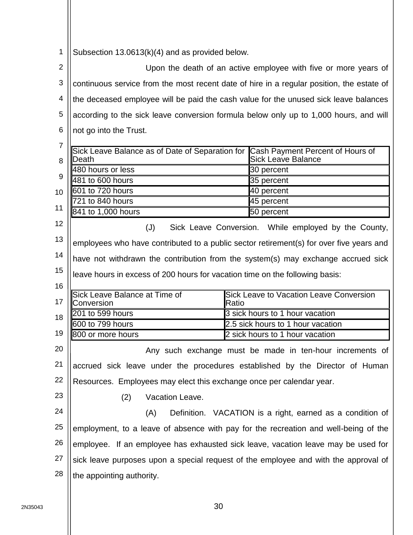1 Subsection 13.0613(k)(4) and as provided below.

2 3 4 5 6 7 8  $\mathbf{Q}$ 10 11 12 13 14 15 16 17 18 19 20 21 22 23 24 25 26 27 28 Upon the death of an active employee with five or more years of continuous service from the most recent date of hire in a regular position, the estate of the deceased employee will be paid the cash value for the unused sick leave balances according to the sick leave conversion formula below only up to 1,000 hours, and will not go into the Trust. Sick Leave Balance as of Date of Separation for Cash Payment Percent of Hours of Death Sick Leave Balance 480 hours or less 30 percent 481 to 600 hours 35 percent 601 to 720 hours and the set of the 40 percent 721 to 840 hours and the set of the 45 percent 841 to 1,000 hours 50 percent (J) Sick Leave Conversion. While employed by the County, employees who have contributed to a public sector retirement(s) for over five years and have not withdrawn the contribution from the system(s) may exchange accrued sick leave hours in excess of 200 hours for vacation time on the following basis: Sick Leave Balance at Time of Conversion Sick Leave to Vacation Leave Conversion Ratio 201 to 599 hours 3 sick hours to 1 hour vacation 600 to 799 hours 2.5 sick hours to 1 hour vacation 800 or more hours 2 sick hours to 1 hour vacation Any such exchange must be made in ten-hour increments of accrued sick leave under the procedures established by the Director of Human Resources. Employees may elect this exchange once per calendar year. (2) Vacation Leave. (A) Definition. VACATION is a right, earned as a condition of employment, to a leave of absence with pay for the recreation and well-being of the employee. If an employee has exhausted sick leave, vacation leave may be used for sick leave purposes upon a special request of the employee and with the approval of the appointing authority.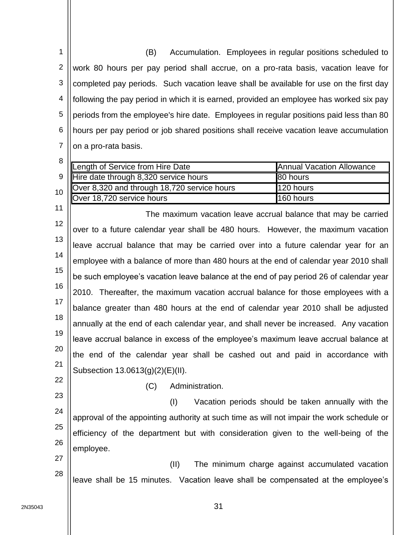1 2 3 4 5 6 7 (B) Accumulation. Employees in regular positions scheduled to work 80 hours per pay period shall accrue, on a pro-rata basis, vacation leave for completed pay periods. Such vacation leave shall be available for use on the first day following the pay period in which it is earned, provided an employee has worked six pay periods from the employee's hire date. Employees in regular positions paid less than 80 hours per pay period or job shared positions shall receive vacation leave accumulation on a pro-rata basis.

|                 | Length of Service from Hire Date            | <b>Annual Vacation Allowance</b> |
|-----------------|---------------------------------------------|----------------------------------|
|                 | 9   Hire date through 8,320 service hours   | 80 hours                         |
| 10 <sup>1</sup> | Over 8,320 and through 18,720 service hours | 120 hours                        |
|                 | <b>Over 18,720 service hours</b>            | 160 hours                        |

12 13 14 15 16 17 18 19 20 21 The maximum vacation leave accrual balance that may be carried over to a future calendar year shall be 480 hours. However, the maximum vacation leave accrual balance that may be carried over into a future calendar year for an employee with a balance of more than 480 hours at the end of calendar year 2010 shall be such employee's vacation leave balance at the end of pay period 26 of calendar year 2010. Thereafter, the maximum vacation accrual balance for those employees with a balance greater than 480 hours at the end of calendar year 2010 shall be adjusted annually at the end of each calendar year, and shall never be increased. Any vacation leave accrual balance in excess of the employee's maximum leave accrual balance at the end of the calendar year shall be cashed out and paid in accordance with Subsection 13.0613(g)(2)(E)(II).

22

11

(C) Administration.

23 24 25 26 (I) Vacation periods should be taken annually with the approval of the appointing authority at such time as will not impair the work schedule or efficiency of the department but with consideration given to the well-being of the employee.

27 28 (II) The minimum charge against accumulated vacation leave shall be 15 minutes. Vacation leave shall be compensated at the employee's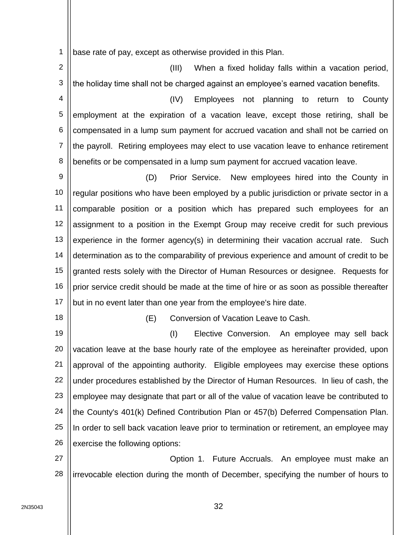1 base rate of pay, except as otherwise provided in this Plan.

2 3 (III) When a fixed holiday falls within a vacation period, the holiday time shall not be charged against an employee's earned vacation benefits.

4 5 6 7 8 (IV) Employees not planning to return to County employment at the expiration of a vacation leave, except those retiring, shall be compensated in a lump sum payment for accrued vacation and shall not be carried on the payroll. Retiring employees may elect to use vacation leave to enhance retirement benefits or be compensated in a lump sum payment for accrued vacation leave.

9 10 11 12 13 14 15 16 17 (D) Prior Service. New employees hired into the County in regular positions who have been employed by a public jurisdiction or private sector in a comparable position or a position which has prepared such employees for an assignment to a position in the Exempt Group may receive credit for such previous experience in the former agency(s) in determining their vacation accrual rate. Such determination as to the comparability of previous experience and amount of credit to be granted rests solely with the Director of Human Resources or designee. Requests for prior service credit should be made at the time of hire or as soon as possible thereafter but in no event later than one year from the employee's hire date.

18

(E) Conversion of Vacation Leave to Cash.

19 20 21 22 23 24 25 26 (I) Elective Conversion. An employee may sell back vacation leave at the base hourly rate of the employee as hereinafter provided, upon approval of the appointing authority. Eligible employees may exercise these options under procedures established by the Director of Human Resources. In lieu of cash, the employee may designate that part or all of the value of vacation leave be contributed to the County's 401(k) Defined Contribution Plan or 457(b) Deferred Compensation Plan. In order to sell back vacation leave prior to termination or retirement, an employee may exercise the following options:

27 28 Option 1. Future Accruals. An employee must make an irrevocable election during the month of December, specifying the number of hours to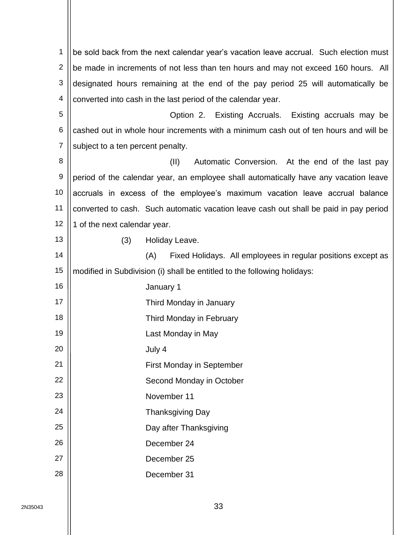1 2 3 4 5 6 7 8 9 10 11 12 13 14 15 16 17 18 19 20 21 22 23 24 25 26 27 28 be sold back from the next calendar year's vacation leave accrual. Such election must be made in increments of not less than ten hours and may not exceed 160 hours. All designated hours remaining at the end of the pay period 25 will automatically be converted into cash in the last period of the calendar year. Option 2. Existing Accruals. Existing accruals may be cashed out in whole hour increments with a minimum cash out of ten hours and will be subject to a ten percent penalty. (II) Automatic Conversion. At the end of the last pay period of the calendar year, an employee shall automatically have any vacation leave accruals in excess of the employee's maximum vacation leave accrual balance converted to cash. Such automatic vacation leave cash out shall be paid in pay period 1 of the next calendar year. (3) Holiday Leave. (A) Fixed Holidays. All employees in regular positions except as modified in Subdivision (i) shall be entitled to the following holidays: January 1 Third Monday in January Third Monday in February Last Monday in May July 4 First Monday in September Second Monday in October November 11 Thanksgiving Day Day after Thanksgiving December 24 December 25 December 31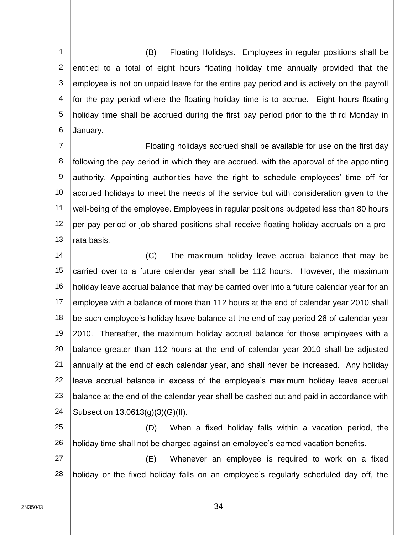1 2 3 4 5 6 (B) Floating Holidays. Employees in regular positions shall be entitled to a total of eight hours floating holiday time annually provided that the employee is not on unpaid leave for the entire pay period and is actively on the payroll for the pay period where the floating holiday time is to accrue. Eight hours floating holiday time shall be accrued during the first pay period prior to the third Monday in January.

7 8 9 10 11 12 13 Floating holidays accrued shall be available for use on the first day following the pay period in which they are accrued, with the approval of the appointing authority. Appointing authorities have the right to schedule employees' time off for accrued holidays to meet the needs of the service but with consideration given to the well-being of the employee. Employees in regular positions budgeted less than 80 hours per pay period or job-shared positions shall receive floating holiday accruals on a prorata basis.

14 15 16 17 18 19 20 21 22 23 24 (C) The maximum holiday leave accrual balance that may be carried over to a future calendar year shall be 112 hours. However, the maximum holiday leave accrual balance that may be carried over into a future calendar year for an employee with a balance of more than 112 hours at the end of calendar year 2010 shall be such employee's holiday leave balance at the end of pay period 26 of calendar year 2010. Thereafter, the maximum holiday accrual balance for those employees with a balance greater than 112 hours at the end of calendar year 2010 shall be adjusted annually at the end of each calendar year, and shall never be increased. Any holiday leave accrual balance in excess of the employee's maximum holiday leave accrual balance at the end of the calendar year shall be cashed out and paid in accordance with Subsection 13.0613(g)(3)(G)(II).

25 26 (D) When a fixed holiday falls within a vacation period, the holiday time shall not be charged against an employee's earned vacation benefits.

27 28 (E) Whenever an employee is required to work on a fixed holiday or the fixed holiday falls on an employee's regularly scheduled day off, the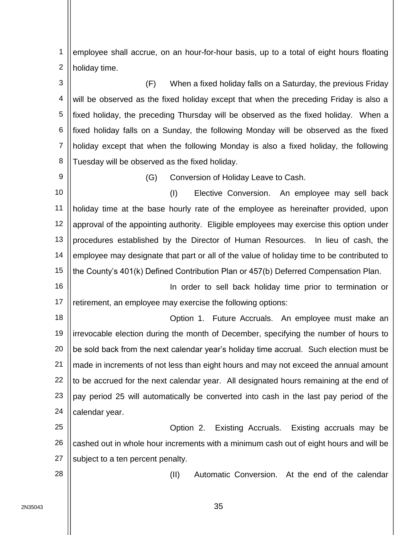1 2 employee shall accrue, on an hour-for-hour basis, up to a total of eight hours floating holiday time.

3 4 5 6 7 8 (F) When a fixed holiday falls on a Saturday, the previous Friday will be observed as the fixed holiday except that when the preceding Friday is also a fixed holiday, the preceding Thursday will be observed as the fixed holiday. When a fixed holiday falls on a Sunday, the following Monday will be observed as the fixed holiday except that when the following Monday is also a fixed holiday, the following Tuesday will be observed as the fixed holiday.

9

(G) Conversion of Holiday Leave to Cash.

10 11 12 13 14 15 (I) Elective Conversion. An employee may sell back holiday time at the base hourly rate of the employee as hereinafter provided, upon approval of the appointing authority. Eligible employees may exercise this option under procedures established by the Director of Human Resources. In lieu of cash, the employee may designate that part or all of the value of holiday time to be contributed to the County's 401(k) Defined Contribution Plan or 457(b) Deferred Compensation Plan.

16 17 In order to sell back holiday time prior to termination or retirement, an employee may exercise the following options:

18 19 20 21 22 23 24 Option 1. Future Accruals. An employee must make an irrevocable election during the month of December, specifying the number of hours to be sold back from the next calendar year's holiday time accrual. Such election must be made in increments of not less than eight hours and may not exceed the annual amount to be accrued for the next calendar year. All designated hours remaining at the end of pay period 25 will automatically be converted into cash in the last pay period of the calendar year.

25 26 27 Option 2. Existing Accruals. Existing accruals may be cashed out in whole hour increments with a minimum cash out of eight hours and will be subject to a ten percent penalty.

28

(II) Automatic Conversion. At the end of the calendar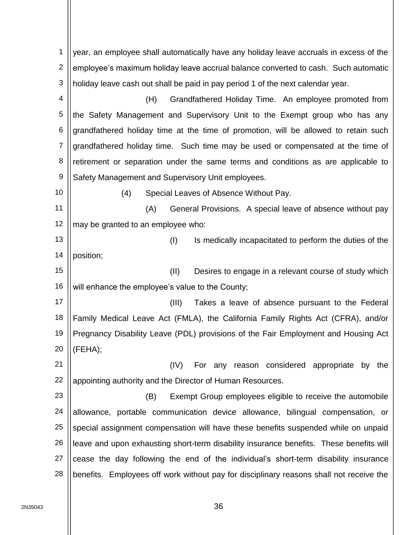1 2 3 4 5 6 7 8 9 10 11 12 13 14 15 16 17 18 19 20 21 22 23 24 25 26 27 28 year, an employee shall automatically have any holiday leave accruals in excess of the employee's maximum holiday leave accrual balance converted to cash. Such automatic holiday leave cash out shall be paid in pay period 1 of the next calendar year. (H) Grandfathered Holiday Time. An employee promoted from the Safety Management and Supervisory Unit to the Exempt group who has any grandfathered holiday time at the time of promotion, will be allowed to retain such grandfathered holiday time. Such time may be used or compensated at the time of retirement or separation under the same terms and conditions as are applicable to Safety Management and Supervisory Unit employees. (4) Special Leaves of Absence Without Pay. (A) General Provisions. A special leave of absence without pay may be granted to an employee who: (I) Is medically incapacitated to perform the duties of the position; (II) Desires to engage in a relevant course of study which will enhance the employee's value to the County; (III) Takes a leave of absence pursuant to the Federal Family Medical Leave Act (FMLA), the California Family Rights Act (CFRA), and/or Pregnancy Disability Leave (PDL) provisions of the Fair Employment and Housing Act (FEHA); (IV) For any reason considered appropriate by the appointing authority and the Director of Human Resources. (B) Exempt Group employees eligible to receive the automobile allowance, portable communication device allowance, bilingual compensation, or special assignment compensation will have these benefits suspended while on unpaid leave and upon exhausting short-term disability insurance benefits. These benefits will cease the day following the end of the individual's short-term disability insurance benefits. Employees off work without pay for disciplinary reasons shall not receive the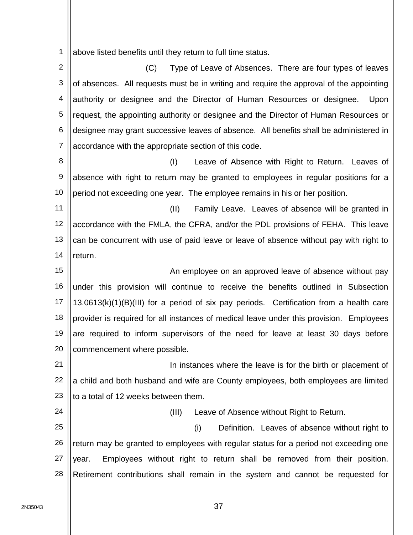1 above listed benefits until they return to full time status.

2 3 4 5 6 7 (C) Type of Leave of Absences. There are four types of leaves of absences. All requests must be in writing and require the approval of the appointing authority or designee and the Director of Human Resources or designee. Upon request, the appointing authority or designee and the Director of Human Resources or designee may grant successive leaves of absence. All benefits shall be administered in accordance with the appropriate section of this code.

8 9 10 (I) Leave of Absence with Right to Return. Leaves of absence with right to return may be granted to employees in regular positions for a period not exceeding one year. The employee remains in his or her position.

11 12 13 14 (II) Family Leave. Leaves of absence will be granted in accordance with the FMLA, the CFRA, and/or the PDL provisions of FEHA. This leave can be concurrent with use of paid leave or leave of absence without pay with right to return.

15 16 17 18 19 20 An employee on an approved leave of absence without pay under this provision will continue to receive the benefits outlined in Subsection 13.0613(k)(1)(B)(III) for a period of six pay periods. Certification from a health care provider is required for all instances of medical leave under this provision. Employees are required to inform supervisors of the need for leave at least 30 days before commencement where possible.

21 22 23 In instances where the leave is for the birth or placement of a child and both husband and wife are County employees, both employees are limited to a total of 12 weeks between them.

(III) Leave of Absence without Right to Return.

25 26 27 28 (i) Definition. Leaves of absence without right to return may be granted to employees with regular status for a period not exceeding one year. Employees without right to return shall be removed from their position. Retirement contributions shall remain in the system and cannot be requested for

24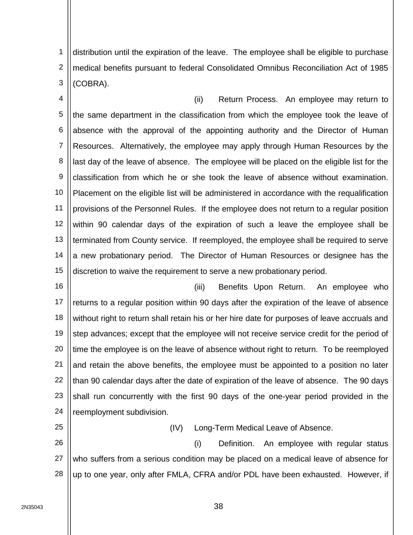1 2 3 distribution until the expiration of the leave. The employee shall be eligible to purchase medical benefits pursuant to federal Consolidated Omnibus Reconciliation Act of 1985 (COBRA).

4 5 6 7 8 9 10 11 12 13 14 15 (ii) Return Process. An employee may return to the same department in the classification from which the employee took the leave of absence with the approval of the appointing authority and the Director of Human Resources. Alternatively, the employee may apply through Human Resources by the last day of the leave of absence. The employee will be placed on the eligible list for the classification from which he or she took the leave of absence without examination. Placement on the eligible list will be administered in accordance with the requalification provisions of the Personnel Rules. If the employee does not return to a regular position within 90 calendar days of the expiration of such a leave the employee shall be terminated from County service. If reemployed, the employee shall be required to serve a new probationary period. The Director of Human Resources or designee has the discretion to waive the requirement to serve a new probationary period.

16

17 18 19 20 21 22 23 24 (iii) Benefits Upon Return. An employee who returns to a regular position within 90 days after the expiration of the leave of absence without right to return shall retain his or her hire date for purposes of leave accruals and step advances; except that the employee will not receive service credit for the period of time the employee is on the leave of absence without right to return. To be reemployed and retain the above benefits, the employee must be appointed to a position no later than 90 calendar days after the date of expiration of the leave of absence. The 90 days shall run concurrently with the first 90 days of the one-year period provided in the reemployment subdivision.

25

(IV) Long-Term Medical Leave of Absence.

26 27 28 (i) Definition. An employee with regular status who suffers from a serious condition may be placed on a medical leave of absence for up to one year, only after FMLA, CFRA and/or PDL have been exhausted. However, if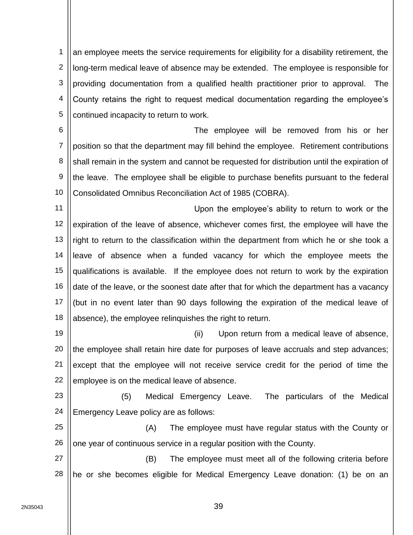1 2 3 4 5 an employee meets the service requirements for eligibility for a disability retirement, the long-term medical leave of absence may be extended. The employee is responsible for providing documentation from a qualified health practitioner prior to approval. The County retains the right to request medical documentation regarding the employee's continued incapacity to return to work.

6 7 8 9 10 The employee will be removed from his or her position so that the department may fill behind the employee. Retirement contributions shall remain in the system and cannot be requested for distribution until the expiration of the leave. The employee shall be eligible to purchase benefits pursuant to the federal Consolidated Omnibus Reconciliation Act of 1985 (COBRA).

11 12 13 14 15 16 17 18 Upon the employee's ability to return to work or the expiration of the leave of absence, whichever comes first, the employee will have the right to return to the classification within the department from which he or she took a leave of absence when a funded vacancy for which the employee meets the qualifications is available. If the employee does not return to work by the expiration date of the leave, or the soonest date after that for which the department has a vacancy (but in no event later than 90 days following the expiration of the medical leave of absence), the employee relinquishes the right to return.

19 20 21 22 (ii) Upon return from a medical leave of absence, the employee shall retain hire date for purposes of leave accruals and step advances; except that the employee will not receive service credit for the period of time the employee is on the medical leave of absence.

23 24 (5) Medical Emergency Leave. The particulars of the Medical Emergency Leave policy are as follows:

25 26 (A) The employee must have regular status with the County or one year of continuous service in a regular position with the County.

27 28 (B) The employee must meet all of the following criteria before he or she becomes eligible for Medical Emergency Leave donation: (1) be on an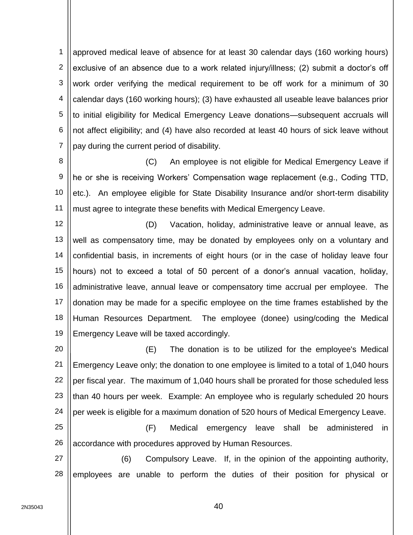1 2 3 4 5 6 7 approved medical leave of absence for at least 30 calendar days (160 working hours) exclusive of an absence due to a work related injury/illness; (2) submit a doctor's off work order verifying the medical requirement to be off work for a minimum of 30 calendar days (160 working hours); (3) have exhausted all useable leave balances prior to initial eligibility for Medical Emergency Leave donations—subsequent accruals will not affect eligibility; and (4) have also recorded at least 40 hours of sick leave without pay during the current period of disability.

8 9 10 11 (C) An employee is not eligible for Medical Emergency Leave if he or she is receiving Workers' Compensation wage replacement (e.g., Coding TTD, etc.). An employee eligible for State Disability Insurance and/or short-term disability must agree to integrate these benefits with Medical Emergency Leave.

12 13 14 15 16 17 18 19 (D) Vacation, holiday, administrative leave or annual leave, as well as compensatory time, may be donated by employees only on a voluntary and confidential basis, in increments of eight hours (or in the case of holiday leave four hours) not to exceed a total of 50 percent of a donor's annual vacation, holiday, administrative leave, annual leave or compensatory time accrual per employee. The donation may be made for a specific employee on the time frames established by the Human Resources Department. The employee (donee) using/coding the Medical Emergency Leave will be taxed accordingly.

20 21 22 23 24 (E) The donation is to be utilized for the employee's Medical Emergency Leave only; the donation to one employee is limited to a total of 1,040 hours per fiscal year. The maximum of 1,040 hours shall be prorated for those scheduled less than 40 hours per week. Example: An employee who is regularly scheduled 20 hours per week is eligible for a maximum donation of 520 hours of Medical Emergency Leave.

25 26 (F) Medical emergency leave shall be administered in accordance with procedures approved by Human Resources.

27 28 (6) Compulsory Leave. If, in the opinion of the appointing authority, employees are unable to perform the duties of their position for physical or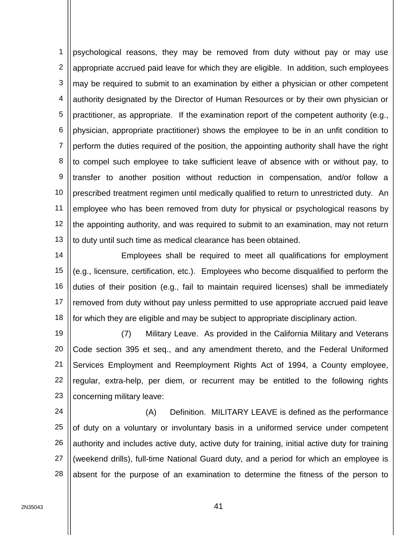1 2 3 4 5 6 7 8 9 10 11 12 13 psychological reasons, they may be removed from duty without pay or may use appropriate accrued paid leave for which they are eligible. In addition, such employees may be required to submit to an examination by either a physician or other competent authority designated by the Director of Human Resources or by their own physician or practitioner, as appropriate. If the examination report of the competent authority (e.g., physician, appropriate practitioner) shows the employee to be in an unfit condition to perform the duties required of the position, the appointing authority shall have the right to compel such employee to take sufficient leave of absence with or without pay, to transfer to another position without reduction in compensation, and/or follow a prescribed treatment regimen until medically qualified to return to unrestricted duty. An employee who has been removed from duty for physical or psychological reasons by the appointing authority, and was required to submit to an examination, may not return to duty until such time as medical clearance has been obtained.

14 15 16 17 18 Employees shall be required to meet all qualifications for employment (e.g., licensure, certification, etc.). Employees who become disqualified to perform the duties of their position (e.g., fail to maintain required licenses) shall be immediately removed from duty without pay unless permitted to use appropriate accrued paid leave for which they are eligible and may be subject to appropriate disciplinary action.

19 20 21 22 23 (7) Military Leave. As provided in the California Military and Veterans Code section 395 et seq., and any amendment thereto, and the Federal Uniformed Services Employment and Reemployment Rights Act of 1994, a County employee, regular, extra-help, per diem, or recurrent may be entitled to the following rights concerning military leave:

24 25 26 27 28 (A) Definition. MILITARY LEAVE is defined as the performance of duty on a voluntary or involuntary basis in a uniformed service under competent authority and includes active duty, active duty for training, initial active duty for training (weekend drills), full-time National Guard duty, and a period for which an employee is absent for the purpose of an examination to determine the fitness of the person to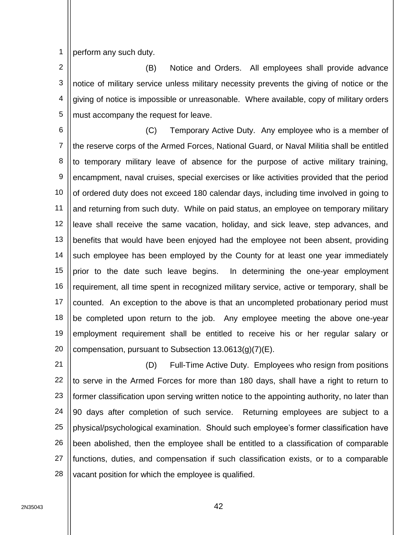1 perform any such duty.

2 3 4 5 (B) Notice and Orders. All employees shall provide advance notice of military service unless military necessity prevents the giving of notice or the giving of notice is impossible or unreasonable. Where available, copy of military orders must accompany the request for leave.

6 7 8 9 10 11 12 13 14 15 16 17 18 19 20 (C) Temporary Active Duty. Any employee who is a member of the reserve corps of the Armed Forces, National Guard, or Naval Militia shall be entitled to temporary military leave of absence for the purpose of active military training, encampment, naval cruises, special exercises or like activities provided that the period of ordered duty does not exceed 180 calendar days, including time involved in going to and returning from such duty. While on paid status, an employee on temporary military leave shall receive the same vacation, holiday, and sick leave, step advances, and benefits that would have been enjoyed had the employee not been absent, providing such employee has been employed by the County for at least one year immediately prior to the date such leave begins. In determining the one-year employment requirement, all time spent in recognized military service, active or temporary, shall be counted. An exception to the above is that an uncompleted probationary period must be completed upon return to the job. Any employee meeting the above one-year employment requirement shall be entitled to receive his or her regular salary or compensation, pursuant to Subsection 13.0613(g)(7)(E).

21 22 23 24 25 26 27 28 (D) Full-Time Active Duty. Employees who resign from positions to serve in the Armed Forces for more than 180 days, shall have a right to return to former classification upon serving written notice to the appointing authority, no later than 90 days after completion of such service. Returning employees are subject to a physical/psychological examination. Should such employee's former classification have been abolished, then the employee shall be entitled to a classification of comparable functions, duties, and compensation if such classification exists, or to a comparable vacant position for which the employee is qualified.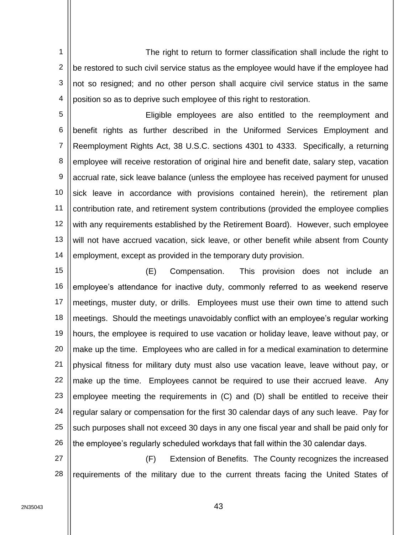1 2 3 4 The right to return to former classification shall include the right to be restored to such civil service status as the employee would have if the employee had not so resigned; and no other person shall acquire civil service status in the same position so as to deprive such employee of this right to restoration.

5 6 7 8 9 10 11 12 13 14 Eligible employees are also entitled to the reemployment and benefit rights as further described in the Uniformed Services Employment and Reemployment Rights Act, 38 U.S.C. sections 4301 to 4333. Specifically, a returning employee will receive restoration of original hire and benefit date, salary step, vacation accrual rate, sick leave balance (unless the employee has received payment for unused sick leave in accordance with provisions contained herein), the retirement plan contribution rate, and retirement system contributions (provided the employee complies with any requirements established by the Retirement Board). However, such employee will not have accrued vacation, sick leave, or other benefit while absent from County employment, except as provided in the temporary duty provision.

15 16 17 18 19 20 21 22 23 24 25 26 (E) Compensation. This provision does not include an employee's attendance for inactive duty, commonly referred to as weekend reserve meetings, muster duty, or drills. Employees must use their own time to attend such meetings. Should the meetings unavoidably conflict with an employee's regular working hours, the employee is required to use vacation or holiday leave, leave without pay, or make up the time. Employees who are called in for a medical examination to determine physical fitness for military duty must also use vacation leave, leave without pay, or make up the time. Employees cannot be required to use their accrued leave. Any employee meeting the requirements in (C) and (D) shall be entitled to receive their regular salary or compensation for the first 30 calendar days of any such leave. Pay for such purposes shall not exceed 30 days in any one fiscal year and shall be paid only for the employee's regularly scheduled workdays that fall within the 30 calendar days.

27 28 (F) Extension of Benefits. The County recognizes the increased requirements of the military due to the current threats facing the United States of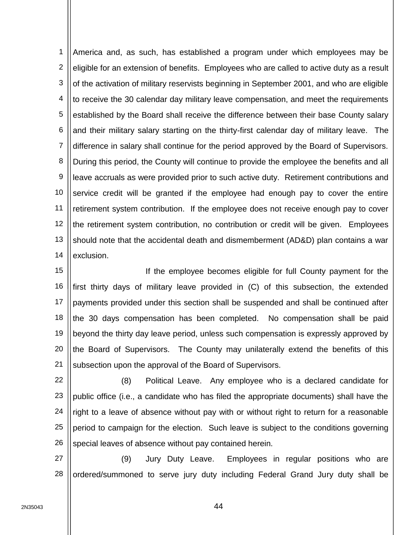1 2 3 4 5 6 7 8 9 10 11 12 13 14 America and, as such, has established a program under which employees may be eligible for an extension of benefits. Employees who are called to active duty as a result of the activation of military reservists beginning in September 2001, and who are eligible to receive the 30 calendar day military leave compensation, and meet the requirements established by the Board shall receive the difference between their base County salary and their military salary starting on the thirty-first calendar day of military leave. The difference in salary shall continue for the period approved by the Board of Supervisors. During this period, the County will continue to provide the employee the benefits and all leave accruals as were provided prior to such active duty. Retirement contributions and service credit will be granted if the employee had enough pay to cover the entire retirement system contribution. If the employee does not receive enough pay to cover the retirement system contribution, no contribution or credit will be given. Employees should note that the accidental death and dismemberment (AD&D) plan contains a war exclusion.

15 16 17 18 19 20 21 If the employee becomes eligible for full County payment for the first thirty days of military leave provided in (C) of this subsection, the extended payments provided under this section shall be suspended and shall be continued after the 30 days compensation has been completed. No compensation shall be paid beyond the thirty day leave period, unless such compensation is expressly approved by the Board of Supervisors. The County may unilaterally extend the benefits of this subsection upon the approval of the Board of Supervisors.

22 23 24 25 26 (8) Political Leave. Any employee who is a declared candidate for public office (i.e., a candidate who has filed the appropriate documents) shall have the right to a leave of absence without pay with or without right to return for a reasonable period to campaign for the election. Such leave is subject to the conditions governing special leaves of absence without pay contained herein.

27 28 (9) Jury Duty Leave. Employees in regular positions who are ordered/summoned to serve jury duty including Federal Grand Jury duty shall be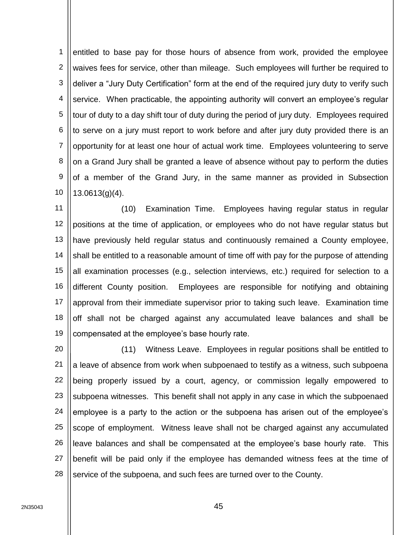1 2 3 4 5 6 7 8 9 10 entitled to base pay for those hours of absence from work, provided the employee waives fees for service, other than mileage. Such employees will further be required to deliver a "Jury Duty Certification" form at the end of the required jury duty to verify such service. When practicable, the appointing authority will convert an employee's regular tour of duty to a day shift tour of duty during the period of jury duty. Employees required to serve on a jury must report to work before and after jury duty provided there is an opportunity for at least one hour of actual work time. Employees volunteering to serve on a Grand Jury shall be granted a leave of absence without pay to perform the duties of a member of the Grand Jury, in the same manner as provided in Subsection 13.0613(g)(4).

11 12 13 14 15 16 17 18 19 (10) Examination Time. Employees having regular status in regular positions at the time of application, or employees who do not have regular status but have previously held regular status and continuously remained a County employee, shall be entitled to a reasonable amount of time off with pay for the purpose of attending all examination processes (e.g., selection interviews, etc.) required for selection to a different County position. Employees are responsible for notifying and obtaining approval from their immediate supervisor prior to taking such leave. Examination time off shall not be charged against any accumulated leave balances and shall be compensated at the employee's base hourly rate.

20 21 22 23 24 25 26 27 28 (11) Witness Leave. Employees in regular positions shall be entitled to a leave of absence from work when subpoenaed to testify as a witness, such subpoena being properly issued by a court, agency, or commission legally empowered to subpoena witnesses. This benefit shall not apply in any case in which the subpoenaed employee is a party to the action or the subpoena has arisen out of the employee's scope of employment. Witness leave shall not be charged against any accumulated leave balances and shall be compensated at the employee's base hourly rate. This benefit will be paid only if the employee has demanded witness fees at the time of service of the subpoena, and such fees are turned over to the County.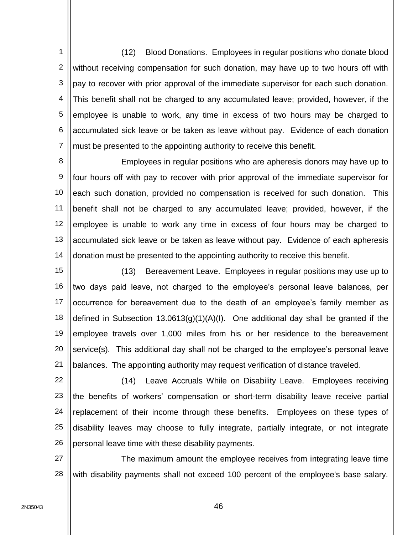1 2 3 4 5 6 7 (12) Blood Donations. Employees in regular positions who donate blood without receiving compensation for such donation, may have up to two hours off with pay to recover with prior approval of the immediate supervisor for each such donation. This benefit shall not be charged to any accumulated leave; provided, however, if the employee is unable to work, any time in excess of two hours may be charged to accumulated sick leave or be taken as leave without pay. Evidence of each donation must be presented to the appointing authority to receive this benefit.

8 9 10 11 12 13 14 Employees in regular positions who are apheresis donors may have up to four hours off with pay to recover with prior approval of the immediate supervisor for each such donation, provided no compensation is received for such donation. This benefit shall not be charged to any accumulated leave; provided, however, if the employee is unable to work any time in excess of four hours may be charged to accumulated sick leave or be taken as leave without pay. Evidence of each apheresis donation must be presented to the appointing authority to receive this benefit.

15 16 17 18 19 20 21 (13) Bereavement Leave. Employees in regular positions may use up to two days paid leave, not charged to the employee's personal leave balances, per occurrence for bereavement due to the death of an employee's family member as defined in Subsection 13.0613(g)(1)(A)(I). One additional day shall be granted if the employee travels over 1,000 miles from his or her residence to the bereavement service(s). This additional day shall not be charged to the employee's personal leave balances. The appointing authority may request verification of distance traveled.

22 23 24 25 26 (14) Leave Accruals While on Disability Leave. Employees receiving the benefits of workers' compensation or short-term disability leave receive partial replacement of their income through these benefits. Employees on these types of disability leaves may choose to fully integrate, partially integrate, or not integrate personal leave time with these disability payments.

27 28 The maximum amount the employee receives from integrating leave time with disability payments shall not exceed 100 percent of the employee's base salary.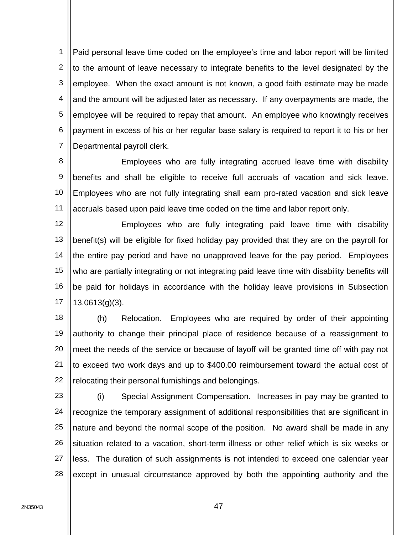1 2 3 4 5 6 7 Paid personal leave time coded on the employee's time and labor report will be limited to the amount of leave necessary to integrate benefits to the level designated by the employee. When the exact amount is not known, a good faith estimate may be made and the amount will be adjusted later as necessary. If any overpayments are made, the employee will be required to repay that amount. An employee who knowingly receives payment in excess of his or her regular base salary is required to report it to his or her Departmental payroll clerk.

8 9 10 11 Employees who are fully integrating accrued leave time with disability benefits and shall be eligible to receive full accruals of vacation and sick leave. Employees who are not fully integrating shall earn pro-rated vacation and sick leave accruals based upon paid leave time coded on the time and labor report only.

12 13 14 15 16 17 Employees who are fully integrating paid leave time with disability benefit(s) will be eligible for fixed holiday pay provided that they are on the payroll for the entire pay period and have no unapproved leave for the pay period. Employees who are partially integrating or not integrating paid leave time with disability benefits will be paid for holidays in accordance with the holiday leave provisions in Subsection 13.0613(g)(3).

18 19 20 21 22 (h) Relocation. Employees who are required by order of their appointing authority to change their principal place of residence because of a reassignment to meet the needs of the service or because of layoff will be granted time off with pay not to exceed two work days and up to \$400.00 reimbursement toward the actual cost of relocating their personal furnishings and belongings.

23 24 25 26 27 28 (i) Special Assignment Compensation. Increases in pay may be granted to recognize the temporary assignment of additional responsibilities that are significant in nature and beyond the normal scope of the position. No award shall be made in any situation related to a vacation, short-term illness or other relief which is six weeks or less. The duration of such assignments is not intended to exceed one calendar year except in unusual circumstance approved by both the appointing authority and the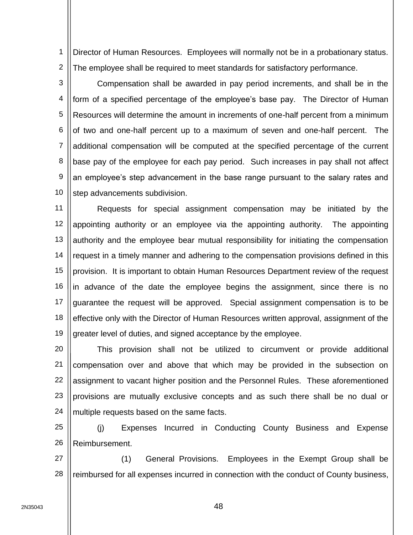1 2 Director of Human Resources. Employees will normally not be in a probationary status. The employee shall be required to meet standards for satisfactory performance.

3 4 5 6 7 8 9 10 Compensation shall be awarded in pay period increments, and shall be in the form of a specified percentage of the employee's base pay. The Director of Human Resources will determine the amount in increments of one-half percent from a minimum of two and one-half percent up to a maximum of seven and one-half percent. The additional compensation will be computed at the specified percentage of the current base pay of the employee for each pay period. Such increases in pay shall not affect an employee's step advancement in the base range pursuant to the salary rates and step advancements subdivision.

11 12 13 14 15 16 17 18 19 Requests for special assignment compensation may be initiated by the appointing authority or an employee via the appointing authority. The appointing authority and the employee bear mutual responsibility for initiating the compensation request in a timely manner and adhering to the compensation provisions defined in this provision. It is important to obtain Human Resources Department review of the request in advance of the date the employee begins the assignment, since there is no guarantee the request will be approved. Special assignment compensation is to be effective only with the Director of Human Resources written approval, assignment of the greater level of duties, and signed acceptance by the employee.

20 21 22 23 24 This provision shall not be utilized to circumvent or provide additional compensation over and above that which may be provided in the subsection on assignment to vacant higher position and the Personnel Rules. These aforementioned provisions are mutually exclusive concepts and as such there shall be no dual or multiple requests based on the same facts.

25 26 (j) Expenses Incurred in Conducting County Business and Expense Reimbursement.

27 28 (1) General Provisions. Employees in the Exempt Group shall be reimbursed for all expenses incurred in connection with the conduct of County business,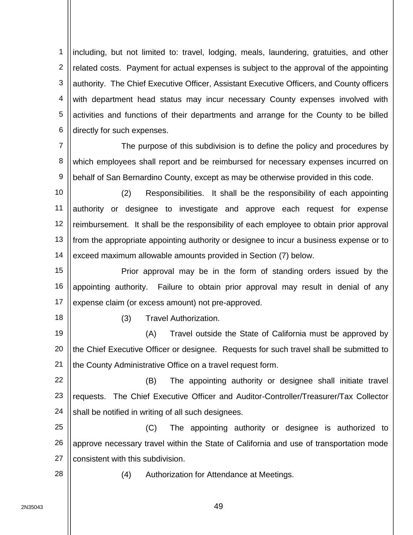1 2 3 4 5 6 including, but not limited to: travel, lodging, meals, laundering, gratuities, and other related costs. Payment for actual expenses is subject to the approval of the appointing authority. The Chief Executive Officer, Assistant Executive Officers, and County officers with department head status may incur necessary County expenses involved with activities and functions of their departments and arrange for the County to be billed directly for such expenses.

7 8 9 The purpose of this subdivision is to define the policy and procedures by which employees shall report and be reimbursed for necessary expenses incurred on behalf of San Bernardino County, except as may be otherwise provided in this code.

10 11 12 13 14 (2) Responsibilities. It shall be the responsibility of each appointing authority or designee to investigate and approve each request for expense reimbursement. It shall be the responsibility of each employee to obtain prior approval from the appropriate appointing authority or designee to incur a business expense or to exceed maximum allowable amounts provided in Section (7) below.

15 16 17 Prior approval may be in the form of standing orders issued by the appointing authority. Failure to obtain prior approval may result in denial of any expense claim (or excess amount) not pre-approved.

18

(3) Travel Authorization.

19 20 21 (A) Travel outside the State of California must be approved by the Chief Executive Officer or designee. Requests for such travel shall be submitted to the County Administrative Office on a travel request form.

22 23 24 (B) The appointing authority or designee shall initiate travel requests. The Chief Executive Officer and Auditor-Controller/Treasurer/Tax Collector shall be notified in writing of all such designees.

25 26 27 (C) The appointing authority or designee is authorized to approve necessary travel within the State of California and use of transportation mode consistent with this subdivision.

28

(4) Authorization for Attendance at Meetings.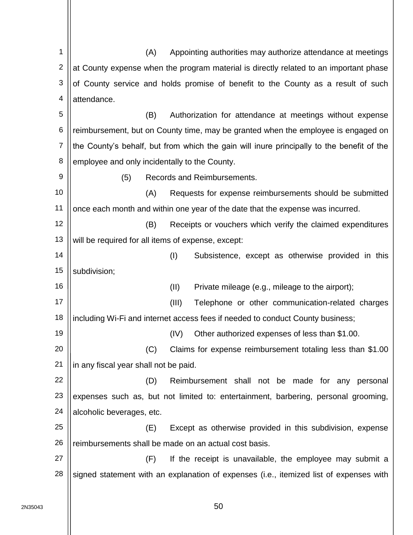1 2 3 4 5 6 7 8 9 10 11 12 13 14 15 16 17 18 19 20 21 22 23 24 25 26 27 28 (A) Appointing authorities may authorize attendance at meetings at County expense when the program material is directly related to an important phase of County service and holds promise of benefit to the County as a result of such attendance. (B) Authorization for attendance at meetings without expense reimbursement, but on County time, may be granted when the employee is engaged on the County's behalf, but from which the gain will inure principally to the benefit of the employee and only incidentally to the County. (5) Records and Reimbursements. (A) Requests for expense reimbursements should be submitted once each month and within one year of the date that the expense was incurred. (B) Receipts or vouchers which verify the claimed expenditures will be required for all items of expense, except: (I) Subsistence, except as otherwise provided in this subdivision; (II) Private mileage (e.g., mileage to the airport); (III) Telephone or other communication-related charges including Wi-Fi and internet access fees if needed to conduct County business; (IV) Other authorized expenses of less than \$1.00. (C) Claims for expense reimbursement totaling less than \$1.00 in any fiscal year shall not be paid. (D) Reimbursement shall not be made for any personal expenses such as, but not limited to: entertainment, barbering, personal grooming, alcoholic beverages, etc. (E) Except as otherwise provided in this subdivision, expense reimbursements shall be made on an actual cost basis. (F) If the receipt is unavailable, the employee may submit a signed statement with an explanation of expenses (i.e., itemized list of expenses with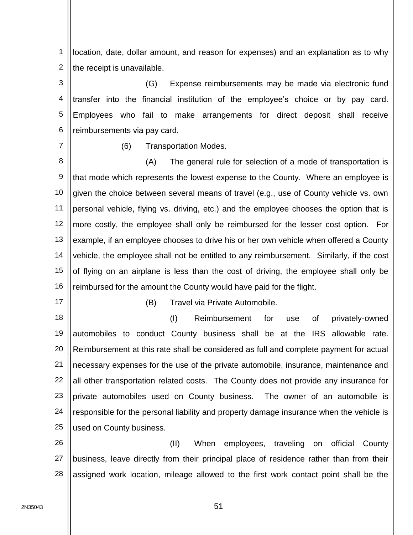1 2 location, date, dollar amount, and reason for expenses) and an explanation as to why the receipt is unavailable.

3 4 5 6 (G) Expense reimbursements may be made via electronic fund transfer into the financial institution of the employee's choice or by pay card. Employees who fail to make arrangements for direct deposit shall receive reimbursements via pay card.

7

(6) Transportation Modes.

8 9 10 11 12 13 14 15 16 (A) The general rule for selection of a mode of transportation is that mode which represents the lowest expense to the County. Where an employee is given the choice between several means of travel (e.g., use of County vehicle vs. own personal vehicle, flying vs. driving, etc.) and the employee chooses the option that is more costly, the employee shall only be reimbursed for the lesser cost option. For example, if an employee chooses to drive his or her own vehicle when offered a County vehicle, the employee shall not be entitled to any reimbursement. Similarly, if the cost of flying on an airplane is less than the cost of driving, the employee shall only be reimbursed for the amount the County would have paid for the flight.

17

(B) Travel via Private Automobile.

18 19 20 21 22 23 24 25 (I) Reimbursement for use of privately-owned automobiles to conduct County business shall be at the IRS allowable rate. Reimbursement at this rate shall be considered as full and complete payment for actual necessary expenses for the use of the private automobile, insurance, maintenance and all other transportation related costs. The County does not provide any insurance for private automobiles used on County business. The owner of an automobile is responsible for the personal liability and property damage insurance when the vehicle is used on County business.

26 27 28 (II) When employees, traveling on official County business, leave directly from their principal place of residence rather than from their assigned work location, mileage allowed to the first work contact point shall be the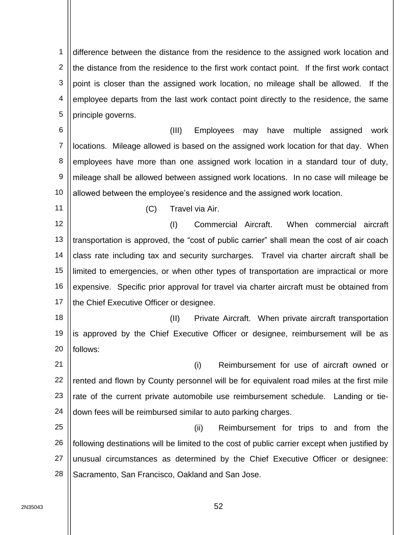1 2 3 4 5 difference between the distance from the residence to the assigned work location and the distance from the residence to the first work contact point. If the first work contact point is closer than the assigned work location, no mileage shall be allowed. If the employee departs from the last work contact point directly to the residence, the same principle governs.

6 7 8 9 10 (III) Employees may have multiple assigned work locations. Mileage allowed is based on the assigned work location for that day. When employees have more than one assigned work location in a standard tour of duty, mileage shall be allowed between assigned work locations. In no case will mileage be allowed between the employee's residence and the assigned work location.

11

(C) Travel via Air.

12 13 14 15 16 17 (I) Commercial Aircraft. When commercial aircraft transportation is approved, the "cost of public carrier" shall mean the cost of air coach class rate including tax and security surcharges. Travel via charter aircraft shall be limited to emergencies, or when other types of transportation are impractical or more expensive. Specific prior approval for travel via charter aircraft must be obtained from the Chief Executive Officer or designee.

18 19 20 (II) Private Aircraft. When private aircraft transportation is approved by the Chief Executive Officer or designee, reimbursement will be as follows:

21 22 23 24 (i) Reimbursement for use of aircraft owned or rented and flown by County personnel will be for equivalent road miles at the first mile rate of the current private automobile use reimbursement schedule. Landing or tiedown fees will be reimbursed similar to auto parking charges.

25 26 27 28 (ii) Reimbursement for trips to and from the following destinations will be limited to the cost of public carrier except when justified by unusual circumstances as determined by the Chief Executive Officer or designee: Sacramento, San Francisco, Oakland and San Jose.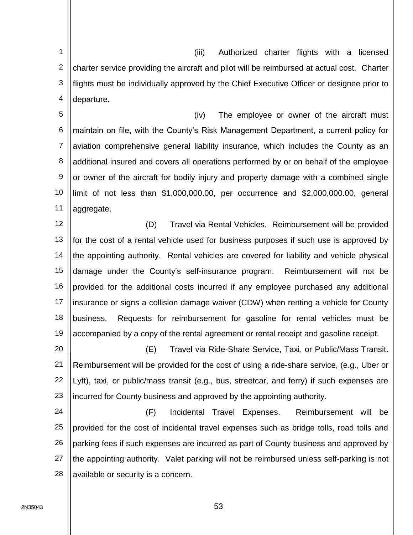1 2 3 4 (iii) Authorized charter flights with a licensed charter service providing the aircraft and pilot will be reimbursed at actual cost. Charter flights must be individually approved by the Chief Executive Officer or designee prior to departure.

5 6 7 8 9 10 11 (iv) The employee or owner of the aircraft must maintain on file, with the County's Risk Management Department, a current policy for aviation comprehensive general liability insurance, which includes the County as an additional insured and covers all operations performed by or on behalf of the employee or owner of the aircraft for bodily injury and property damage with a combined single limit of not less than \$1,000,000.00, per occurrence and \$2,000,000.00, general aggregate.

12 13 14 15 16 17 18 19 (D) Travel via Rental Vehicles. Reimbursement will be provided for the cost of a rental vehicle used for business purposes if such use is approved by the appointing authority. Rental vehicles are covered for liability and vehicle physical damage under the County's self-insurance program. Reimbursement will not be provided for the additional costs incurred if any employee purchased any additional insurance or signs a collision damage waiver (CDW) when renting a vehicle for County business. Requests for reimbursement for gasoline for rental vehicles must be accompanied by a copy of the rental agreement or rental receipt and gasoline receipt.

20 21 22 23 (E) Travel via Ride-Share Service, Taxi, or Public/Mass Transit. Reimbursement will be provided for the cost of using a ride-share service, (e.g., Uber or Lyft), taxi, or public/mass transit (e.g., bus, streetcar, and ferry) if such expenses are incurred for County business and approved by the appointing authority.

24 25 26 27 28 (F) Incidental Travel Expenses. Reimbursement will be provided for the cost of incidental travel expenses such as bridge tolls, road tolls and parking fees if such expenses are incurred as part of County business and approved by the appointing authority. Valet parking will not be reimbursed unless self-parking is not available or security is a concern.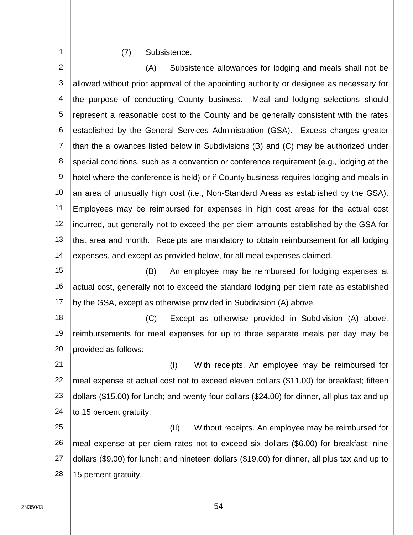## (7) Subsistence.

1

2 3 4 5 6 7 8 9 10 11 12 13 14 15 (A) Subsistence allowances for lodging and meals shall not be allowed without prior approval of the appointing authority or designee as necessary for the purpose of conducting County business. Meal and lodging selections should represent a reasonable cost to the County and be generally consistent with the rates established by the General Services Administration (GSA). Excess charges greater than the allowances listed below in Subdivisions (B) and (C) may be authorized under special conditions, such as a convention or conference requirement (e.g., lodging at the hotel where the conference is held) or if County business requires lodging and meals in an area of unusually high cost (i.e., Non-Standard Areas as established by the GSA). Employees may be reimbursed for expenses in high cost areas for the actual cost incurred, but generally not to exceed the per diem amounts established by the GSA for that area and month. Receipts are mandatory to obtain reimbursement for all lodging expenses, and except as provided below, for all meal expenses claimed. (B) An employee may be reimbursed for lodging expenses at

16 17 actual cost, generally not to exceed the standard lodging per diem rate as established by the GSA, except as otherwise provided in Subdivision (A) above.

18 19 20 (C) Except as otherwise provided in Subdivision (A) above, reimbursements for meal expenses for up to three separate meals per day may be provided as follows:

21 22 23 24 (I) With receipts. An employee may be reimbursed for meal expense at actual cost not to exceed eleven dollars (\$11.00) for breakfast; fifteen dollars (\$15.00) for lunch; and twenty-four dollars (\$24.00) for dinner, all plus tax and up to 15 percent gratuity.

25 26 27 28 (II) Without receipts. An employee may be reimbursed for meal expense at per diem rates not to exceed six dollars (\$6.00) for breakfast; nine dollars (\$9.00) for lunch; and nineteen dollars (\$19.00) for dinner, all plus tax and up to 15 percent gratuity.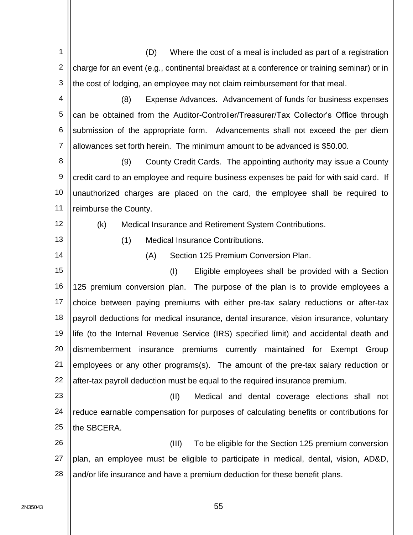2N35043 **Fig. 1** 2 3 4 5 6 7 8 9 10 11 12 13 14 15 16 17 18 19 20 21 22 23 24 25 26 27 28 charge for an event (e.g., continental breakfast at a conference or training seminar) or in the cost of lodging, an employee may not claim reimbursement for that meal. (8) Expense Advances. Advancement of funds for business expenses can be obtained from the Auditor-Controller/Treasurer/Tax Collector's Office through submission of the appropriate form. Advancements shall not exceed the per diem allowances set forth herein. The minimum amount to be advanced is \$50.00. (9) County Credit Cards. The appointing authority may issue a County credit card to an employee and require business expenses be paid for with said card. If unauthorized charges are placed on the card, the employee shall be required to reimburse the County. (k) Medical Insurance and Retirement System Contributions. (1) Medical Insurance Contributions. (A) Section 125 Premium Conversion Plan. (I) Eligible employees shall be provided with a Section 125 premium conversion plan. The purpose of the plan is to provide employees a choice between paying premiums with either pre-tax salary reductions or after-tax payroll deductions for medical insurance, dental insurance, vision insurance, voluntary life (to the Internal Revenue Service (IRS) specified limit) and accidental death and dismemberment insurance premiums currently maintained for Exempt Group employees or any other programs(s). The amount of the pre-tax salary reduction or after-tax payroll deduction must be equal to the required insurance premium. (II) Medical and dental coverage elections shall not reduce earnable compensation for purposes of calculating benefits or contributions for the SBCERA. (III) To be eligible for the Section 125 premium conversion plan, an employee must be eligible to participate in medical, dental, vision, AD&D, and/or life insurance and have a premium deduction for these benefit plans.

(D) Where the cost of a meal is included as part of a registration

1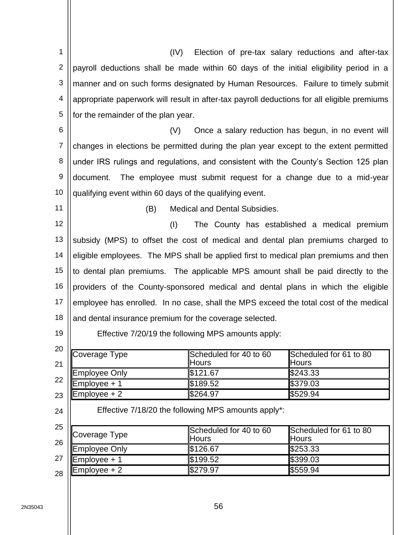| 1              | (IV)                                                                                        |                                        | Election of pre-tax salary reductions and after-tax |  |  |
|----------------|---------------------------------------------------------------------------------------------|----------------------------------------|-----------------------------------------------------|--|--|
| $\overline{2}$ | payroll deductions shall be made within 60 days of the initial eligibility period in a      |                                        |                                                     |  |  |
| 3              | manner and on such forms designated by Human Resources. Failure to timely submit            |                                        |                                                     |  |  |
| 4              | appropriate paperwork will result in after-tax payroll deductions for all eligible premiums |                                        |                                                     |  |  |
| 5              |                                                                                             |                                        |                                                     |  |  |
|                | for the remainder of the plan year.                                                         |                                        |                                                     |  |  |
| 6              | Once a salary reduction has begun, in no event will<br>(V)                                  |                                        |                                                     |  |  |
| 7              | changes in elections be permitted during the plan year except to the extent permitted       |                                        |                                                     |  |  |
| 8              | under IRS rulings and regulations, and consistent with the County's Section 125 plan        |                                        |                                                     |  |  |
| 9              | The employee must submit request for a change due to a mid-year<br>document.                |                                        |                                                     |  |  |
| 10             | qualifying event within 60 days of the qualifying event.                                    |                                        |                                                     |  |  |
| 11             | (B)<br><b>Medical and Dental Subsidies.</b>                                                 |                                        |                                                     |  |  |
| 12             | (1)<br>The County has established a medical premium                                         |                                        |                                                     |  |  |
| 13             | subsidy (MPS) to offset the cost of medical and dental plan premiums charged to             |                                        |                                                     |  |  |
| 14             | eligible employees. The MPS shall be applied first to medical plan premiums and then        |                                        |                                                     |  |  |
| 15             | to dental plan premiums. The applicable MPS amount shall be paid directly to the            |                                        |                                                     |  |  |
| 16             | providers of the County-sponsored medical and dental plans in which the eligible            |                                        |                                                     |  |  |
| 17             | employee has enrolled. In no case, shall the MPS exceed the total cost of the medical       |                                        |                                                     |  |  |
| 18             | and dental insurance premium for the coverage selected.                                     |                                        |                                                     |  |  |
| 19             | Effective 7/20/19 the following MPS amounts apply:                                          |                                        |                                                     |  |  |
| 20<br>21       | Coverage Type                                                                               | Scheduled for 40 to 60<br><b>Hours</b> | Scheduled for 61 to 80<br><b>Hours</b>              |  |  |
| 22             | <b>Employee Only</b>                                                                        | \$121.67                               | \$243.33                                            |  |  |
|                | Employee + 1                                                                                | \$189.52                               | \$379.03                                            |  |  |
| 23             | Employee + 2                                                                                | \$264.97                               | \$529.94                                            |  |  |
| 24             | Effective 7/18/20 the following MPS amounts apply*:                                         |                                        |                                                     |  |  |
| 25<br>26       | Coverage Type                                                                               | Scheduled for 40 to 60<br>Hours        | Scheduled for 61 to 80<br><b>Hours</b>              |  |  |
|                | <b>Employee Only</b>                                                                        | \$126.67                               | \$253.33                                            |  |  |
| 27             | $Employee + 1$                                                                              | \$199.52                               | \$399.03                                            |  |  |
| 28             | $Employee + 2$                                                                              | \$279.97                               | \$559.94                                            |  |  |

2N35043 | 30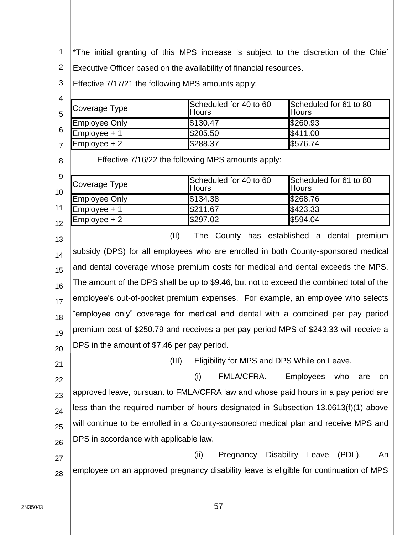1 \*The initial granting of this MPS increase is subject to the discretion of the Chief

2 Executive Officer based on the availability of financial resources.

3 Effective  $7/17/21$  the following MPS amounts apply:

| 4                      |                                                                                          |                                             |                                        |
|------------------------|------------------------------------------------------------------------------------------|---------------------------------------------|----------------------------------------|
| 5                      | Coverage Type                                                                            | Scheduled for 40 to 60<br>Hours             | Scheduled for 61 to 80<br><b>Hours</b> |
|                        | Employee Only                                                                            | \$130.47                                    | \$260.93                               |
| 6                      | Employee + 1                                                                             | \$205.50                                    | \$411.00                               |
| $\overline{7}$         | Employee + 2                                                                             | \$288.37                                    | \$576.74                               |
| 8                      | Effective 7/16/22 the following MPS amounts apply:                                       |                                             |                                        |
| $\boldsymbol{9}$<br>10 | Coverage Type                                                                            | Scheduled for 40 to 60<br>Hours             | Scheduled for 61 to 80<br><b>Hours</b> |
|                        | Employee Only                                                                            | \$134.38                                    | \$268.76                               |
| 11                     | Employee + 1                                                                             | $\sqrt{$211.67}$                            | \$423.33                               |
| 12                     | Employee + 2                                                                             | \$297.02                                    | \$594.04                               |
| 13                     | (II)<br>The County has established a dental premium                                      |                                             |                                        |
| 14                     | subsidy (DPS) for all employees who are enrolled in both County-sponsored medical        |                                             |                                        |
| 15                     | and dental coverage whose premium costs for medical and dental exceeds the MPS.          |                                             |                                        |
| 16                     | The amount of the DPS shall be up to \$9.46, but not to exceed the combined total of the |                                             |                                        |
| 17                     | employee's out-of-pocket premium expenses. For example, an employee who selects          |                                             |                                        |
| 18                     | "employee only" coverage for medical and dental with a combined per pay period           |                                             |                                        |
| 19                     | premium cost of \$250.79 and receives a per pay period MPS of \$243.33 will receive a    |                                             |                                        |
| 20                     | DPS in the amount of \$7.46 per pay period.                                              |                                             |                                        |
| 21                     | (III)                                                                                    | Eligibility for MPS and DPS While on Leave. |                                        |
| 22                     |                                                                                          | FMLA/CFRA.<br>(i)                           | <b>Employees</b><br>who<br>are<br>on   |
| 23                     | approved leave, pursuant to FMLA/CFRA law and whose paid hours in a pay period are       |                                             |                                        |
| 24                     | less than the required number of hours designated in Subsection 13.0613(f)(1) above      |                                             |                                        |
| 25                     | will continue to be enrolled in a County-sponsored medical plan and receive MPS and      |                                             |                                        |
| 26                     | DPS in accordance with applicable law.                                                   |                                             |                                        |
| 27                     |                                                                                          | <b>Disability</b><br>(ii)<br>Pregnancy      | Leave<br>$(PDL)$ .<br>An               |
| 28                     | employee on an approved pregnancy disability leave is eligible for continuation of MPS   |                                             |                                        |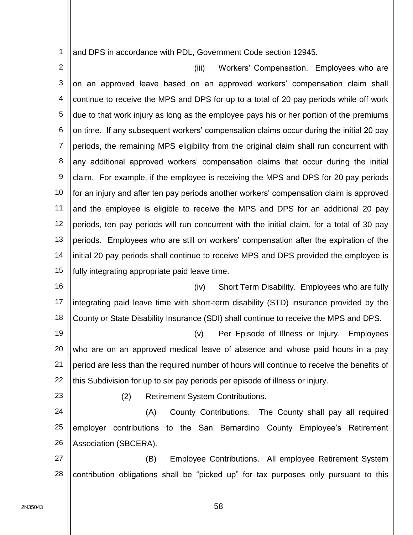1 and DPS in accordance with PDL, Government Code section 12945.

2 3 4 5 6 7 8 9 10 11 12 13 14 15 (iii) Workers' Compensation. Employees who are on an approved leave based on an approved workers' compensation claim shall continue to receive the MPS and DPS for up to a total of 20 pay periods while off work due to that work injury as long as the employee pays his or her portion of the premiums on time. If any subsequent workers' compensation claims occur during the initial 20 pay periods, the remaining MPS eligibility from the original claim shall run concurrent with any additional approved workers' compensation claims that occur during the initial claim. For example, if the employee is receiving the MPS and DPS for 20 pay periods for an injury and after ten pay periods another workers' compensation claim is approved and the employee is eligible to receive the MPS and DPS for an additional 20 pay periods, ten pay periods will run concurrent with the initial claim, for a total of 30 pay periods. Employees who are still on workers' compensation after the expiration of the initial 20 pay periods shall continue to receive MPS and DPS provided the employee is fully integrating appropriate paid leave time.

16 17 18 (iv) Short Term Disability. Employees who are fully integrating paid leave time with short-term disability (STD) insurance provided by the County or State Disability Insurance (SDI) shall continue to receive the MPS and DPS.

19 20 21 22 (v) Per Episode of Illness or Injury. Employees who are on an approved medical leave of absence and whose paid hours in a pay period are less than the required number of hours will continue to receive the benefits of this Subdivision for up to six pay periods per episode of illness or injury.

23

(2) Retirement System Contributions.

24 25 26 (A) County Contributions. The County shall pay all required employer contributions to the San Bernardino County Employee's Retirement Association (SBCERA).

27 28 (B) Employee Contributions. All employee Retirement System contribution obligations shall be "picked up" for tax purposes only pursuant to this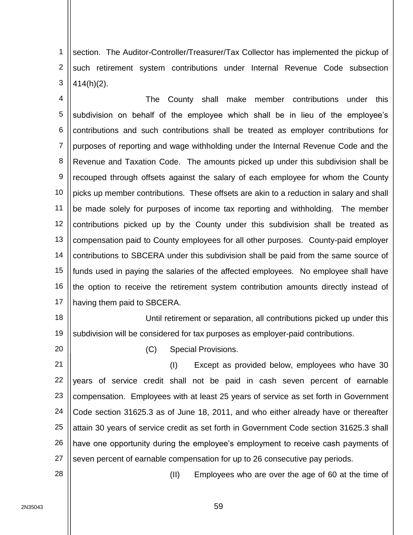1 2 3 section. The Auditor-Controller/Treasurer/Tax Collector has implemented the pickup of such retirement system contributions under Internal Revenue Code subsection 414(h)(2).

4 5 6 7 8 9 10 11 12 13 14 15 16 17 The County shall make member contributions under this subdivision on behalf of the employee which shall be in lieu of the employee's contributions and such contributions shall be treated as employer contributions for purposes of reporting and wage withholding under the Internal Revenue Code and the Revenue and Taxation Code. The amounts picked up under this subdivision shall be recouped through offsets against the salary of each employee for whom the County picks up member contributions. These offsets are akin to a reduction in salary and shall be made solely for purposes of income tax reporting and withholding. The member contributions picked up by the County under this subdivision shall be treated as compensation paid to County employees for all other purposes. County-paid employer contributions to SBCERA under this subdivision shall be paid from the same source of funds used in paying the salaries of the affected employees. No employee shall have the option to receive the retirement system contribution amounts directly instead of having them paid to SBCERA.

18 19 Until retirement or separation, all contributions picked up under this subdivision will be considered for tax purposes as employer-paid contributions.

20

(C) Special Provisions.

21 22 23 24 25 26 27 (I) Except as provided below, employees who have 30 years of service credit shall not be paid in cash seven percent of earnable compensation. Employees with at least 25 years of service as set forth in Government Code section 31625.3 as of June 18, 2011, and who either already have or thereafter attain 30 years of service credit as set forth in Government Code section 31625.3 shall have one opportunity during the employee's employment to receive cash payments of seven percent of earnable compensation for up to 26 consecutive pay periods.

28

(II) Employees who are over the age of 60 at the time of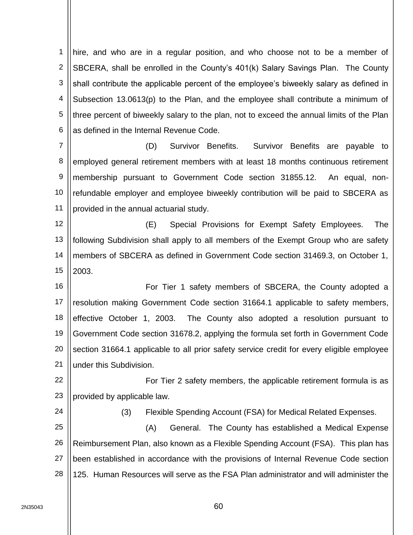1 2 3 4 5 6 hire, and who are in a regular position, and who choose not to be a member of SBCERA, shall be enrolled in the County's 401(k) Salary Savings Plan. The County shall contribute the applicable percent of the employee's biweekly salary as defined in Subsection 13.0613(p) to the Plan, and the employee shall contribute a minimum of three percent of biweekly salary to the plan, not to exceed the annual limits of the Plan as defined in the Internal Revenue Code.

7 8 9 10 11 (D) Survivor Benefits. Survivor Benefits are payable to employed general retirement members with at least 18 months continuous retirement membership pursuant to Government Code section 31855.12. An equal, nonrefundable employer and employee biweekly contribution will be paid to SBCERA as provided in the annual actuarial study.

12 13 14 15 (E) Special Provisions for Exempt Safety Employees. The following Subdivision shall apply to all members of the Exempt Group who are safety members of SBCERA as defined in Government Code section 31469.3, on October 1, 2003.

16 17 18 19 20 21 For Tier 1 safety members of SBCERA, the County adopted a resolution making Government Code section 31664.1 applicable to safety members, effective October 1, 2003. The County also adopted a resolution pursuant to Government Code section 31678.2, applying the formula set forth in Government Code section 31664.1 applicable to all prior safety service credit for every eligible employee under this Subdivision.

22 23 For Tier 2 safety members, the applicable retirement formula is as provided by applicable law.

(3) Flexible Spending Account (FSA) for Medical Related Expenses.

25 26 27 28 (A) General. The County has established a Medical Expense Reimbursement Plan, also known as a Flexible Spending Account (FSA). This plan has been established in accordance with the provisions of Internal Revenue Code section 125. Human Resources will serve as the FSA Plan administrator and will administer the

24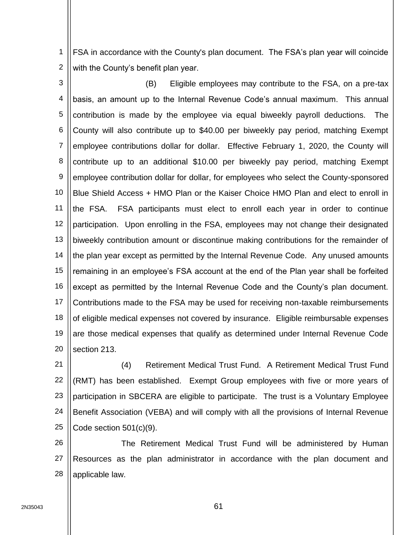1 2 FSA in accordance with the County's plan document. The FSA's plan year will coincide with the County's benefit plan year.

3 4 5 6 7 8 9 10 11 12 13 14 15 16 17 18 19 20 (B) Eligible employees may contribute to the FSA, on a pre-tax basis, an amount up to the Internal Revenue Code's annual maximum. This annual contribution is made by the employee via equal biweekly payroll deductions. The County will also contribute up to \$40.00 per biweekly pay period, matching Exempt employee contributions dollar for dollar. Effective February 1, 2020, the County will contribute up to an additional \$10.00 per biweekly pay period, matching Exempt employee contribution dollar for dollar, for employees who select the County-sponsored Blue Shield Access + HMO Plan or the Kaiser Choice HMO Plan and elect to enroll in the FSA. FSA participants must elect to enroll each year in order to continue participation. Upon enrolling in the FSA, employees may not change their designated biweekly contribution amount or discontinue making contributions for the remainder of the plan year except as permitted by the Internal Revenue Code. Any unused amounts remaining in an employee's FSA account at the end of the Plan year shall be forfeited except as permitted by the Internal Revenue Code and the County's plan document. Contributions made to the FSA may be used for receiving non-taxable reimbursements of eligible medical expenses not covered by insurance. Eligible reimbursable expenses are those medical expenses that qualify as determined under Internal Revenue Code section 213.

21 22 23 24 25 (4) Retirement Medical Trust Fund. A Retirement Medical Trust Fund (RMT) has been established. Exempt Group employees with five or more years of participation in SBCERA are eligible to participate. The trust is a Voluntary Employee Benefit Association (VEBA) and will comply with all the provisions of Internal Revenue Code section 501(c)(9).

26 27 28 The Retirement Medical Trust Fund will be administered by Human Resources as the plan administrator in accordance with the plan document and applicable law.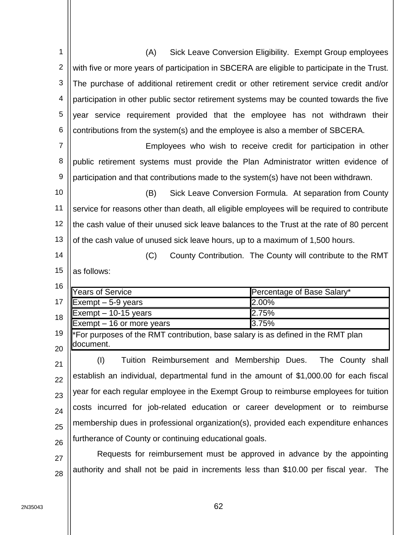| 1              | Sick Leave Conversion Eligibility. Exempt Group employees<br>(A)                              |  |  |
|----------------|-----------------------------------------------------------------------------------------------|--|--|
| $\overline{2}$ | with five or more years of participation in SBCERA are eligible to participate in the Trust.  |  |  |
| 3              | The purchase of additional retirement credit or other retirement service credit and/or        |  |  |
| 4              | participation in other public sector retirement systems may be counted towards the five       |  |  |
| 5              | year service requirement provided that the employee has not withdrawn their                   |  |  |
| 6              | contributions from the system(s) and the employee is also a member of SBCERA.                 |  |  |
| $\overline{7}$ | Employees who wish to receive credit for participation in other                               |  |  |
| 8              | public retirement systems must provide the Plan Administrator written evidence of             |  |  |
| $9\,$          | participation and that contributions made to the system(s) have not been withdrawn.           |  |  |
| 10             | Sick Leave Conversion Formula. At separation from County<br>(B)                               |  |  |
| 11             | service for reasons other than death, all eligible employees will be required to contribute   |  |  |
| 12             | the cash value of their unused sick leave balances to the Trust at the rate of 80 percent     |  |  |
| 13             | of the cash value of unused sick leave hours, up to a maximum of 1,500 hours.                 |  |  |
| 14             | County Contribution. The County will contribute to the RMT<br>(C)                             |  |  |
| 15             | as follows:                                                                                   |  |  |
| 16             |                                                                                               |  |  |
|                | <b>Years of Service</b><br>Percentage of Base Salary*                                         |  |  |
| 17             | 2.00%<br>Exempt $-5-9$ years                                                                  |  |  |
| 18             | 2.75%<br>Exempt - 10-15 years                                                                 |  |  |
|                | 3.75%<br>Exempt - 16 or more years                                                            |  |  |
| 19             | *For purposes of the RMT contribution, base salary is as defined in the RMT plan<br>document. |  |  |
| 20             |                                                                                               |  |  |
| 21             | Tuition Reimbursement and Membership Dues.<br>The County shall                                |  |  |
|                | (1)                                                                                           |  |  |
| 22             | establish an individual, departmental fund in the amount of \$1,000.00 for each fiscal        |  |  |
| 23             | year for each regular employee in the Exempt Group to reimburse employees for tuition         |  |  |
| 24             | costs incurred for job-related education or career development or to reimburse                |  |  |
| 25             | membership dues in professional organization(s), provided each expenditure enhances           |  |  |
| 26             | furtherance of County or continuing educational goals.                                        |  |  |
| 27             | Requests for reimbursement must be approved in advance by the appointing                      |  |  |
| 28             | authority and shall not be paid in increments less than \$10.00 per fiscal year.<br>The       |  |  |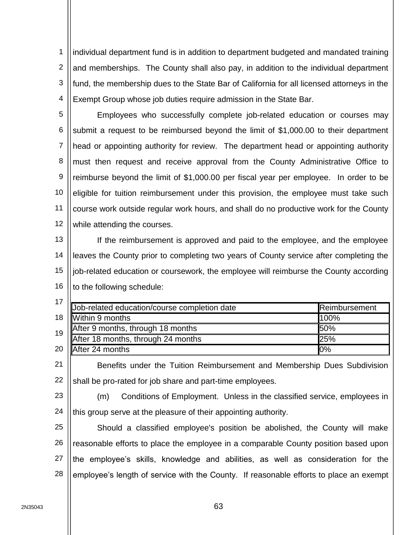1 2 3 4 individual department fund is in addition to department budgeted and mandated training and memberships. The County shall also pay, in addition to the individual department fund, the membership dues to the State Bar of California for all licensed attorneys in the Exempt Group whose job duties require admission in the State Bar.

5 6 7 8 9 10 11 12 Employees who successfully complete job-related education or courses may submit a request to be reimbursed beyond the limit of \$1,000.00 to their department head or appointing authority for review. The department head or appointing authority must then request and receive approval from the County Administrative Office to reimburse beyond the limit of \$1,000.00 per fiscal year per employee. In order to be eligible for tuition reimbursement under this provision, the employee must take such course work outside regular work hours, and shall do no productive work for the County while attending the courses.

13 14 15 16 If the reimbursement is approved and paid to the employee, and the employee leaves the County prior to completing two years of County service after completing the job-related education or coursework, the employee will reimburse the County according to the following schedule:

|                                   | Reimbursement                                                                      |
|-----------------------------------|------------------------------------------------------------------------------------|
| 18  Within 9 months               | 100%                                                                               |
| After 9 months, through 18 months | 50%                                                                                |
|                                   | 25%                                                                                |
| After 24 months                   | 0%                                                                                 |
|                                   | Job-related education/course completion date<br>After 18 months, through 24 months |

21 22 Benefits under the Tuition Reimbursement and Membership Dues Subdivision shall be pro-rated for job share and part-time employees.

23 24 (m) Conditions of Employment. Unless in the classified service, employees in this group serve at the pleasure of their appointing authority.

25 26 27 28 Should a classified employee's position be abolished, the County will make reasonable efforts to place the employee in a comparable County position based upon the employee's skills, knowledge and abilities, as well as consideration for the employee's length of service with the County. If reasonable efforts to place an exempt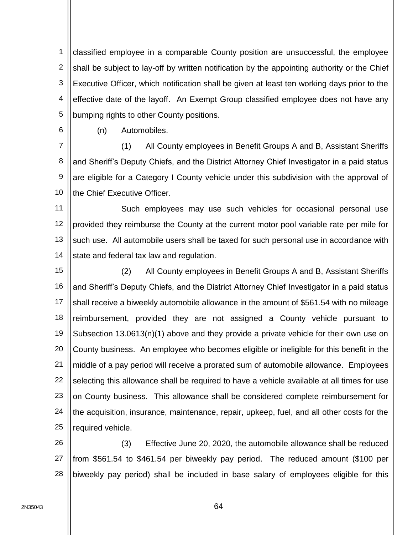1 2 3 4 5 classified employee in a comparable County position are unsuccessful, the employee shall be subject to lay-off by written notification by the appointing authority or the Chief Executive Officer, which notification shall be given at least ten working days prior to the effective date of the layoff. An Exempt Group classified employee does not have any bumping rights to other County positions.

6

(n) Automobiles.

7 8 9 10 (1) All County employees in Benefit Groups A and B, Assistant Sheriffs and Sheriff's Deputy Chiefs, and the District Attorney Chief Investigator in a paid status are eligible for a Category I County vehicle under this subdivision with the approval of the Chief Executive Officer.

11 12 13 14 Such employees may use such vehicles for occasional personal use provided they reimburse the County at the current motor pool variable rate per mile for such use. All automobile users shall be taxed for such personal use in accordance with state and federal tax law and regulation.

15 16 17 18 19 20 21 22 23 24 25 (2) All County employees in Benefit Groups A and B, Assistant Sheriffs and Sheriff's Deputy Chiefs, and the District Attorney Chief Investigator in a paid status shall receive a biweekly automobile allowance in the amount of \$561.54 with no mileage reimbursement, provided they are not assigned a County vehicle pursuant to Subsection 13.0613(n)(1) above and they provide a private vehicle for their own use on County business. An employee who becomes eligible or ineligible for this benefit in the middle of a pay period will receive a prorated sum of automobile allowance. Employees selecting this allowance shall be required to have a vehicle available at all times for use on County business. This allowance shall be considered complete reimbursement for the acquisition, insurance, maintenance, repair, upkeep, fuel, and all other costs for the required vehicle.

26 27 28 (3) Effective June 20, 2020, the automobile allowance shall be reduced from \$561.54 to \$461.54 per biweekly pay period. The reduced amount (\$100 per biweekly pay period) shall be included in base salary of employees eligible for this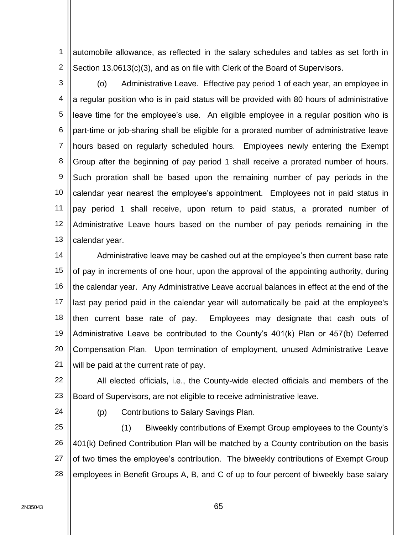1 2 automobile allowance, as reflected in the salary schedules and tables as set forth in Section 13.0613(c)(3), and as on file with Clerk of the Board of Supervisors.

3 4 5 6 7 8 9 10 11 12 13 (o) Administrative Leave. Effective pay period 1 of each year, an employee in a regular position who is in paid status will be provided with 80 hours of administrative leave time for the employee's use. An eligible employee in a regular position who is part-time or job-sharing shall be eligible for a prorated number of administrative leave hours based on regularly scheduled hours. Employees newly entering the Exempt Group after the beginning of pay period 1 shall receive a prorated number of hours. Such proration shall be based upon the remaining number of pay periods in the calendar year nearest the employee's appointment. Employees not in paid status in pay period 1 shall receive, upon return to paid status, a prorated number of Administrative Leave hours based on the number of pay periods remaining in the calendar year.

14 15 16 17 18 19 20 21 Administrative leave may be cashed out at the employee's then current base rate of pay in increments of one hour, upon the approval of the appointing authority, during the calendar year. Any Administrative Leave accrual balances in effect at the end of the last pay period paid in the calendar year will automatically be paid at the employee's then current base rate of pay. Employees may designate that cash outs of Administrative Leave be contributed to the County's 401(k) Plan or 457(b) Deferred Compensation Plan. Upon termination of employment, unused Administrative Leave will be paid at the current rate of pay.

22 23 All elected officials, i.e., the County-wide elected officials and members of the Board of Supervisors, are not eligible to receive administrative leave.

24

(p) Contributions to Salary Savings Plan.

25 26 27 28 (1) Biweekly contributions of Exempt Group employees to the County's 401(k) Defined Contribution Plan will be matched by a County contribution on the basis of two times the employee's contribution. The biweekly contributions of Exempt Group employees in Benefit Groups A, B, and C of up to four percent of biweekly base salary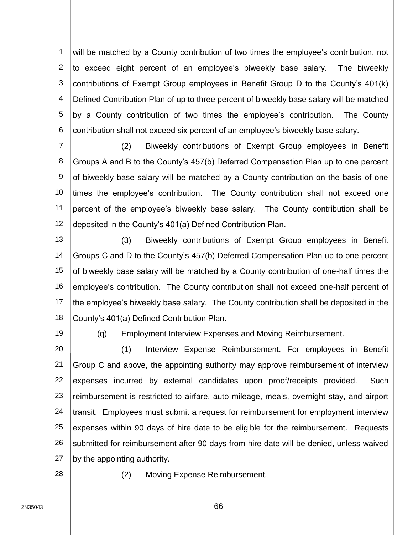1 2 3 4 5 6 will be matched by a County contribution of two times the employee's contribution, not to exceed eight percent of an employee's biweekly base salary. The biweekly contributions of Exempt Group employees in Benefit Group D to the County's 401(k) Defined Contribution Plan of up to three percent of biweekly base salary will be matched by a County contribution of two times the employee's contribution. The County contribution shall not exceed six percent of an employee's biweekly base salary.

7 8 9 10 11 12 (2) Biweekly contributions of Exempt Group employees in Benefit Groups A and B to the County's 457(b) Deferred Compensation Plan up to one percent of biweekly base salary will be matched by a County contribution on the basis of one times the employee's contribution. The County contribution shall not exceed one percent of the employee's biweekly base salary. The County contribution shall be deposited in the County's 401(a) Defined Contribution Plan.

13 14 15 16 17 18 (3) Biweekly contributions of Exempt Group employees in Benefit Groups C and D to the County's 457(b) Deferred Compensation Plan up to one percent of biweekly base salary will be matched by a County contribution of one-half times the employee's contribution. The County contribution shall not exceed one-half percent of the employee's biweekly base salary. The County contribution shall be deposited in the County's 401(a) Defined Contribution Plan.

19

(q) Employment Interview Expenses and Moving Reimbursement.

20 21 22 23 24 25 26 27 (1) Interview Expense Reimbursement. For employees in Benefit Group C and above, the appointing authority may approve reimbursement of interview expenses incurred by external candidates upon proof/receipts provided. Such reimbursement is restricted to airfare, auto mileage, meals, overnight stay, and airport transit. Employees must submit a request for reimbursement for employment interview expenses within 90 days of hire date to be eligible for the reimbursement. Requests submitted for reimbursement after 90 days from hire date will be denied, unless waived by the appointing authority.

28

(2) Moving Expense Reimbursement.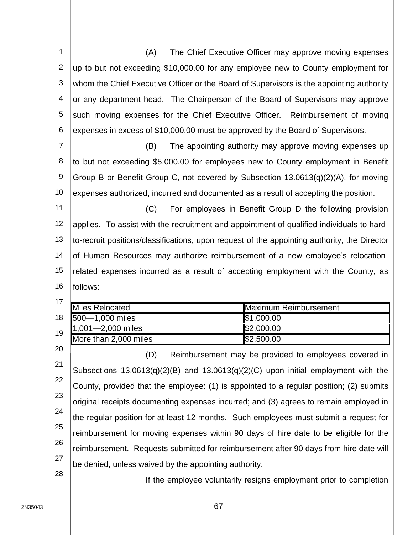| 1              | (A)<br>The Chief Executive Officer may approve moving expenses                                                              |  |  |
|----------------|-----------------------------------------------------------------------------------------------------------------------------|--|--|
| 2              | up to but not exceeding \$10,000.00 for any employee new to County employment for                                           |  |  |
| 3              | whom the Chief Executive Officer or the Board of Supervisors is the appointing authority                                    |  |  |
| 4              | or any department head. The Chairperson of the Board of Supervisors may approve                                             |  |  |
| 5              | such moving expenses for the Chief Executive Officer. Reimbursement of moving                                               |  |  |
| 6              | expenses in excess of \$10,000.00 must be approved by the Board of Supervisors.                                             |  |  |
| $\overline{7}$ | The appointing authority may approve moving expenses up<br>(B)                                                              |  |  |
| 8              | to but not exceeding \$5,000.00 for employees new to County employment in Benefit                                           |  |  |
| 9              | Group B or Benefit Group C, not covered by Subsection 13.0613(q)(2)(A), for moving                                          |  |  |
| 10             | expenses authorized, incurred and documented as a result of accepting the position.                                         |  |  |
| 11             | For employees in Benefit Group D the following provision<br>(C)                                                             |  |  |
| 12             | applies. To assist with the recruitment and appointment of qualified individuals to hard-                                   |  |  |
| 13             | to-recruit positions/classifications, upon request of the appointing authority, the Director                                |  |  |
| 14             | of Human Resources may authorize reimbursement of a new employee's relocation-                                              |  |  |
| 15             | related expenses incurred as a result of accepting employment with the County, as                                           |  |  |
| 16             | follows:                                                                                                                    |  |  |
| 17             |                                                                                                                             |  |  |
| 18             | <b>Maximum Reimbursement</b><br><b>Miles Relocated</b><br>500-1,000 miles<br>\$1,000.00                                     |  |  |
|                | 1,001-2,000 miles<br>\$2,000.00                                                                                             |  |  |
| 19             | More than 2,000 miles<br>\$2,500.00                                                                                         |  |  |
| 20             | (D)<br>Reimbursement may be provided to employees covered in                                                                |  |  |
| 21             |                                                                                                                             |  |  |
| 22             |                                                                                                                             |  |  |
|                | Subsections 13.0613(q)(2)(B) and 13.0613(q)(2)(C) upon initial employment with the                                          |  |  |
| 23             | County, provided that the employee: (1) is appointed to a regular position; (2) submits                                     |  |  |
| 24             | original receipts documenting expenses incurred; and (3) agrees to remain employed in                                       |  |  |
| 25             | the regular position for at least 12 months. Such employees must submit a request for                                       |  |  |
| 26             | reimbursement for moving expenses within 90 days of hire date to be eligible for the                                        |  |  |
| 27             | reimbursement. Requests submitted for reimbursement after 90 days from hire date will                                       |  |  |
| 28             | be denied, unless waived by the appointing authority.<br>If the employee voluntarily resigns employment prior to completion |  |  |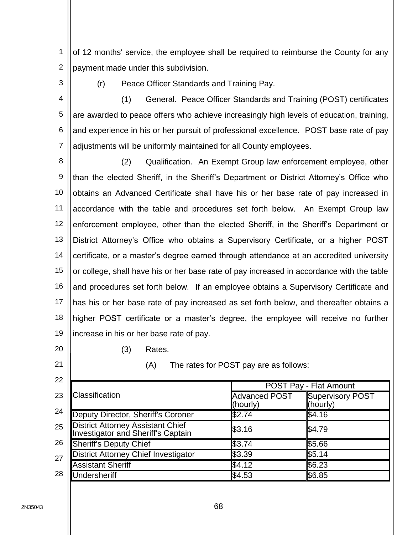1 2 of 12 months' service, the employee shall be required to reimburse the County for any payment made under this subdivision.

- 3
- (r) Peace Officer Standards and Training Pay.

4 5 6 7 (1) General. Peace Officer Standards and Training (POST) certificates are awarded to peace offers who achieve increasingly high levels of education, training, and experience in his or her pursuit of professional excellence. POST base rate of pay adjustments will be uniformly maintained for all County employees.

8 9 10 11 12 13 14 15 16 17 18 19 (2) Qualification. An Exempt Group law enforcement employee, other than the elected Sheriff, in the Sheriff's Department or District Attorney's Office who obtains an Advanced Certificate shall have his or her base rate of pay increased in accordance with the table and procedures set forth below. An Exempt Group law enforcement employee, other than the elected Sheriff, in the Sheriff's Department or District Attorney's Office who obtains a Supervisory Certificate, or a higher POST certificate, or a master's degree earned through attendance at an accredited university or college, shall have his or her base rate of pay increased in accordance with the table and procedures set forth below. If an employee obtains a Supervisory Certificate and has his or her base rate of pay increased as set forth below, and thereafter obtains a higher POST certificate or a master's degree, the employee will receive no further increase in his or her base rate of pay.

20

21

(3) Rates.

(A) The rates for POST pay are as follows:

| 22 |                                                                                 |                                  |                                     |  |
|----|---------------------------------------------------------------------------------|----------------------------------|-------------------------------------|--|
|    |                                                                                 | POST Pay - Flat Amount           |                                     |  |
| 23 | Classification                                                                  | <b>Advanced POST</b><br>(hourly) | <b>Supervisory POST</b><br>(hourly) |  |
| 24 | Deputy Director, Sheriff's Coroner                                              | \$2.74                           | \$4.16                              |  |
| 25 | <b>District Attorney Assistant Chief<br/>Investigator and Sheriff's Captain</b> | \$3.16                           | \$4.79                              |  |
| 26 | <b>Sheriff's Deputy Chief</b>                                                   | \$3.74                           | \$5.66                              |  |
| 27 | <b>District Attorney Chief Investigator</b>                                     | \$3.39                           | \$5.14                              |  |
|    | <b>Assistant Sheriff</b>                                                        | \$4.12                           | \$6.23                              |  |
| 28 | <b>Undersheriff</b>                                                             | \$4.53                           | \$6.85                              |  |
|    |                                                                                 |                                  |                                     |  |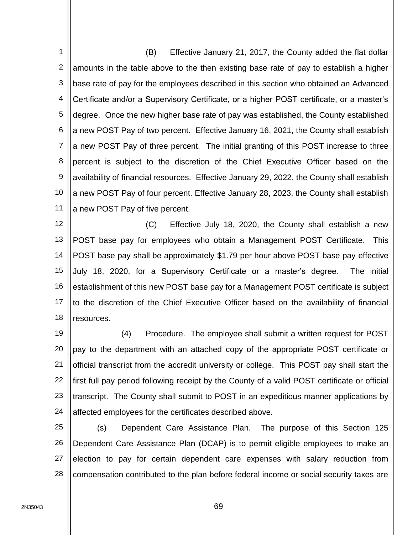1 2 3 4 5 6 7 8 9 10 11 (B) Effective January 21, 2017, the County added the flat dollar amounts in the table above to the then existing base rate of pay to establish a higher base rate of pay for the employees described in this section who obtained an Advanced Certificate and/or a Supervisory Certificate, or a higher POST certificate, or a master's degree. Once the new higher base rate of pay was established, the County established a new POST Pay of two percent. Effective January 16, 2021, the County shall establish a new POST Pay of three percent. The initial granting of this POST increase to three percent is subject to the discretion of the Chief Executive Officer based on the availability of financial resources. Effective January 29, 2022, the County shall establish a new POST Pay of four percent. Effective January 28, 2023, the County shall establish a new POST Pay of five percent.

12 13 14 15 16 17 18 (C) Effective July 18, 2020, the County shall establish a new POST base pay for employees who obtain a Management POST Certificate. This POST base pay shall be approximately \$1.79 per hour above POST base pay effective July 18, 2020, for a Supervisory Certificate or a master's degree. The initial establishment of this new POST base pay for a Management POST certificate is subject to the discretion of the Chief Executive Officer based on the availability of financial resources.

19 20 21 22 23 24 (4) Procedure. The employee shall submit a written request for POST pay to the department with an attached copy of the appropriate POST certificate or official transcript from the accredit university or college. This POST pay shall start the first full pay period following receipt by the County of a valid POST certificate or official transcript. The County shall submit to POST in an expeditious manner applications by affected employees for the certificates described above.

25 26 27 28 (s) Dependent Care Assistance Plan. The purpose of this Section 125 Dependent Care Assistance Plan (DCAP) is to permit eligible employees to make an election to pay for certain dependent care expenses with salary reduction from compensation contributed to the plan before federal income or social security taxes are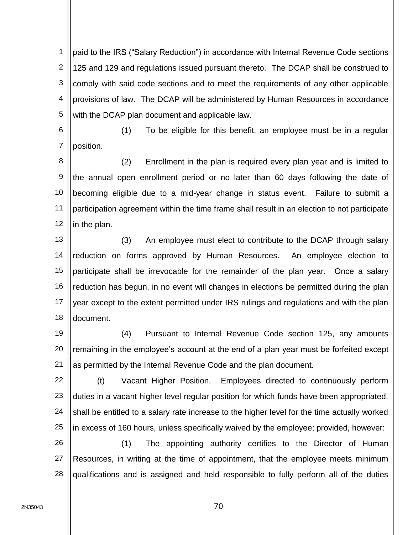1 2 3 4 5 paid to the IRS ("Salary Reduction") in accordance with Internal Revenue Code sections 125 and 129 and regulations issued pursuant thereto. The DCAP shall be construed to comply with said code sections and to meet the requirements of any other applicable provisions of law. The DCAP will be administered by Human Resources in accordance with the DCAP plan document and applicable law.

6

7

(1) To be eligible for this benefit, an employee must be in a regular position.

8 9 10 11 12 (2) Enrollment in the plan is required every plan year and is limited to the annual open enrollment period or no later than 60 days following the date of becoming eligible due to a mid-year change in status event. Failure to submit a participation agreement within the time frame shall result in an election to not participate in the plan.

13 14 15 16 17 18 (3) An employee must elect to contribute to the DCAP through salary reduction on forms approved by Human Resources. An employee election to participate shall be irrevocable for the remainder of the plan year. Once a salary reduction has begun, in no event will changes in elections be permitted during the plan year except to the extent permitted under IRS rulings and regulations and with the plan document.

19 20 21 (4) Pursuant to Internal Revenue Code section 125, any amounts remaining in the employee's account at the end of a plan year must be forfeited except as permitted by the Internal Revenue Code and the plan document.

22 23 24 25 (t) Vacant Higher Position. Employees directed to continuously perform duties in a vacant higher level regular position for which funds have been appropriated, shall be entitled to a salary rate increase to the higher level for the time actually worked in excess of 160 hours, unless specifically waived by the employee; provided, however:

26 27 28 (1) The appointing authority certifies to the Director of Human Resources, in writing at the time of appointment, that the employee meets minimum qualifications and is assigned and held responsible to fully perform all of the duties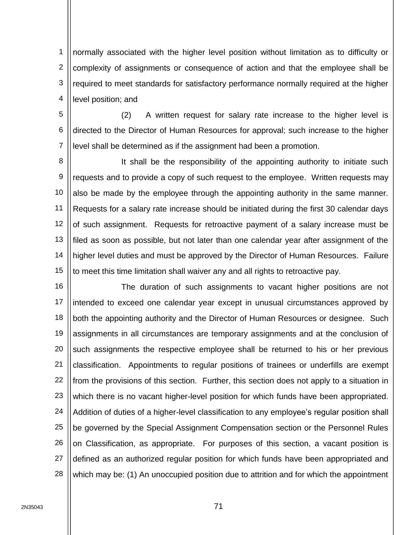1 2 3 4 normally associated with the higher level position without limitation as to difficulty or complexity of assignments or consequence of action and that the employee shall be required to meet standards for satisfactory performance normally required at the higher level position; and

5 6 7 (2) A written request for salary rate increase to the higher level is directed to the Director of Human Resources for approval; such increase to the higher level shall be determined as if the assignment had been a promotion.

8 9 10 11 12 13 14 15 It shall be the responsibility of the appointing authority to initiate such requests and to provide a copy of such request to the employee. Written requests may also be made by the employee through the appointing authority in the same manner. Requests for a salary rate increase should be initiated during the first 30 calendar days of such assignment. Requests for retroactive payment of a salary increase must be filed as soon as possible, but not later than one calendar year after assignment of the higher level duties and must be approved by the Director of Human Resources. Failure to meet this time limitation shall waiver any and all rights to retroactive pay.

16 17 18 19 20 21 22 23 24 25 26 27 28 The duration of such assignments to vacant higher positions are not intended to exceed one calendar year except in unusual circumstances approved by both the appointing authority and the Director of Human Resources or designee. Such assignments in all circumstances are temporary assignments and at the conclusion of such assignments the respective employee shall be returned to his or her previous classification. Appointments to regular positions of trainees or underfills are exempt from the provisions of this section. Further, this section does not apply to a situation in which there is no vacant higher-level position for which funds have been appropriated. Addition of duties of a higher-level classification to any employee's regular position shall be governed by the Special Assignment Compensation section or the Personnel Rules on Classification, as appropriate. For purposes of this section, a vacant position is defined as an authorized regular position for which funds have been appropriated and which may be: (1) An unoccupied position due to attrition and for which the appointment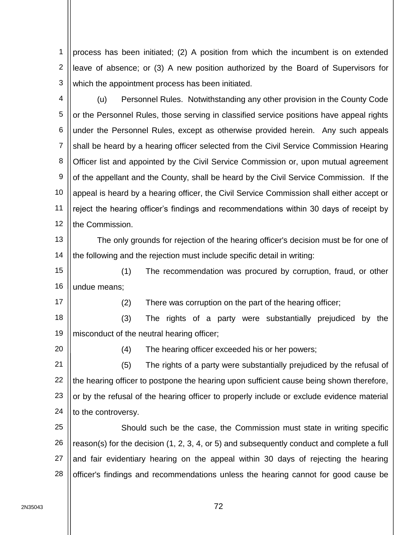1 2 3 process has been initiated; (2) A position from which the incumbent is on extended leave of absence; or (3) A new position authorized by the Board of Supervisors for which the appointment process has been initiated.

4 5 6 7 8 9 10 11 12 (u) Personnel Rules. Notwithstanding any other provision in the County Code or the Personnel Rules, those serving in classified service positions have appeal rights under the Personnel Rules, except as otherwise provided herein. Any such appeals shall be heard by a hearing officer selected from the Civil Service Commission Hearing Officer list and appointed by the Civil Service Commission or, upon mutual agreement of the appellant and the County, shall be heard by the Civil Service Commission. If the appeal is heard by a hearing officer, the Civil Service Commission shall either accept or reject the hearing officer's findings and recommendations within 30 days of receipt by the Commission.

13 14 The only grounds for rejection of the hearing officer's decision must be for one of the following and the rejection must include specific detail in writing:

15 16 (1) The recommendation was procured by corruption, fraud, or other undue means;

17

(2) There was corruption on the part of the hearing officer;

18 19 (3) The rights of a party were substantially prejudiced by the misconduct of the neutral hearing officer;

20

(4) The hearing officer exceeded his or her powers;

21 22 23 24 (5) The rights of a party were substantially prejudiced by the refusal of the hearing officer to postpone the hearing upon sufficient cause being shown therefore, or by the refusal of the hearing officer to properly include or exclude evidence material to the controversy.

25 26 27 28 Should such be the case, the Commission must state in writing specific reason(s) for the decision (1, 2, 3, 4, or 5) and subsequently conduct and complete a full and fair evidentiary hearing on the appeal within 30 days of rejecting the hearing officer's findings and recommendations unless the hearing cannot for good cause be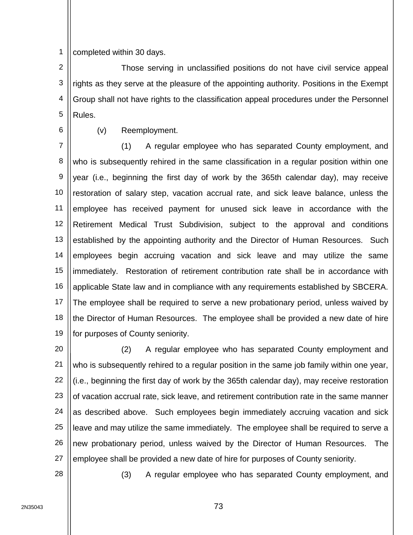1 completed within 30 days.

2 3 4 5 Those serving in unclassified positions do not have civil service appeal rights as they serve at the pleasure of the appointing authority. Positions in the Exempt Group shall not have rights to the classification appeal procedures under the Personnel Rules.

6

(v) Reemployment.

7 8 9 10 11 12 13 14 15 16 17 18 19 (1) A regular employee who has separated County employment, and who is subsequently rehired in the same classification in a regular position within one year (i.e., beginning the first day of work by the 365th calendar day), may receive restoration of salary step, vacation accrual rate, and sick leave balance, unless the employee has received payment for unused sick leave in accordance with the Retirement Medical Trust Subdivision, subject to the approval and conditions established by the appointing authority and the Director of Human Resources. Such employees begin accruing vacation and sick leave and may utilize the same immediately. Restoration of retirement contribution rate shall be in accordance with applicable State law and in compliance with any requirements established by SBCERA. The employee shall be required to serve a new probationary period, unless waived by the Director of Human Resources. The employee shall be provided a new date of hire for purposes of County seniority.

20 21 22 23 24 25 26 27 (2) A regular employee who has separated County employment and who is subsequently rehired to a regular position in the same job family within one year, (i.e., beginning the first day of work by the 365th calendar day), may receive restoration of vacation accrual rate, sick leave, and retirement contribution rate in the same manner as described above. Such employees begin immediately accruing vacation and sick leave and may utilize the same immediately. The employee shall be required to serve a new probationary period, unless waived by the Director of Human Resources. The employee shall be provided a new date of hire for purposes of County seniority.

28

(3) A regular employee who has separated County employment, and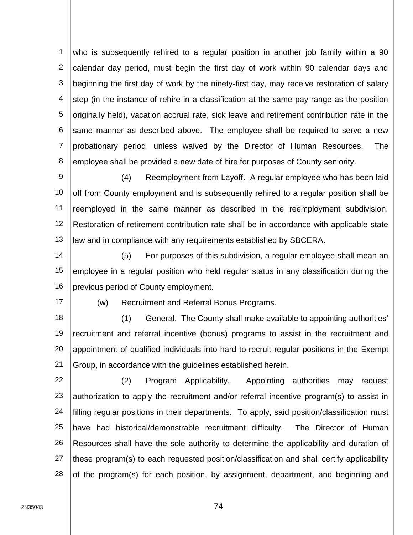1 2 3 4 5 6 7 8 who is subsequently rehired to a regular position in another job family within a 90 calendar day period, must begin the first day of work within 90 calendar days and beginning the first day of work by the ninety-first day, may receive restoration of salary step (in the instance of rehire in a classification at the same pay range as the position originally held), vacation accrual rate, sick leave and retirement contribution rate in the same manner as described above. The employee shall be required to serve a new probationary period, unless waived by the Director of Human Resources. The employee shall be provided a new date of hire for purposes of County seniority.

9 10 11 12 13 (4) Reemployment from Layoff. A regular employee who has been laid off from County employment and is subsequently rehired to a regular position shall be reemployed in the same manner as described in the reemployment subdivision. Restoration of retirement contribution rate shall be in accordance with applicable state law and in compliance with any requirements established by SBCERA.

14 15 16 (5) For purposes of this subdivision, a regular employee shall mean an employee in a regular position who held regular status in any classification during the previous period of County employment.

17

(w) Recruitment and Referral Bonus Programs.

18 19 20 21 (1) General. The County shall make available to appointing authorities' recruitment and referral incentive (bonus) programs to assist in the recruitment and appointment of qualified individuals into hard-to-recruit regular positions in the Exempt Group, in accordance with the guidelines established herein.

22 23 24 25 26 27 28 (2) Program Applicability. Appointing authorities may request authorization to apply the recruitment and/or referral incentive program(s) to assist in filling regular positions in their departments. To apply, said position/classification must have had historical/demonstrable recruitment difficulty. The Director of Human Resources shall have the sole authority to determine the applicability and duration of these program(s) to each requested position/classification and shall certify applicability of the program(s) for each position, by assignment, department, and beginning and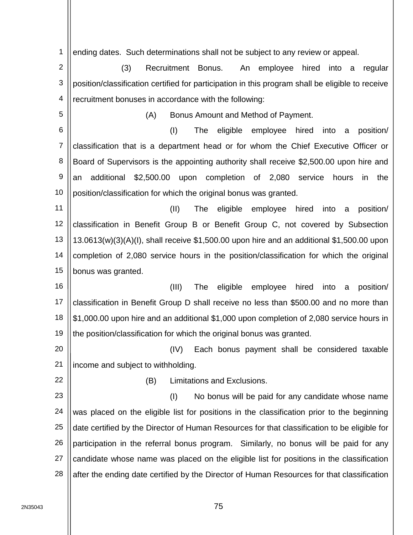1 ending dates. Such determinations shall not be subject to any review or appeal.

2 3 4 (3) Recruitment Bonus. An employee hired into a regular position/classification certified for participation in this program shall be eligible to receive recruitment bonuses in accordance with the following:

(A) Bonus Amount and Method of Payment.

6 7 8 9 10 (I) The eligible employee hired into a position/ classification that is a department head or for whom the Chief Executive Officer or Board of Supervisors is the appointing authority shall receive \$2,500.00 upon hire and an additional \$2,500.00 upon completion of 2,080 service hours in the position/classification for which the original bonus was granted.

11 12 13 14 15 (II) The eligible employee hired into a position/ classification in Benefit Group B or Benefit Group C, not covered by Subsection 13.0613(w)(3)(A)(I), shall receive \$1,500.00 upon hire and an additional \$1,500.00 upon completion of 2,080 service hours in the position/classification for which the original bonus was granted.

16 17 18 19 (III) The eligible employee hired into a position/ classification in Benefit Group D shall receive no less than \$500.00 and no more than \$1,000.00 upon hire and an additional \$1,000 upon completion of 2,080 service hours in the position/classification for which the original bonus was granted.

20 21 (IV) Each bonus payment shall be considered taxable income and subject to withholding.

22

5

(B) Limitations and Exclusions.

23 24 25 26 27 28 (I) No bonus will be paid for any candidate whose name was placed on the eligible list for positions in the classification prior to the beginning date certified by the Director of Human Resources for that classification to be eligible for participation in the referral bonus program. Similarly, no bonus will be paid for any candidate whose name was placed on the eligible list for positions in the classification after the ending date certified by the Director of Human Resources for that classification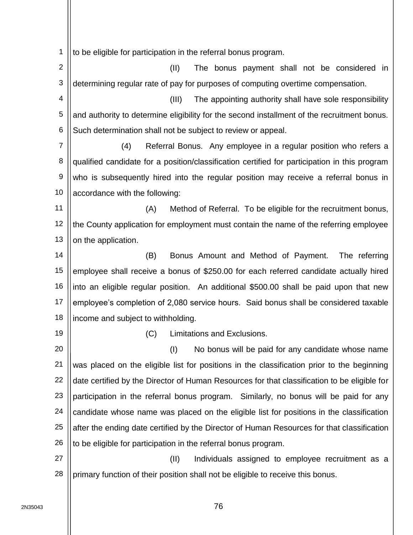1 to be eligible for participation in the referral bonus program.

2 3 (II) The bonus payment shall not be considered in determining regular rate of pay for purposes of computing overtime compensation.

4 5 6 (III) The appointing authority shall have sole responsibility and authority to determine eligibility for the second installment of the recruitment bonus. Such determination shall not be subject to review or appeal.

7 8 9 10 (4) Referral Bonus. Any employee in a regular position who refers a qualified candidate for a position/classification certified for participation in this program who is subsequently hired into the regular position may receive a referral bonus in accordance with the following:

11 12 13 (A) Method of Referral. To be eligible for the recruitment bonus, the County application for employment must contain the name of the referring employee on the application.

14 15 16 17 18 (B) Bonus Amount and Method of Payment. The referring employee shall receive a bonus of \$250.00 for each referred candidate actually hired into an eligible regular position. An additional \$500.00 shall be paid upon that new employee's completion of 2,080 service hours. Said bonus shall be considered taxable income and subject to withholding.

19

(C) Limitations and Exclusions.

20 21 22 23 24 25 26 (I) No bonus will be paid for any candidate whose name was placed on the eligible list for positions in the classification prior to the beginning date certified by the Director of Human Resources for that classification to be eligible for participation in the referral bonus program. Similarly, no bonus will be paid for any candidate whose name was placed on the eligible list for positions in the classification after the ending date certified by the Director of Human Resources for that classification to be eligible for participation in the referral bonus program.

27 28 (II) Individuals assigned to employee recruitment as a primary function of their position shall not be eligible to receive this bonus.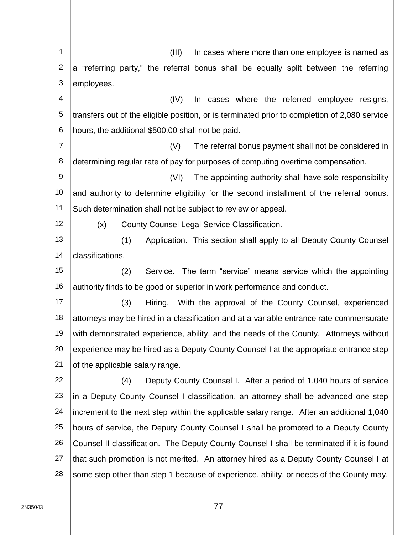1 2 3 4 5 6 7 8 9 10 11 12 13 14 15 16 17 18 19 20 21 22 23 24 25 26 27 28 (III) In cases where more than one employee is named as a "referring party," the referral bonus shall be equally split between the referring employees. (IV) In cases where the referred employee resigns, transfers out of the eligible position, or is terminated prior to completion of 2,080 service hours, the additional \$500.00 shall not be paid. (V) The referral bonus payment shall not be considered in determining regular rate of pay for purposes of computing overtime compensation. (VI) The appointing authority shall have sole responsibility and authority to determine eligibility for the second installment of the referral bonus. Such determination shall not be subject to review or appeal. (x) County Counsel Legal Service Classification. (1) Application. This section shall apply to all Deputy County Counsel classifications. (2) Service. The term "service" means service which the appointing authority finds to be good or superior in work performance and conduct. (3) Hiring. With the approval of the County Counsel, experienced attorneys may be hired in a classification and at a variable entrance rate commensurate with demonstrated experience, ability, and the needs of the County. Attorneys without experience may be hired as a Deputy County Counsel I at the appropriate entrance step of the applicable salary range. (4) Deputy County Counsel I. After a period of 1,040 hours of service in a Deputy County Counsel I classification, an attorney shall be advanced one step increment to the next step within the applicable salary range. After an additional 1,040 hours of service, the Deputy County Counsel I shall be promoted to a Deputy County Counsel II classification. The Deputy County Counsel I shall be terminated if it is found that such promotion is not merited. An attorney hired as a Deputy County Counsel I at some step other than step 1 because of experience, ability, or needs of the County may,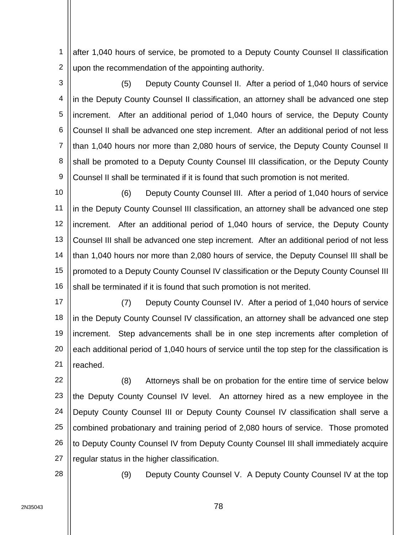1 2 after 1,040 hours of service, be promoted to a Deputy County Counsel II classification upon the recommendation of the appointing authority.

3 4 5 6 7 8 9 (5) Deputy County Counsel II. After a period of 1,040 hours of service in the Deputy County Counsel II classification, an attorney shall be advanced one step increment. After an additional period of 1,040 hours of service, the Deputy County Counsel II shall be advanced one step increment. After an additional period of not less than 1,040 hours nor more than 2,080 hours of service, the Deputy County Counsel II shall be promoted to a Deputy County Counsel III classification, or the Deputy County Counsel II shall be terminated if it is found that such promotion is not merited.

10 11 12 13 14 15 16 (6) Deputy County Counsel III. After a period of 1,040 hours of service in the Deputy County Counsel III classification, an attorney shall be advanced one step increment. After an additional period of 1,040 hours of service, the Deputy County Counsel III shall be advanced one step increment. After an additional period of not less than 1,040 hours nor more than 2,080 hours of service, the Deputy Counsel III shall be promoted to a Deputy County Counsel IV classification or the Deputy County Counsel III shall be terminated if it is found that such promotion is not merited.

17 18 19 20 21 (7) Deputy County Counsel IV. After a period of 1,040 hours of service in the Deputy County Counsel IV classification, an attorney shall be advanced one step increment. Step advancements shall be in one step increments after completion of each additional period of 1,040 hours of service until the top step for the classification is reached.

22 23 24 25 26 27 (8) Attorneys shall be on probation for the entire time of service below the Deputy County Counsel IV level. An attorney hired as a new employee in the Deputy County Counsel III or Deputy County Counsel IV classification shall serve a combined probationary and training period of 2,080 hours of service. Those promoted to Deputy County Counsel IV from Deputy County Counsel III shall immediately acquire regular status in the higher classification.

28

(9) Deputy County Counsel V. A Deputy County Counsel IV at the top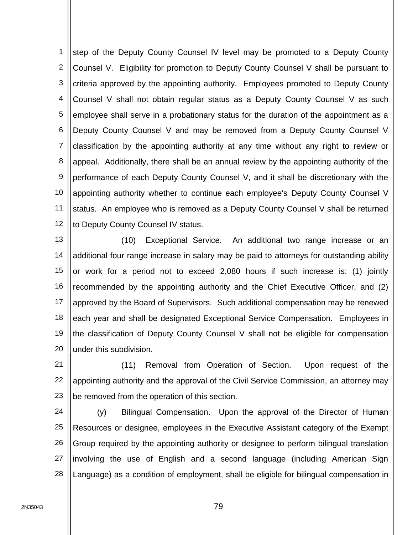1 2 3 4 5 6 7 8 9 10 11 12 step of the Deputy County Counsel IV level may be promoted to a Deputy County Counsel V. Eligibility for promotion to Deputy County Counsel V shall be pursuant to criteria approved by the appointing authority. Employees promoted to Deputy County Counsel V shall not obtain regular status as a Deputy County Counsel V as such employee shall serve in a probationary status for the duration of the appointment as a Deputy County Counsel V and may be removed from a Deputy County Counsel V classification by the appointing authority at any time without any right to review or appeal. Additionally, there shall be an annual review by the appointing authority of the performance of each Deputy County Counsel V, and it shall be discretionary with the appointing authority whether to continue each employee's Deputy County Counsel V status. An employee who is removed as a Deputy County Counsel V shall be returned to Deputy County Counsel IV status.

13 14 15 16 17 18 19 20 (10) Exceptional Service. An additional two range increase or an additional four range increase in salary may be paid to attorneys for outstanding ability or work for a period not to exceed 2,080 hours if such increase is: (1) jointly recommended by the appointing authority and the Chief Executive Officer, and (2) approved by the Board of Supervisors. Such additional compensation may be renewed each year and shall be designated Exceptional Service Compensation. Employees in the classification of Deputy County Counsel V shall not be eligible for compensation under this subdivision.

21 22 23 (11) Removal from Operation of Section. Upon request of the appointing authority and the approval of the Civil Service Commission, an attorney may be removed from the operation of this section.

24 25 26 27 28 (y) Bilingual Compensation. Upon the approval of the Director of Human Resources or designee, employees in the Executive Assistant category of the Exempt Group required by the appointing authority or designee to perform bilingual translation involving the use of English and a second language (including American Sign Language) as a condition of employment, shall be eligible for bilingual compensation in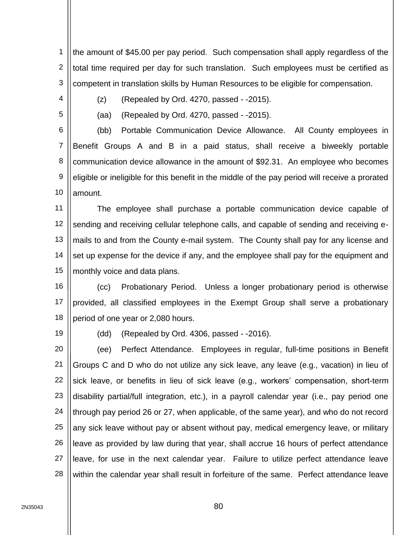1 2 3 the amount of \$45.00 per pay period. Such compensation shall apply regardless of the total time required per day for such translation. Such employees must be certified as competent in translation skills by Human Resources to be eligible for compensation.

4

 $(z)$  (Repealed by Ord. 4270, passed  $-2015$ ).

5

(aa) (Repealed by Ord. 4270, passed - -2015).

6 7 8 9 10 (bb) Portable Communication Device Allowance. All County employees in Benefit Groups A and B in a paid status, shall receive a biweekly portable communication device allowance in the amount of \$92.31. An employee who becomes eligible or ineligible for this benefit in the middle of the pay period will receive a prorated amount.

11 12 13 14 15 The employee shall purchase a portable communication device capable of sending and receiving cellular telephone calls, and capable of sending and receiving emails to and from the County e-mail system. The County shall pay for any license and set up expense for the device if any, and the employee shall pay for the equipment and monthly voice and data plans.

16 17 18 (cc) Probationary Period. Unless a longer probationary period is otherwise provided, all classified employees in the Exempt Group shall serve a probationary period of one year or 2,080 hours.

19

(dd) (Repealed by Ord. 4306, passed - -2016).

20 21 22 23 24 25 26 27 28 (ee) Perfect Attendance. Employees in regular, full-time positions in Benefit Groups C and D who do not utilize any sick leave, any leave (e.g., vacation) in lieu of sick leave, or benefits in lieu of sick leave (e.g., workers' compensation, short-term disability partial/full integration, etc.), in a payroll calendar year (i.e., pay period one through pay period 26 or 27, when applicable, of the same year), and who do not record any sick leave without pay or absent without pay, medical emergency leave, or military leave as provided by law during that year, shall accrue 16 hours of perfect attendance leave, for use in the next calendar year. Failure to utilize perfect attendance leave within the calendar year shall result in forfeiture of the same. Perfect attendance leave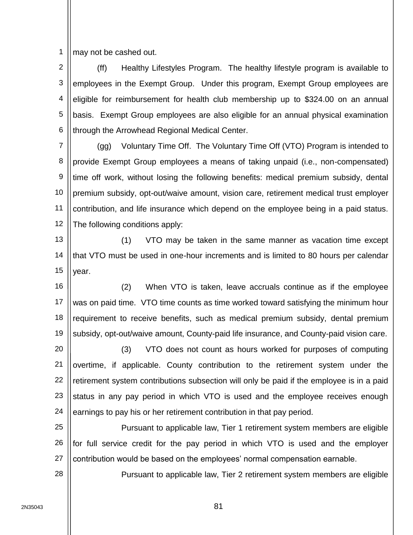1 may not be cashed out.

2 3 4 5 6 (ff) Healthy Lifestyles Program. The healthy lifestyle program is available to employees in the Exempt Group. Under this program, Exempt Group employees are eligible for reimbursement for health club membership up to \$324.00 on an annual basis. Exempt Group employees are also eligible for an annual physical examination through the Arrowhead Regional Medical Center.

7 8 9 10 11 12 (gg) Voluntary Time Off. The Voluntary Time Off (VTO) Program is intended to provide Exempt Group employees a means of taking unpaid (i.e., non-compensated) time off work, without losing the following benefits: medical premium subsidy, dental premium subsidy, opt-out/waive amount, vision care, retirement medical trust employer contribution, and life insurance which depend on the employee being in a paid status. The following conditions apply:

13 14 15 (1) VTO may be taken in the same manner as vacation time except that VTO must be used in one-hour increments and is limited to 80 hours per calendar year.

16 17 18 19 (2) When VTO is taken, leave accruals continue as if the employee was on paid time. VTO time counts as time worked toward satisfying the minimum hour requirement to receive benefits, such as medical premium subsidy, dental premium subsidy, opt-out/waive amount, County-paid life insurance, and County-paid vision care.

20 21 22 23 24 (3) VTO does not count as hours worked for purposes of computing overtime, if applicable. County contribution to the retirement system under the retirement system contributions subsection will only be paid if the employee is in a paid status in any pay period in which VTO is used and the employee receives enough earnings to pay his or her retirement contribution in that pay period.

25 26 27 Pursuant to applicable law, Tier 1 retirement system members are eligible for full service credit for the pay period in which VTO is used and the employer contribution would be based on the employees' normal compensation earnable.

Pursuant to applicable law, Tier 2 retirement system members are eligible

28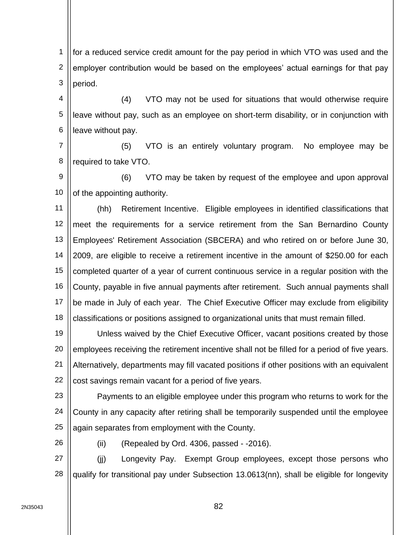1 2 3 for a reduced service credit amount for the pay period in which VTO was used and the employer contribution would be based on the employees' actual earnings for that pay period.

4 5 6 (4) VTO may not be used for situations that would otherwise require leave without pay, such as an employee on short-term disability, or in conjunction with leave without pay.

7 8 (5) VTO is an entirely voluntary program. No employee may be required to take VTO.

9 10 (6) VTO may be taken by request of the employee and upon approval of the appointing authority.

11 12 13 14 15 16 17 18 (hh) Retirement Incentive. Eligible employees in identified classifications that meet the requirements for a service retirement from the San Bernardino County Employees' Retirement Association (SBCERA) and who retired on or before June 30, 2009, are eligible to receive a retirement incentive in the amount of \$250.00 for each completed quarter of a year of current continuous service in a regular position with the County, payable in five annual payments after retirement. Such annual payments shall be made in July of each year. The Chief Executive Officer may exclude from eligibility classifications or positions assigned to organizational units that must remain filled.

19 20 21 22 Unless waived by the Chief Executive Officer, vacant positions created by those employees receiving the retirement incentive shall not be filled for a period of five years. Alternatively, departments may fill vacated positions if other positions with an equivalent cost savings remain vacant for a period of five years.

23 24 25 Payments to an eligible employee under this program who returns to work for the County in any capacity after retiring shall be temporarily suspended until the employee again separates from employment with the County.

26

 $(ii)$  (Repealed by Ord. 4306, passed  $-2016$ ).

27 28 (jj) Longevity Pay. Exempt Group employees, except those persons who qualify for transitional pay under Subsection 13.0613(nn), shall be eligible for longevity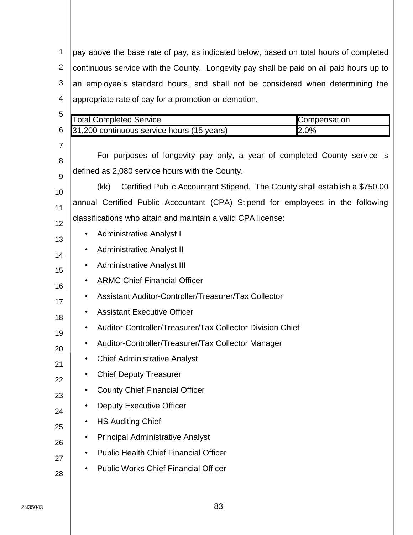1 2 3 4 pay above the base rate of pay, as indicated below, based on total hours of completed continuous service with the County. Longevity pay shall be paid on all paid hours up to an employee's standard hours, and shall not be considered when determining the appropriate rate of pay for a promotion or demotion.

|           |                                                                                    | Compensation                                                                                                                                                                                                                                                                       |
|-----------|------------------------------------------------------------------------------------|------------------------------------------------------------------------------------------------------------------------------------------------------------------------------------------------------------------------------------------------------------------------------------|
|           |                                                                                    | 2.0%                                                                                                                                                                                                                                                                               |
|           |                                                                                    |                                                                                                                                                                                                                                                                                    |
|           | For purposes of longevity pay only, a year of completed County service is          |                                                                                                                                                                                                                                                                                    |
|           |                                                                                    |                                                                                                                                                                                                                                                                                    |
|           | Certified Public Accountant Stipend. The County shall establish a \$750.00<br>(kk) |                                                                                                                                                                                                                                                                                    |
|           |                                                                                    |                                                                                                                                                                                                                                                                                    |
|           |                                                                                    |                                                                                                                                                                                                                                                                                    |
| ٠         | <b>Administrative Analyst I</b>                                                    |                                                                                                                                                                                                                                                                                    |
| ٠         | <b>Administrative Analyst II</b>                                                   |                                                                                                                                                                                                                                                                                    |
| ٠         | <b>Administrative Analyst III</b>                                                  |                                                                                                                                                                                                                                                                                    |
| $\bullet$ | <b>ARMC Chief Financial Officer</b>                                                |                                                                                                                                                                                                                                                                                    |
| ٠         | Assistant Auditor-Controller/Treasurer/Tax Collector                               |                                                                                                                                                                                                                                                                                    |
|           | <b>Assistant Executive Officer</b>                                                 |                                                                                                                                                                                                                                                                                    |
|           | Auditor-Controller/Treasurer/Tax Collector Division Chief                          |                                                                                                                                                                                                                                                                                    |
|           | Auditor-Controller/Treasurer/Tax Collector Manager                                 |                                                                                                                                                                                                                                                                                    |
|           | <b>Chief Administrative Analyst</b>                                                |                                                                                                                                                                                                                                                                                    |
| ٠         | <b>Chief Deputy Treasurer</b>                                                      |                                                                                                                                                                                                                                                                                    |
|           | <b>County Chief Financial Officer</b>                                              |                                                                                                                                                                                                                                                                                    |
|           | <b>Deputy Executive Officer</b>                                                    |                                                                                                                                                                                                                                                                                    |
|           | <b>HS Auditing Chief</b>                                                           |                                                                                                                                                                                                                                                                                    |
| ٠         | <b>Principal Administrative Analyst</b>                                            |                                                                                                                                                                                                                                                                                    |
| $\bullet$ | <b>Public Health Chief Financial Officer</b>                                       |                                                                                                                                                                                                                                                                                    |
| ٠         | <b>Public Works Chief Financial Officer</b>                                        |                                                                                                                                                                                                                                                                                    |
|           |                                                                                    | <b>Total Completed Service</b><br>31,200 continuous service hours (15 years)<br>defined as 2,080 service hours with the County.<br>annual Certified Public Accountant (CPA) Stipend for employees in the following<br>classifications who attain and maintain a valid CPA license: |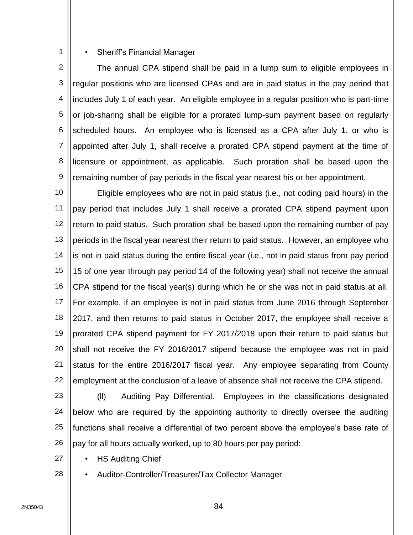## • Sheriff's Financial Manager

1

2 3 4 5 6 7 8 9 The annual CPA stipend shall be paid in a lump sum to eligible employees in regular positions who are licensed CPAs and are in paid status in the pay period that includes July 1 of each year. An eligible employee in a regular position who is part-time or job-sharing shall be eligible for a prorated lump-sum payment based on regularly scheduled hours. An employee who is licensed as a CPA after July 1, or who is appointed after July 1, shall receive a prorated CPA stipend payment at the time of licensure or appointment, as applicable. Such proration shall be based upon the remaining number of pay periods in the fiscal year nearest his or her appointment.

10 11 12 13 14 15 16 17 18 19 20 21 22 Eligible employees who are not in paid status (i.e., not coding paid hours) in the pay period that includes July 1 shall receive a prorated CPA stipend payment upon return to paid status. Such proration shall be based upon the remaining number of pay periods in the fiscal year nearest their return to paid status. However, an employee who is not in paid status during the entire fiscal year (i.e., not in paid status from pay period 15 of one year through pay period 14 of the following year) shall not receive the annual CPA stipend for the fiscal year(s) during which he or she was not in paid status at all. For example, if an employee is not in paid status from June 2016 through September 2017, and then returns to paid status in October 2017, the employee shall receive a prorated CPA stipend payment for FY 2017/2018 upon their return to paid status but shall not receive the FY 2016/2017 stipend because the employee was not in paid status for the entire 2016/2017 fiscal year. Any employee separating from County employment at the conclusion of a leave of absence shall not receive the CPA stipend.

23 24 25 26 (ll) Auditing Pay Differential. Employees in the classifications designated below who are required by the appointing authority to directly oversee the auditing functions shall receive a differential of two percent above the employee's base rate of pay for all hours actually worked, up to 80 hours per pay period:

- HS Auditing Chief
	- Auditor-Controller/Treasurer/Tax Collector Manager

27

28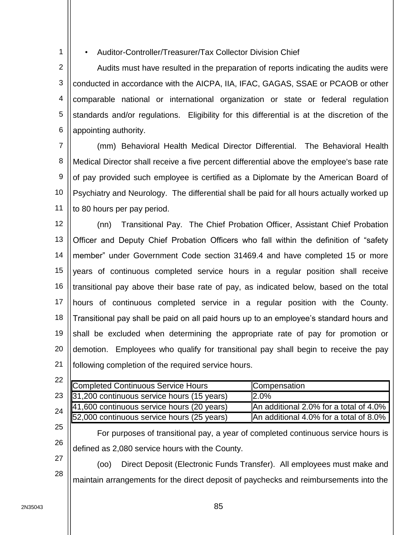• Auditor-Controller/Treasurer/Tax Collector Division Chief

2 3 4 5 6 Audits must have resulted in the preparation of reports indicating the audits were conducted in accordance with the AICPA, IIA, IFAC, GAGAS, SSAE or PCAOB or other comparable national or international organization or state or federal regulation standards and/or regulations. Eligibility for this differential is at the discretion of the appointing authority.

7 8 9 10 11 (mm) Behavioral Health Medical Director Differential. The Behavioral Health Medical Director shall receive a five percent differential above the employee's base rate of pay provided such employee is certified as a Diplomate by the American Board of Psychiatry and Neurology. The differential shall be paid for all hours actually worked up to 80 hours per pay period.

12 13 14 15 16 17 18 19 20 21 (nn) Transitional Pay. The Chief Probation Officer, Assistant Chief Probation Officer and Deputy Chief Probation Officers who fall within the definition of "safety member" under Government Code section 31469.4 and have completed 15 or more years of continuous completed service hours in a regular position shall receive transitional pay above their base rate of pay, as indicated below, based on the total hours of continuous completed service in a regular position with the County. Transitional pay shall be paid on all paid hours up to an employee's standard hours and shall be excluded when determining the appropriate rate of pay for promotion or demotion. Employees who qualify for transitional pay shall begin to receive the pay following completion of the required service hours.

| 22 |                                                                                          |                                        |
|----|------------------------------------------------------------------------------------------|----------------------------------------|
|    | Completed Continuous Service Hours                                                       | Compensation                           |
| 23 | 31,200 continuous service hours (15 years)                                               | 2.0%                                   |
| 24 | 41,600 continuous service hours (20 years)<br>52,000 continuous service hours (25 years) | An additional 2.0% for a total of 4.0% |
|    |                                                                                          | An additional 4.0% for a total of 8.0% |
| 25 | For purposes of transitional pay, a year of completed continuous service hours is        |                                        |
| 26 | defined as 2,080 service hours with the County.                                          |                                        |
|    |                                                                                          |                                        |

28 (oo) Direct Deposit (Electronic Funds Transfer). All employees must make and maintain arrangements for the direct deposit of paychecks and reimbursements into the

1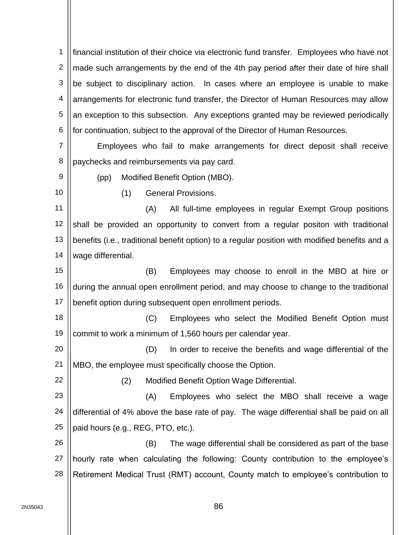1 2 3 4 5 6 financial institution of their choice via electronic fund transfer. Employees who have not made such arrangements by the end of the 4th pay period after their date of hire shall be subject to disciplinary action. In cases where an employee is unable to make arrangements for electronic fund transfer, the Director of Human Resources may allow an exception to this subsection. Any exceptions granted may be reviewed periodically for continuation, subject to the approval of the Director of Human Resources.

7 8 Employees who fail to make arrangements for direct deposit shall receive paychecks and reimbursements via pay card.

9

(pp) Modified Benefit Option (MBO).

10

(1) General Provisions.

11 12 13 14 (A) All full-time employees in regular Exempt Group positions shall be provided an opportunity to convert from a regular positon with traditional benefits (i.e., traditional benefit option) to a regular position with modified benefits and a wage differential.

15 16 17 (B) Employees may choose to enroll in the MBO at hire or during the annual open enrollment period, and may choose to change to the traditional benefit option during subsequent open enrollment periods.

18 19 (C) Employees who select the Modified Benefit Option must commit to work a minimum of 1,560 hours per calendar year.

20 21 (D) In order to receive the benefits and wage differential of the MBO, the employee must specifically choose the Option.

22 23 24 (2) Modified Benefit Option Wage Differential. (A) Employees who select the MBO shall receive a wage differential of 4% above the base rate of pay. The wage differential shall be paid on all

25 paid hours (e.g., REG, PTO, etc.).

26 27 28 (B) The wage differential shall be considered as part of the base hourly rate when calculating the following: County contribution to the employee's Retirement Medical Trust (RMT) account, County match to employee's contribution to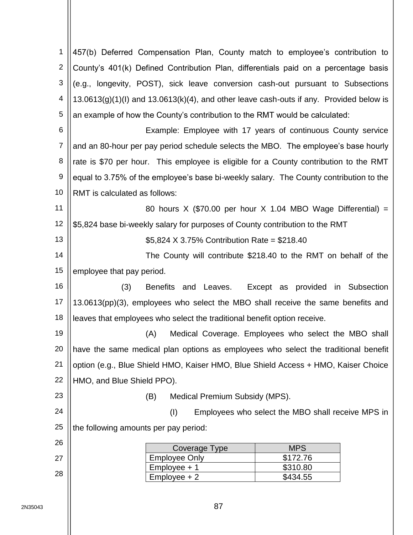| $\mathbf 1$    | 457(b) Deferred Compensation Plan, County match to employee's contribution to                |
|----------------|----------------------------------------------------------------------------------------------|
| 2              | County's 401(k) Defined Contribution Plan, differentials paid on a percentage basis          |
| 3              | (e.g., longevity, POST), sick leave conversion cash-out pursuant to Subsections              |
| 4              | $13.0613(g)(1)(l)$ and $13.0613(k)(4)$ , and other leave cash-outs if any. Provided below is |
| 5              | an example of how the County's contribution to the RMT would be calculated:                  |
| 6              | Example: Employee with 17 years of continuous County service                                 |
| $\overline{7}$ | and an 80-hour per pay period schedule selects the MBO. The employee's base hourly           |
| 8              | rate is \$70 per hour. This employee is eligible for a County contribution to the RMT        |
| 9              | equal to 3.75% of the employee's base bi-weekly salary. The County contribution to the       |
| 10             | RMT is calculated as follows:                                                                |
| 11             | 80 hours X (\$70.00 per hour X 1.04 MBO Wage Differential) =                                 |
| 12             | \$5,824 base bi-weekly salary for purposes of County contribution to the RMT                 |
| 13             | \$5,824 X 3.75% Contribution Rate = \$218.40                                                 |
| 14             | The County will contribute \$218.40 to the RMT on behalf of the                              |
| 15             | employee that pay period.                                                                    |
| 16             | (3)<br>Benefits and Leaves.<br>Except as provided in Subsection                              |
| 17             | 13.0613(pp)(3), employees who select the MBO shall receive the same benefits and             |
| 18             | leaves that employees who select the traditional benefit option receive.                     |
| 19             | Medical Coverage. Employees who select the MBO shall<br>(A)                                  |
| 20             | have the same medical plan options as employees who select the traditional benefit           |
| 21             | option (e.g., Blue Shield HMO, Kaiser HMO, Blue Shield Access + HMO, Kaiser Choice           |
| 22             | HMO, and Blue Shield PPO).                                                                   |
| 23             | Medical Premium Subsidy (MPS).<br>(B)                                                        |
| 24             | (1)<br>Employees who select the MBO shall receive MPS in                                     |
| 25             | the following amounts per pay period:                                                        |
| 26             | <b>MPS</b><br>Coverage Type                                                                  |
| 27             | \$172.76<br><b>Employee Only</b>                                                             |
| 28             | Employee + 1<br>\$310.80<br>$Employee + 2$<br>\$434.55                                       |
|                |                                                                                              |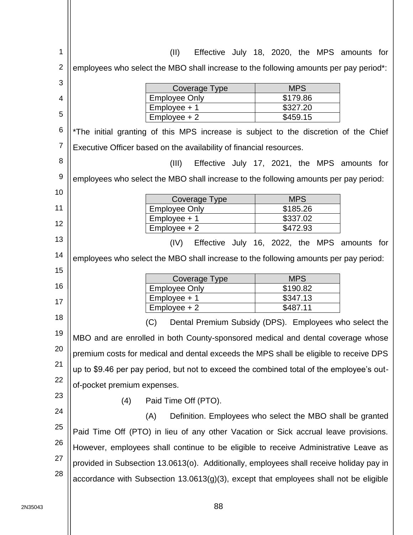| 1              | (II)                                                                                     | Effective July 18, 2020, the MPS amounts for              |
|----------------|------------------------------------------------------------------------------------------|-----------------------------------------------------------|
| $\overline{2}$ | employees who select the MBO shall increase to the following amounts per pay period*:    |                                                           |
| 3              | Coverage Type                                                                            | <b>MPS</b>                                                |
| 4              | <b>Employee Only</b>                                                                     | \$179.86                                                  |
| 5              | Employee + 1<br>$Employee + 2$                                                           | \$327.20<br>\$459.15                                      |
| 6              | *The initial granting of this MPS increase is subject to the discretion of the Chief     |                                                           |
| $\overline{7}$ | Executive Officer based on the availability of financial resources.                      |                                                           |
| 8              | (III)                                                                                    | Effective July 17, 2021, the MPS amounts for              |
| 9              | employees who select the MBO shall increase to the following amounts per pay period:     |                                                           |
| 10             |                                                                                          | <b>MPS</b>                                                |
| 11             | Coverage Type<br><b>Employee Only</b>                                                    | \$185.26                                                  |
| 12             | Employee + 1                                                                             | \$337.02                                                  |
|                | $Employee + 2$                                                                           | \$472.93                                                  |
| 13             | (IV)                                                                                     | Effective July 16, 2022, the MPS amounts for              |
| 14             | employees who select the MBO shall increase to the following amounts per pay period:     |                                                           |
|                |                                                                                          |                                                           |
| 15             |                                                                                          |                                                           |
| 16             | Coverage Type                                                                            | <b>MPS</b>                                                |
|                | <b>Employee Only</b><br>$Employee + 1$                                                   | \$190.82<br>\$347.13                                      |
| 17             | $Employee + 2$                                                                           | \$487.11                                                  |
| 18             | (C)                                                                                      | Dental Premium Subsidy (DPS). Employees who select the    |
| 19             | MBO and are enrolled in both County-sponsored medical and dental coverage whose          |                                                           |
| 20             | premium costs for medical and dental exceeds the MPS shall be eligible to receive DPS    |                                                           |
| 21             | up to \$9.46 per pay period, but not to exceed the combined total of the employee's out- |                                                           |
| 22             | of-pocket premium expenses.                                                              |                                                           |
| 23             | Paid Time Off (PTO).<br>(4)                                                              |                                                           |
| 24             | (A)                                                                                      | Definition. Employees who select the MBO shall be granted |
| 25             | Paid Time Off (PTO) in lieu of any other Vacation or Sick accrual leave provisions.      |                                                           |
| 26             | However, employees shall continue to be eligible to receive Administrative Leave as      |                                                           |
| 27             | provided in Subsection 13.0613(o). Additionally, employees shall receive holiday pay in  |                                                           |
| 28             | accordance with Subsection $13.0613(g)(3)$ , except that employees shall not be eligible |                                                           |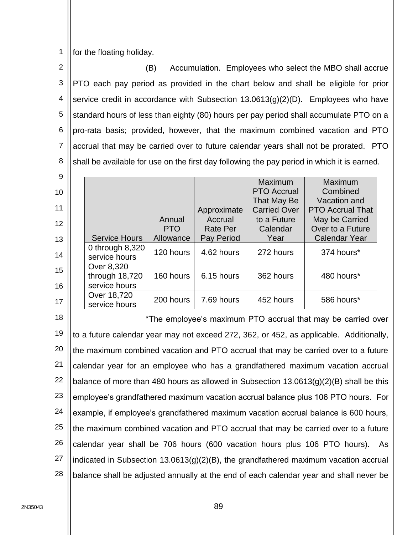1 for the floating holiday.

2 3 4 5 6 7 8 (B) Accumulation. Employees who select the MBO shall accrue PTO each pay period as provided in the chart below and shall be eligible for prior service credit in accordance with Subsection 13.0613(g)(2)(D). Employees who have standard hours of less than eighty (80) hours per pay period shall accumulate PTO on a pro-rata basis; provided, however, that the maximum combined vacation and PTO accrual that may be carried over to future calendar years shall not be prorated. PTO shall be available for use on the first day following the pay period in which it is earned.

| -9 |                      |            |                 |                     |                         |
|----|----------------------|------------|-----------------|---------------------|-------------------------|
|    |                      |            |                 | Maximum             | Maximum                 |
| 10 |                      |            |                 | <b>PTO Accrual</b>  | Combined                |
|    |                      |            |                 | That May Be         | Vacation and            |
| 11 |                      |            | Approximate     | <b>Carried Over</b> | <b>PTO Accrual That</b> |
| 12 |                      | Annual     | Accrual         | to a Future         | May be Carried          |
|    |                      | <b>PTO</b> | <b>Rate Per</b> | Calendar            | Over to a Future        |
| 13 | <b>Service Hours</b> | Allowance  | Pay Period      | Year                | <b>Calendar Year</b>    |
|    | 0 through $8,320$    | 120 hours  | 4.62 hours      | 272 hours           | 374 hours*              |
| 14 | service hours        |            |                 |                     |                         |
| 15 | Over 8,320           |            |                 |                     |                         |
|    | through 18,720       | 160 hours  | 6.15 hours      | 362 hours           | 480 hours*              |
| 16 | service hours        |            |                 |                     |                         |
|    | Over 18,720          | 200 hours  | 7.69 hours      | 452 hours           | 586 hours*              |
| 17 | service hours        |            |                 |                     |                         |

18 19 20 21 22 23 24 25 26 27 28 \*The employee's maximum PTO accrual that may be carried over to a future calendar year may not exceed 272, 362, or 452, as applicable. Additionally, the maximum combined vacation and PTO accrual that may be carried over to a future calendar year for an employee who has a grandfathered maximum vacation accrual balance of more than 480 hours as allowed in Subsection 13.0613(g)(2)(B) shall be this employee's grandfathered maximum vacation accrual balance plus 106 PTO hours. For example, if employee's grandfathered maximum vacation accrual balance is 600 hours, the maximum combined vacation and PTO accrual that may be carried over to a future calendar year shall be 706 hours (600 vacation hours plus 106 PTO hours). As indicated in Subsection 13.0613(g)(2)(B), the grandfathered maximum vacation accrual balance shall be adjusted annually at the end of each calendar year and shall never be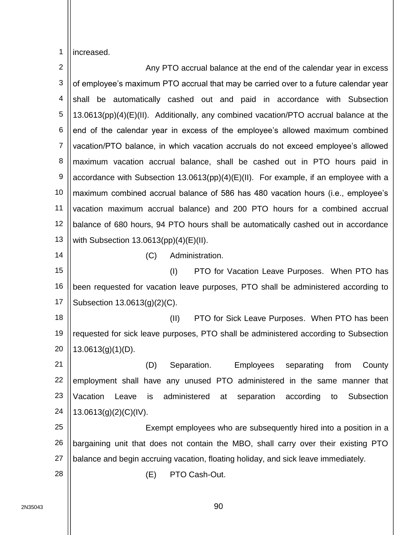1 increased.

| $\overline{2}$ | Any PTO accrual balance at the end of the calendar year in excess                       |
|----------------|-----------------------------------------------------------------------------------------|
| 3              | of employee's maximum PTO accrual that may be carried over to a future calendar year    |
| 4              | be automatically cashed out and paid in accordance with Subsection<br>shall             |
| 5              | 13.0613(pp)(4)(E)(II). Additionally, any combined vacation/PTO accrual balance at the   |
| 6              | end of the calendar year in excess of the employee's allowed maximum combined           |
| $\overline{7}$ | vacation/PTO balance, in which vacation accruals do not exceed employee's allowed       |
| 8              | maximum vacation accrual balance, shall be cashed out in PTO hours paid in              |
| 9              | accordance with Subsection $13.0613(pp)(4)(E)(II)$ . For example, if an employee with a |
| 10             | maximum combined accrual balance of 586 has 480 vacation hours (i.e., employee's        |
| 11             | vacation maximum accrual balance) and 200 PTO hours for a combined accrual              |
| 12             | balance of 680 hours, 94 PTO hours shall be automatically cashed out in accordance      |
| 13             | with Subsection $13.0613(pp)(4)(E)(II)$ .                                               |
| 14             | (C)<br>Administration.                                                                  |
| 15             | (1)<br>PTO for Vacation Leave Purposes. When PTO has                                    |
| 16             | been requested for vacation leave purposes, PTO shall be administered according to      |
| 17             | Subsection 13.0613(g)(2)(C).                                                            |
| 18             | (II)<br>PTO for Sick Leave Purposes. When PTO has been                                  |
| 19             | requested for sick leave purposes, PTO shall be administered according to Subsection    |
| 20             | $13.0613(g)(1)(D)$ .                                                                    |
| 21             | (D) Separation. Employees separating from County                                        |
| 22             | employment shall have any unused PTO administered in the same manner that               |
| 23             | Vacation<br>Leave<br>administered at separation<br>is<br>according<br>Subsection<br>to  |
| 24             | 13.0613(g)(2)(C)(IV).                                                                   |
| 25             | Exempt employees who are subsequently hired into a position in a                        |
| 26             | bargaining unit that does not contain the MBO, shall carry over their existing PTO      |
| 27             | balance and begin accruing vacation, floating holiday, and sick leave immediately.      |
| 28             | PTO Cash-Out.<br>(E)                                                                    |
|                |                                                                                         |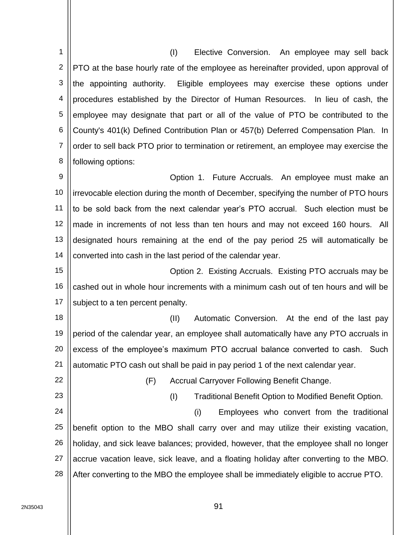1 2 3 4 5 6 7 8 9 10 11 12 13 14 15 16 17 18 19 20 21 22 23 (I) Elective Conversion. An employee may sell back PTO at the base hourly rate of the employee as hereinafter provided, upon approval of the appointing authority. Eligible employees may exercise these options under procedures established by the Director of Human Resources. In lieu of cash, the employee may designate that part or all of the value of PTO be contributed to the County's 401(k) Defined Contribution Plan or 457(b) Deferred Compensation Plan. In order to sell back PTO prior to termination or retirement, an employee may exercise the following options: Option 1. Future Accruals. An employee must make an irrevocable election during the month of December, specifying the number of PTO hours to be sold back from the next calendar year's PTO accrual. Such election must be made in increments of not less than ten hours and may not exceed 160 hours. All designated hours remaining at the end of the pay period 25 will automatically be converted into cash in the last period of the calendar year. Option 2. Existing Accruals. Existing PTO accruals may be cashed out in whole hour increments with a minimum cash out of ten hours and will be subject to a ten percent penalty. (II) Automatic Conversion. At the end of the last pay period of the calendar year, an employee shall automatically have any PTO accruals in excess of the employee's maximum PTO accrual balance converted to cash. Such automatic PTO cash out shall be paid in pay period 1 of the next calendar year. (F) Accrual Carryover Following Benefit Change. (I) Traditional Benefit Option to Modified Benefit Option.

24 25 26 27 28 (i) Employees who convert from the traditional benefit option to the MBO shall carry over and may utilize their existing vacation, holiday, and sick leave balances; provided, however, that the employee shall no longer accrue vacation leave, sick leave, and a floating holiday after converting to the MBO. After converting to the MBO the employee shall be immediately eligible to accrue PTO.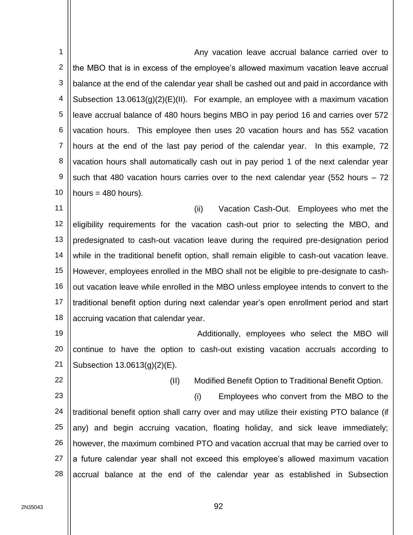1 2 3 4 5 6 7 8 9 10 Any vacation leave accrual balance carried over to the MBO that is in excess of the employee's allowed maximum vacation leave accrual balance at the end of the calendar year shall be cashed out and paid in accordance with Subsection  $13.0613(g)(2)(E)(II)$ . For example, an employee with a maximum vacation leave accrual balance of 480 hours begins MBO in pay period 16 and carries over 572 vacation hours. This employee then uses 20 vacation hours and has 552 vacation hours at the end of the last pay period of the calendar year. In this example, 72 vacation hours shall automatically cash out in pay period 1 of the next calendar year such that 480 vacation hours carries over to the next calendar year (552 hours – 72 hours  $=$  480 hours).

11 12 13 14 15 16 17 18 (ii) Vacation Cash-Out. Employees who met the eligibility requirements for the vacation cash-out prior to selecting the MBO, and predesignated to cash-out vacation leave during the required pre-designation period while in the traditional benefit option, shall remain eligible to cash-out vacation leave. However, employees enrolled in the MBO shall not be eligible to pre-designate to cashout vacation leave while enrolled in the MBO unless employee intends to convert to the traditional benefit option during next calendar year's open enrollment period and start accruing vacation that calendar year.

19 20 21 Additionally, employees who select the MBO will continue to have the option to cash-out existing vacation accruals according to Subsection 13.0613(g)(2)(E).

22

(II) Modified Benefit Option to Traditional Benefit Option.

23 24 25 26 27 28 (i) Employees who convert from the MBO to the traditional benefit option shall carry over and may utilize their existing PTO balance (if any) and begin accruing vacation, floating holiday, and sick leave immediately; however, the maximum combined PTO and vacation accrual that may be carried over to a future calendar year shall not exceed this employee's allowed maximum vacation accrual balance at the end of the calendar year as established in Subsection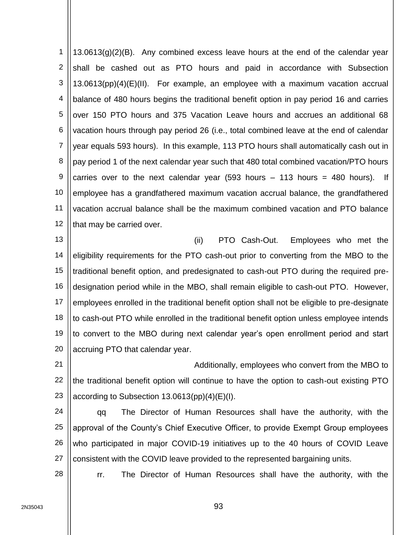1 2 3 4 5 6 7 8 9 10 11 12  $13.0613(q)(2)(B)$ . Any combined excess leave hours at the end of the calendar year shall be cashed out as PTO hours and paid in accordance with Subsection 13.0613(pp)(4)(E)(II). For example, an employee with a maximum vacation accrual balance of 480 hours begins the traditional benefit option in pay period 16 and carries over 150 PTO hours and 375 Vacation Leave hours and accrues an additional 68 vacation hours through pay period 26 (i.e., total combined leave at the end of calendar year equals 593 hours). In this example, 113 PTO hours shall automatically cash out in pay period 1 of the next calendar year such that 480 total combined vacation/PTO hours carries over to the next calendar year  $(593$  hours – 113 hours = 480 hours). If employee has a grandfathered maximum vacation accrual balance, the grandfathered vacation accrual balance shall be the maximum combined vacation and PTO balance that may be carried over.

13 14 15 16 17 18 19 20 (ii) PTO Cash-Out. Employees who met the eligibility requirements for the PTO cash-out prior to converting from the MBO to the traditional benefit option, and predesignated to cash-out PTO during the required predesignation period while in the MBO, shall remain eligible to cash-out PTO. However, employees enrolled in the traditional benefit option shall not be eligible to pre-designate to cash-out PTO while enrolled in the traditional benefit option unless employee intends to convert to the MBO during next calendar year's open enrollment period and start accruing PTO that calendar year.

21 22 23 Additionally, employees who convert from the MBO to the traditional benefit option will continue to have the option to cash-out existing PTO according to Subsection 13.0613(pp)(4)(E)(I).

24 25 26 27 qq The Director of Human Resources shall have the authority, with the approval of the County's Chief Executive Officer, to provide Exempt Group employees who participated in major COVID-19 initiatives up to the 40 hours of COVID Leave consistent with the COVID leave provided to the represented bargaining units.

rr. The Director of Human Resources shall have the authority, with the

28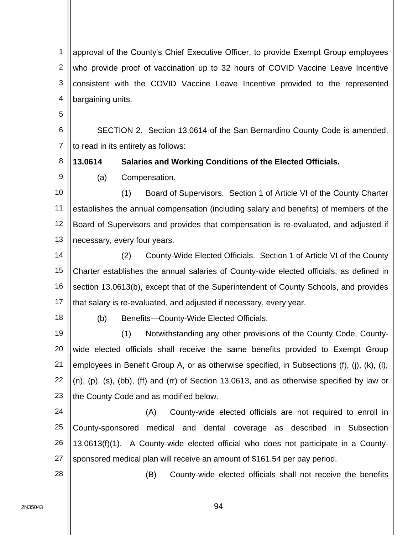1 2 3 4 approval of the County's Chief Executive Officer, to provide Exempt Group employees who provide proof of vaccination up to 32 hours of COVID Vaccine Leave Incentive consistent with the COVID Vaccine Leave Incentive provided to the represented bargaining units.

5

8

9

6 7 SECTION 2. Section 13.0614 of the San Bernardino County Code is amended, to read in its entirety as follows:

**13.0614 Salaries and Working Conditions of the Elected Officials.**

(a) Compensation.

10 11 12 13 (1) Board of Supervisors. Section 1 of Article VI of the County Charter establishes the annual compensation (including salary and benefits) of members of the Board of Supervisors and provides that compensation is re-evaluated, and adjusted if necessary, every four years.

14 15 16 17 (2) County-Wide Elected Officials. Section 1 of Article VI of the County Charter establishes the annual salaries of County-wide elected officials, as defined in section 13.0613(b), except that of the Superintendent of County Schools, and provides that salary is re-evaluated, and adjusted if necessary, every year.

18

(b) Benefits—County-Wide Elected Officials.

19 20 21 22 23 (1) Notwithstanding any other provisions of the County Code, Countywide elected officials shall receive the same benefits provided to Exempt Group employees in Benefit Group A, or as otherwise specified, in Subsections (f), (j), (k), (l), (n), (p), (s), (bb), (ff) and (rr) of Section 13.0613, and as otherwise specified by law or the County Code and as modified below.

24 25 26 27 (A) County-wide elected officials are not required to enroll in County-sponsored medical and dental coverage as described in Subsection 13.0613(f)(1). A County-wide elected official who does not participate in a Countysponsored medical plan will receive an amount of \$161.54 per pay period.

(B) County-wide elected officials shall not receive the benefits

28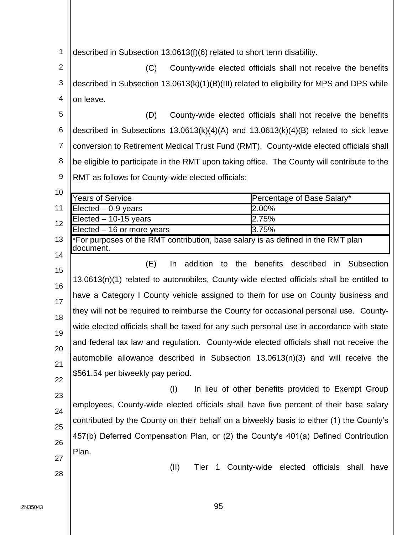1 described in Subsection 13.0613(f)(6) related to short term disability.

2 3 4 (C) County-wide elected officials shall not receive the benefits described in Subsection 13.0613(k)(1)(B)(III) related to eligibility for MPS and DPS while on leave.

5 6 7 8 9 (D) County-wide elected officials shall not receive the benefits described in Subsections 13.0613(k)(4)(A) and 13.0613(k)(4)(B) related to sick leave conversion to Retirement Medical Trust Fund (RMT). County-wide elected officials shall be eligible to participate in the RMT upon taking office. The County will contribute to the RMT as follows for County-wide elected officials:

10 11 12 13 14 15 16 17 18 19 20 21 22 23 24 25 26 Years of Service **Percentage of Base Salary\***  $Electred - 0.9$  years  $2.00\%$  $Electred - 10-15$  years  $2.75\%$  $Elected - 16$  or more years  $3.75\%$ \*For purposes of the RMT contribution, base salary is as defined in the RMT plan document. (E) In addition to the benefits described in Subsection 13.0613(n)(1) related to automobiles, County-wide elected officials shall be entitled to have a Category I County vehicle assigned to them for use on County business and they will not be required to reimburse the County for occasional personal use. Countywide elected officials shall be taxed for any such personal use in accordance with state and federal tax law and regulation. County-wide elected officials shall not receive the automobile allowance described in Subsection 13.0613(n)(3) and will receive the \$561.54 per biweekly pay period. (I) In lieu of other benefits provided to Exempt Group employees, County-wide elected officials shall have five percent of their base salary contributed by the County on their behalf on a biweekly basis to either (1) the County's 457(b) Deferred Compensation Plan, or (2) the County's 401(a) Defined Contribution

27

Plan.

28

(II) Tier 1 County-wide elected officials shall have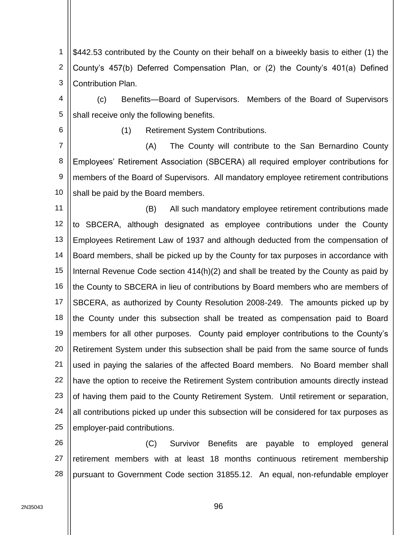1 2 3 \$442.53 contributed by the County on their behalf on a biweekly basis to either (1) the County's 457(b) Deferred Compensation Plan, or (2) the County's 401(a) Defined Contribution Plan.

4 5 (c) Benefits—Board of Supervisors. Members of the Board of Supervisors shall receive only the following benefits.

6

(1) Retirement System Contributions.

7 8 9 10 (A) The County will contribute to the San Bernardino County Employees' Retirement Association (SBCERA) all required employer contributions for members of the Board of Supervisors. All mandatory employee retirement contributions shall be paid by the Board members.

11 12 13 14 15 16 17 18 19 20 21 22 23 24 25 (B) All such mandatory employee retirement contributions made to SBCERA, although designated as employee contributions under the County Employees Retirement Law of 1937 and although deducted from the compensation of Board members, shall be picked up by the County for tax purposes in accordance with Internal Revenue Code section 414(h)(2) and shall be treated by the County as paid by the County to SBCERA in lieu of contributions by Board members who are members of SBCERA, as authorized by County Resolution 2008-249. The amounts picked up by the County under this subsection shall be treated as compensation paid to Board members for all other purposes. County paid employer contributions to the County's Retirement System under this subsection shall be paid from the same source of funds used in paying the salaries of the affected Board members. No Board member shall have the option to receive the Retirement System contribution amounts directly instead of having them paid to the County Retirement System. Until retirement or separation, all contributions picked up under this subsection will be considered for tax purposes as employer-paid contributions.

26 27 28 (C) Survivor Benefits are payable to employed general retirement members with at least 18 months continuous retirement membership pursuant to Government Code section 31855.12. An equal, non-refundable employer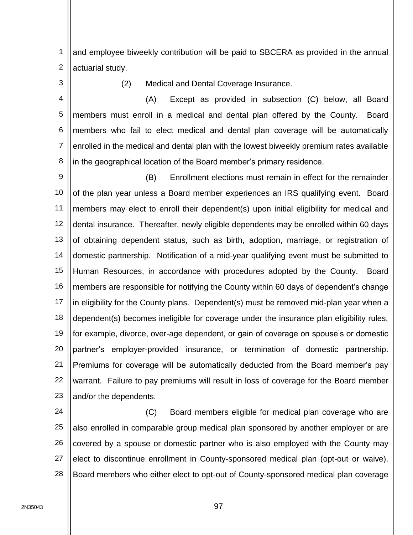1 2 and employee biweekly contribution will be paid to SBCERA as provided in the annual actuarial study.

3

(2) Medical and Dental Coverage Insurance.

4 5 6 7 8 (A) Except as provided in subsection (C) below, all Board members must enroll in a medical and dental plan offered by the County. Board members who fail to elect medical and dental plan coverage will be automatically enrolled in the medical and dental plan with the lowest biweekly premium rates available in the geographical location of the Board member's primary residence.

9 10 11 12 13 14 15 16 17 18 19 20 21 22 23 (B) Enrollment elections must remain in effect for the remainder of the plan year unless a Board member experiences an IRS qualifying event. Board members may elect to enroll their dependent(s) upon initial eligibility for medical and dental insurance. Thereafter, newly eligible dependents may be enrolled within 60 days of obtaining dependent status, such as birth, adoption, marriage, or registration of domestic partnership. Notification of a mid-year qualifying event must be submitted to Human Resources, in accordance with procedures adopted by the County. Board members are responsible for notifying the County within 60 days of dependent's change in eligibility for the County plans. Dependent(s) must be removed mid-plan year when a dependent(s) becomes ineligible for coverage under the insurance plan eligibility rules, for example, divorce, over-age dependent, or gain of coverage on spouse's or domestic partner's employer-provided insurance, or termination of domestic partnership. Premiums for coverage will be automatically deducted from the Board member's pay warrant. Failure to pay premiums will result in loss of coverage for the Board member and/or the dependents.

24 25 26 27 28 (C) Board members eligible for medical plan coverage who are also enrolled in comparable group medical plan sponsored by another employer or are covered by a spouse or domestic partner who is also employed with the County may elect to discontinue enrollment in County-sponsored medical plan (opt-out or waive). Board members who either elect to opt-out of County-sponsored medical plan coverage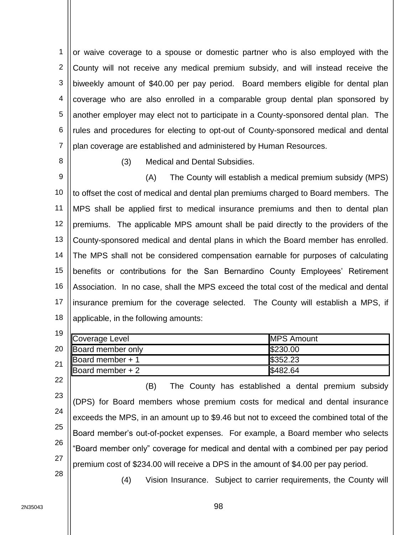1 2 3 4 5 6 7 or waive coverage to a spouse or domestic partner who is also employed with the County will not receive any medical premium subsidy, and will instead receive the biweekly amount of \$40.00 per pay period. Board members eligible for dental plan coverage who are also enrolled in a comparable group dental plan sponsored by another employer may elect not to participate in a County-sponsored dental plan. The rules and procedures for electing to opt-out of County-sponsored medical and dental plan coverage are established and administered by Human Resources.

8

(3) Medical and Dental Subsidies.

9 10 11 12 13 14 15 16 17 18 (A) The County will establish a medical premium subsidy (MPS) to offset the cost of medical and dental plan premiums charged to Board members. The MPS shall be applied first to medical insurance premiums and then to dental plan premiums. The applicable MPS amount shall be paid directly to the providers of the County-sponsored medical and dental plans in which the Board member has enrolled. The MPS shall not be considered compensation earnable for purposes of calculating benefits or contributions for the San Bernardino County Employees' Retirement Association. In no case, shall the MPS exceed the total cost of the medical and dental insurance premium for the coverage selected. The County will establish a MPS, if applicable, in the following amounts:

| 19 |                                  |                   |  |
|----|----------------------------------|-------------------|--|
|    | <b>Coverage Level</b>            | <b>MPS Amount</b> |  |
| 20 | <b>Board member only</b>         | \$230.00          |  |
| 21 | Board member + 1                 | \$352.23          |  |
|    | $\sqrt{\text{Board member} + 2}$ | \$482.64          |  |

22 23 24 25 26 27 28 (B) The County has established a dental premium subsidy (DPS) for Board members whose premium costs for medical and dental insurance exceeds the MPS, in an amount up to \$9.46 but not to exceed the combined total of the Board member's out-of-pocket expenses. For example, a Board member who selects "Board member only" coverage for medical and dental with a combined per pay period premium cost of \$234.00 will receive a DPS in the amount of \$4.00 per pay period.

(4) Vision Insurance. Subject to carrier requirements, the County will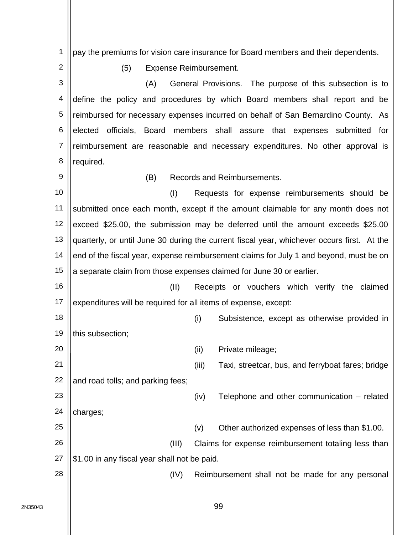1 2 3 4 5 6 7 8 9 10 11 12 13 14 15 16 17 18 19 20 21 22 23 24 25 26 27 28 pay the premiums for vision care insurance for Board members and their dependents. (5) Expense Reimbursement. (A) General Provisions. The purpose of this subsection is to define the policy and procedures by which Board members shall report and be reimbursed for necessary expenses incurred on behalf of San Bernardino County. As elected officials, Board members shall assure that expenses submitted for reimbursement are reasonable and necessary expenditures. No other approval is required. (B) Records and Reimbursements. (I) Requests for expense reimbursements should be submitted once each month, except if the amount claimable for any month does not exceed \$25.00, the submission may be deferred until the amount exceeds \$25.00 quarterly, or until June 30 during the current fiscal year, whichever occurs first. At the end of the fiscal year, expense reimbursement claims for July 1 and beyond, must be on a separate claim from those expenses claimed for June 30 or earlier. (II) Receipts or vouchers which verify the claimed expenditures will be required for all items of expense, except: (i) Subsistence, except as otherwise provided in this subsection; (ii) Private mileage; (iii) Taxi, streetcar, bus, and ferryboat fares; bridge and road tolls; and parking fees; (iv) Telephone and other communication – related charges; (v) Other authorized expenses of less than \$1.00. (III) Claims for expense reimbursement totaling less than \$1.00 in any fiscal year shall not be paid. (IV) Reimbursement shall not be made for any personal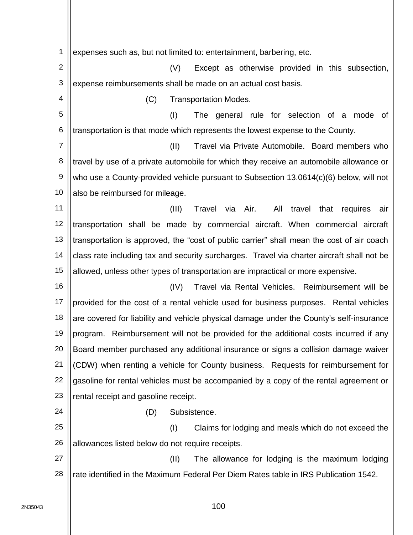1 2 3 4 5 6 7 8 9 10 11 12 13 14 15 16 17 18 19 20 21 22 23 24 25 26 27 28 expenses such as, but not limited to: entertainment, barbering, etc. (V) Except as otherwise provided in this subsection, expense reimbursements shall be made on an actual cost basis. (C) Transportation Modes. (I) The general rule for selection of a mode of transportation is that mode which represents the lowest expense to the County. (II) Travel via Private Automobile. Board members who travel by use of a private automobile for which they receive an automobile allowance or who use a County-provided vehicle pursuant to Subsection 13.0614(c)(6) below, will not also be reimbursed for mileage. (III) Travel via Air. All travel that requires air transportation shall be made by commercial aircraft. When commercial aircraft transportation is approved, the "cost of public carrier" shall mean the cost of air coach class rate including tax and security surcharges. Travel via charter aircraft shall not be allowed, unless other types of transportation are impractical or more expensive. (IV) Travel via Rental Vehicles. Reimbursement will be provided for the cost of a rental vehicle used for business purposes. Rental vehicles are covered for liability and vehicle physical damage under the County's self-insurance program. Reimbursement will not be provided for the additional costs incurred if any Board member purchased any additional insurance or signs a collision damage waiver (CDW) when renting a vehicle for County business. Requests for reimbursement for gasoline for rental vehicles must be accompanied by a copy of the rental agreement or rental receipt and gasoline receipt. (D) Subsistence. (I) Claims for lodging and meals which do not exceed the allowances listed below do not require receipts. (II) The allowance for lodging is the maximum lodging rate identified in the Maximum Federal Per Diem Rates table in IRS Publication 1542.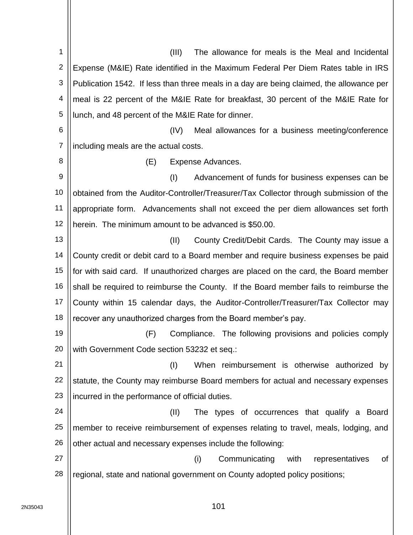1 2 3 4 5 6 7 8 9 10 11 12 13 14 15 16 17 18 19 20 21 22 23 24 25 26 27 28 (III) The allowance for meals is the Meal and Incidental Expense (M&IE) Rate identified in the Maximum Federal Per Diem Rates table in IRS Publication 1542. If less than three meals in a day are being claimed, the allowance per meal is 22 percent of the M&IE Rate for breakfast, 30 percent of the M&IE Rate for lunch, and 48 percent of the M&IE Rate for dinner. (IV) Meal allowances for a business meeting/conference including meals are the actual costs. (E) Expense Advances. (I) Advancement of funds for business expenses can be obtained from the Auditor-Controller/Treasurer/Tax Collector through submission of the appropriate form. Advancements shall not exceed the per diem allowances set forth herein. The minimum amount to be advanced is \$50.00. (II) County Credit/Debit Cards. The County may issue a County credit or debit card to a Board member and require business expenses be paid for with said card. If unauthorized charges are placed on the card, the Board member shall be required to reimburse the County. If the Board member fails to reimburse the County within 15 calendar days, the Auditor-Controller/Treasurer/Tax Collector may recover any unauthorized charges from the Board member's pay. (F) Compliance. The following provisions and policies comply with Government Code section 53232 et seq.: (I) When reimbursement is otherwise authorized by statute, the County may reimburse Board members for actual and necessary expenses incurred in the performance of official duties. (II) The types of occurrences that qualify a Board member to receive reimbursement of expenses relating to travel, meals, lodging, and other actual and necessary expenses include the following: (i) Communicating with representatives of regional, state and national government on County adopted policy positions;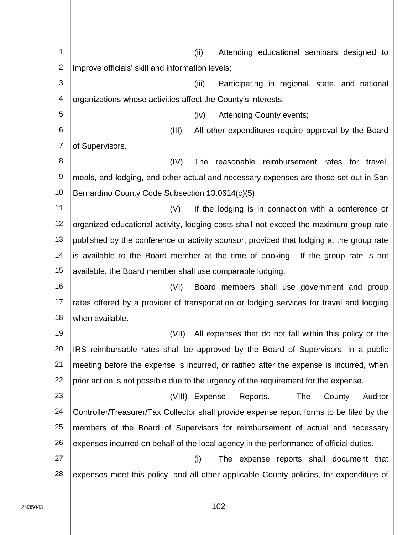1 2 3 4 5 6 7 8 9 10 11 12 13 14 15 16 17 18 19 20 21 22 23 24 25 26 27 28 (ii) Attending educational seminars designed to improve officials' skill and information levels; (iii) Participating in regional, state, and national organizations whose activities affect the County's interests; (iv) Attending County events; (III) All other expenditures require approval by the Board of Supervisors. (IV) The reasonable reimbursement rates for travel, meals, and lodging, and other actual and necessary expenses are those set out in San Bernardino County Code Subsection 13.0614(c)(5). (V) If the lodging is in connection with a conference or organized educational activity, lodging costs shall not exceed the maximum group rate published by the conference or activity sponsor, provided that lodging at the group rate is available to the Board member at the time of booking. If the group rate is not available, the Board member shall use comparable lodging. (VI) Board members shall use government and group rates offered by a provider of transportation or lodging services for travel and lodging when available. (VII) All expenses that do not fall within this policy or the IRS reimbursable rates shall be approved by the Board of Supervisors, in a public meeting before the expense is incurred, or ratified after the expense is incurred, when prior action is not possible due to the urgency of the requirement for the expense. (VIII) Expense Reports. The County Auditor Controller/Treasurer/Tax Collector shall provide expense report forms to be filed by the members of the Board of Supervisors for reimbursement of actual and necessary expenses incurred on behalf of the local agency in the performance of official duties. (i) The expense reports shall document that expenses meet this policy, and all other applicable County policies, for expenditure of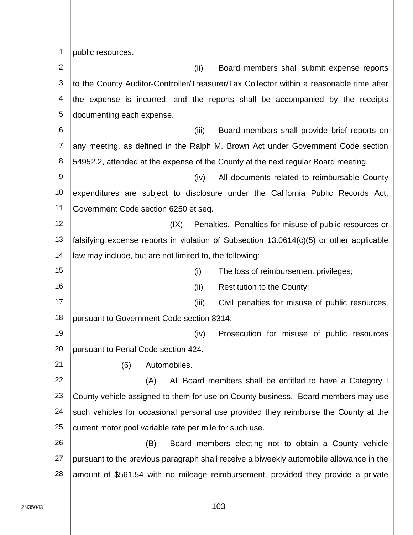1 public resources.

2 3 4 5 6 7 8  $\mathbf{Q}$ 10 11 12 13 14 15 16 17 18 19 20 21 22 23 24 25 26 27 28 (ii) Board members shall submit expense reports to the County Auditor-Controller/Treasurer/Tax Collector within a reasonable time after the expense is incurred, and the reports shall be accompanied by the receipts documenting each expense. (iii) Board members shall provide brief reports on any meeting, as defined in the Ralph M. Brown Act under Government Code section 54952.2, attended at the expense of the County at the next regular Board meeting. (iv) All documents related to reimbursable County expenditures are subject to disclosure under the California Public Records Act, Government Code section 6250 et seq. (IX) Penalties. Penalties for misuse of public resources or falsifying expense reports in violation of Subsection 13.0614(c)(5) or other applicable law may include, but are not limited to, the following: (i) The loss of reimbursement privileges; (ii) Restitution to the County; (iii) Civil penalties for misuse of public resources, pursuant to Government Code section 8314; (iv) Prosecution for misuse of public resources pursuant to Penal Code section 424. (6) Automobiles. (A) All Board members shall be entitled to have a Category I County vehicle assigned to them for use on County business. Board members may use such vehicles for occasional personal use provided they reimburse the County at the current motor pool variable rate per mile for such use. (B) Board members electing not to obtain a County vehicle pursuant to the previous paragraph shall receive a biweekly automobile allowance in the amount of \$561.54 with no mileage reimbursement, provided they provide a private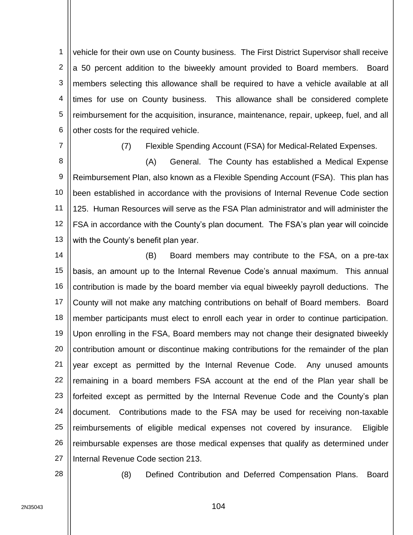1 2 3 4 5 6 vehicle for their own use on County business. The First District Supervisor shall receive a 50 percent addition to the biweekly amount provided to Board members. Board members selecting this allowance shall be required to have a vehicle available at all times for use on County business. This allowance shall be considered complete reimbursement for the acquisition, insurance, maintenance, repair, upkeep, fuel, and all other costs for the required vehicle.

7

(7) Flexible Spending Account (FSA) for Medical-Related Expenses.

8 9 10 11 12 13 (A) General. The County has established a Medical Expense Reimbursement Plan, also known as a Flexible Spending Account (FSA). This plan has been established in accordance with the provisions of Internal Revenue Code section 125. Human Resources will serve as the FSA Plan administrator and will administer the FSA in accordance with the County's plan document. The FSA's plan year will coincide with the County's benefit plan year.

14 15 16 17 18 19 20 21 22 23 24 25 26 27 (B) Board members may contribute to the FSA, on a pre-tax basis, an amount up to the Internal Revenue Code's annual maximum. This annual contribution is made by the board member via equal biweekly payroll deductions. The County will not make any matching contributions on behalf of Board members. Board member participants must elect to enroll each year in order to continue participation. Upon enrolling in the FSA, Board members may not change their designated biweekly contribution amount or discontinue making contributions for the remainder of the plan year except as permitted by the Internal Revenue Code. Any unused amounts remaining in a board members FSA account at the end of the Plan year shall be forfeited except as permitted by the Internal Revenue Code and the County's plan document. Contributions made to the FSA may be used for receiving non-taxable reimbursements of eligible medical expenses not covered by insurance. Eligible reimbursable expenses are those medical expenses that qualify as determined under Internal Revenue Code section 213.

28

(8) Defined Contribution and Deferred Compensation Plans. Board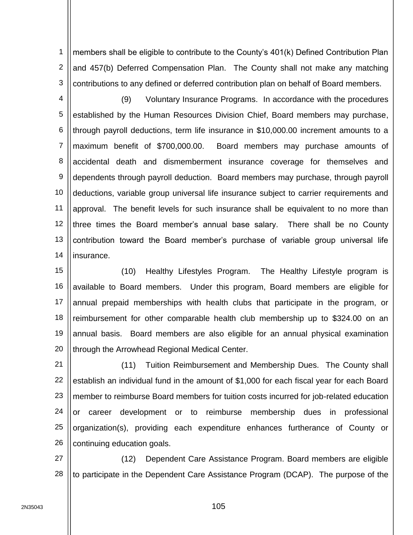1 2 3 members shall be eligible to contribute to the County's 401(k) Defined Contribution Plan and 457(b) Deferred Compensation Plan. The County shall not make any matching contributions to any defined or deferred contribution plan on behalf of Board members.

4 5 6 7 8 9 10 11 12 13 14 (9) Voluntary Insurance Programs. In accordance with the procedures established by the Human Resources Division Chief, Board members may purchase, through payroll deductions, term life insurance in \$10,000.00 increment amounts to a maximum benefit of \$700,000.00. Board members may purchase amounts of accidental death and dismemberment insurance coverage for themselves and dependents through payroll deduction. Board members may purchase, through payroll deductions, variable group universal life insurance subject to carrier requirements and approval. The benefit levels for such insurance shall be equivalent to no more than three times the Board member's annual base salary. There shall be no County contribution toward the Board member's purchase of variable group universal life insurance.

15 16 17 18 19 20 (10) Healthy Lifestyles Program. The Healthy Lifestyle program is available to Board members. Under this program, Board members are eligible for annual prepaid memberships with health clubs that participate in the program, or reimbursement for other comparable health club membership up to \$324.00 on an annual basis. Board members are also eligible for an annual physical examination through the Arrowhead Regional Medical Center.

21 22 23 24 25 26 (11) Tuition Reimbursement and Membership Dues. The County shall establish an individual fund in the amount of \$1,000 for each fiscal year for each Board member to reimburse Board members for tuition costs incurred for job-related education or career development or to reimburse membership dues in professional organization(s), providing each expenditure enhances furtherance of County or continuing education goals.

27 28 (12) Dependent Care Assistance Program. Board members are eligible to participate in the Dependent Care Assistance Program (DCAP). The purpose of the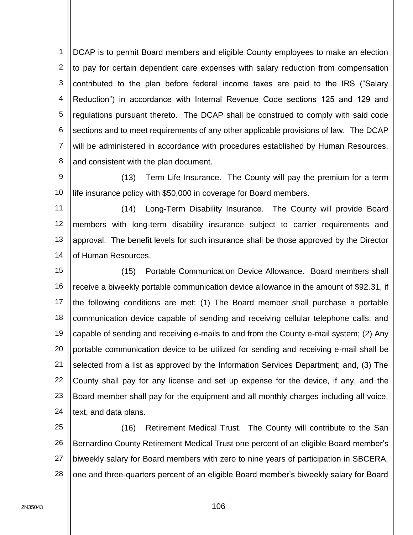1 2 3 4 5 6 7 8 DCAP is to permit Board members and eligible County employees to make an election to pay for certain dependent care expenses with salary reduction from compensation contributed to the plan before federal income taxes are paid to the IRS ("Salary Reduction") in accordance with Internal Revenue Code sections 125 and 129 and regulations pursuant thereto. The DCAP shall be construed to comply with said code sections and to meet requirements of any other applicable provisions of law. The DCAP will be administered in accordance with procedures established by Human Resources, and consistent with the plan document.

9 10 (13) Term Life Insurance. The County will pay the premium for a term life insurance policy with \$50,000 in coverage for Board members.

11 12 13 14 (14) Long-Term Disability Insurance. The County will provide Board members with long-term disability insurance subject to carrier requirements and approval. The benefit levels for such insurance shall be those approved by the Director of Human Resources.

15 16 17 18 19 20 21 22 23 24 (15) Portable Communication Device Allowance. Board members shall receive a biweekly portable communication device allowance in the amount of \$92.31, if the following conditions are met: (1) The Board member shall purchase a portable communication device capable of sending and receiving cellular telephone calls, and capable of sending and receiving e-mails to and from the County e-mail system; (2) Any portable communication device to be utilized for sending and receiving e-mail shall be selected from a list as approved by the Information Services Department; and, (3) The County shall pay for any license and set up expense for the device, if any, and the Board member shall pay for the equipment and all monthly charges including all voice, text, and data plans.

25 26 27 28 (16) Retirement Medical Trust. The County will contribute to the San Bernardino County Retirement Medical Trust one percent of an eligible Board member's biweekly salary for Board members with zero to nine years of participation in SBCERA, one and three-quarters percent of an eligible Board member's biweekly salary for Board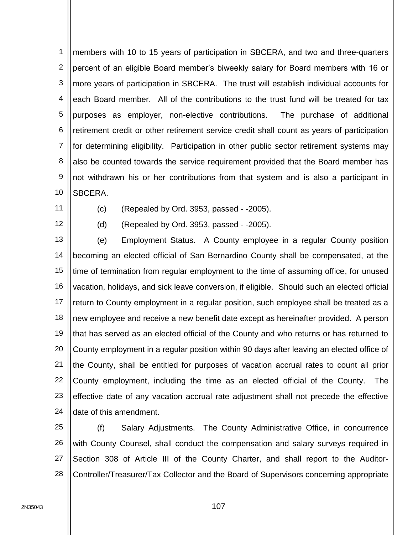1 2 3 4 5 6 7 8 9 10 members with 10 to 15 years of participation in SBCERA, and two and three-quarters percent of an eligible Board member's biweekly salary for Board members with 16 or more years of participation in SBCERA. The trust will establish individual accounts for each Board member. All of the contributions to the trust fund will be treated for tax purposes as employer, non-elective contributions. The purchase of additional retirement credit or other retirement service credit shall count as years of participation for determining eligibility. Participation in other public sector retirement systems may also be counted towards the service requirement provided that the Board member has not withdrawn his or her contributions from that system and is also a participant in SBCERA.

11

(c) (Repealed by Ord. 3953, passed - -2005).

12

(d) (Repealed by Ord. 3953, passed - -2005).

13 14 15 16 17 18 19 20 21 22 23 24 (e) Employment Status. A County employee in a regular County position becoming an elected official of San Bernardino County shall be compensated, at the time of termination from regular employment to the time of assuming office, for unused vacation, holidays, and sick leave conversion, if eligible. Should such an elected official return to County employment in a regular position, such employee shall be treated as a new employee and receive a new benefit date except as hereinafter provided. A person that has served as an elected official of the County and who returns or has returned to County employment in a regular position within 90 days after leaving an elected office of the County, shall be entitled for purposes of vacation accrual rates to count all prior County employment, including the time as an elected official of the County. The effective date of any vacation accrual rate adjustment shall not precede the effective date of this amendment.

25 26 27 28 (f) Salary Adjustments. The County Administrative Office, in concurrence with County Counsel, shall conduct the compensation and salary surveys required in Section 308 of Article III of the County Charter, and shall report to the Auditor-Controller/Treasurer/Tax Collector and the Board of Supervisors concerning appropriate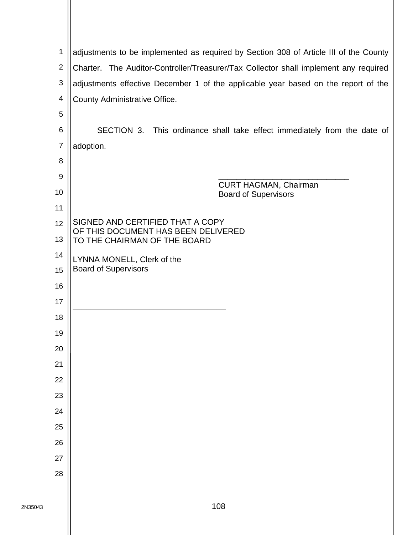| 1                        | adjustments to be implemented as required by Section 308 of Article III of the County |
|--------------------------|---------------------------------------------------------------------------------------|
| $\overline{2}$           | Charter. The Auditor-Controller/Treasurer/Tax Collector shall implement any required  |
| $\sqrt{3}$               | adjustments effective December 1 of the applicable year based on the report of the    |
| $\overline{\mathcal{A}}$ | County Administrative Office.                                                         |
| 5                        |                                                                                       |
| $\,6$                    | SECTION 3. This ordinance shall take effect immediately from the date of              |
| $\overline{7}$           | adoption.                                                                             |
| 8                        |                                                                                       |
| 9                        | <b>CURT HAGMAN, Chairman</b>                                                          |
| 10                       | <b>Board of Supervisors</b>                                                           |
| 11                       |                                                                                       |
| 12                       | SIGNED AND CERTIFIED THAT A COPY<br>OF THIS DOCUMENT HAS BEEN DELIVERED               |
| 13                       | TO THE CHAIRMAN OF THE BOARD                                                          |
| 14                       | LYNNA MONELL, Clerk of the                                                            |
| 15                       | <b>Board of Supervisors</b>                                                           |
| 16                       |                                                                                       |
| 17                       |                                                                                       |
| 18                       |                                                                                       |
| 19                       |                                                                                       |
| 20                       |                                                                                       |
| 21                       |                                                                                       |
| 22                       |                                                                                       |
| 23                       |                                                                                       |
| 24                       |                                                                                       |
| 25                       |                                                                                       |
| 26                       |                                                                                       |
| 27                       |                                                                                       |
| 28                       |                                                                                       |
|                          |                                                                                       |